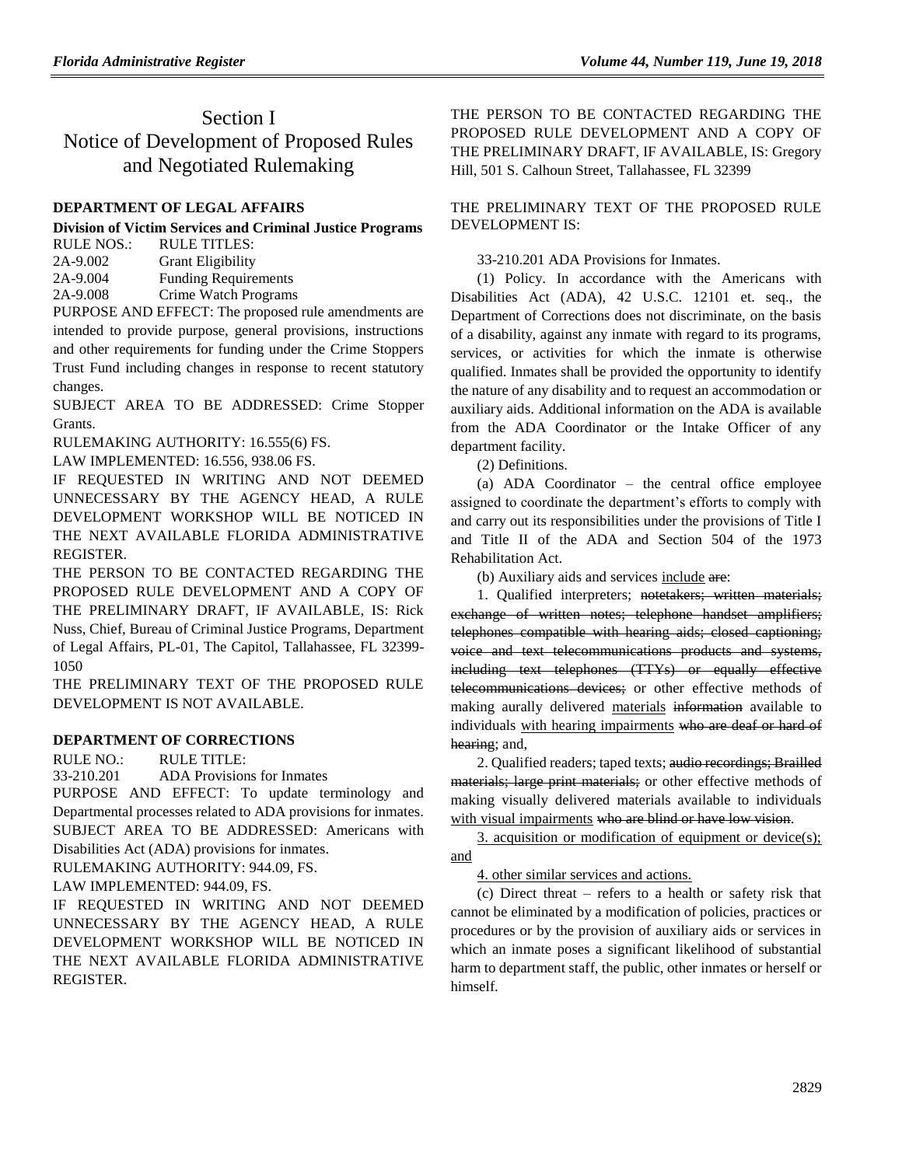# Section I Notice of Development of Proposed Rules and Negotiated Rulemaking

## **[DEPARTMENT OF LEGAL AFFAIRS](https://www.flrules.org/gateway/department.asp?id=2)**

#### **[Division of Victim Services and Criminal Justice Programs](https://www.flrules.org/gateway/organization.asp?id=48)**  $R$ ULE TITLES:

| .        | .                           |
|----------|-----------------------------|
| 2A-9.002 | <b>Grant Eligibility</b>    |
| 2A-9.004 | <b>Funding Requirements</b> |
| 2A-9.008 | Crime Watch Programs        |
|          |                             |

PURPOSE AND EFFECT: The proposed rule amendments are intended to provide purpose, general provisions, instructions and other requirements for funding under the Crime Stoppers Trust Fund including changes in response to recent statutory changes.

SUBJECT AREA TO BE ADDRESSED: Crime Stopper Grants.

RULEMAKING AUTHORITY: [16.555\(6\) FS.](https://www.flrules.org/gateway/statute.asp?id=16.555(6)%20FS.)

LAW IMPLEMENTED: [16.556,](https://www.flrules.org/gateway/statute.asp?id=%2016.556) [938.06 FS.](https://www.flrules.org/gateway/statute.asp?id=%20938.06%20FS.)

IF REQUESTED IN WRITING AND NOT DEEMED UNNECESSARY BY THE AGENCY HEAD, A RULE DEVELOPMENT WORKSHOP WILL BE NOTICED IN THE NEXT AVAILABLE FLORIDA ADMINISTRATIVE REGISTER.

THE PERSON TO BE CONTACTED REGARDING THE PROPOSED RULE DEVELOPMENT AND A COPY OF THE PRELIMINARY DRAFT, IF AVAILABLE, IS: Rick Nuss, Chief, Bureau of Criminal Justice Programs, Department of Legal Affairs, PL-01, The Capitol, Tallahassee, FL 32399- 1050

THE PRELIMINARY TEXT OF THE PROPOSED RULE DEVELOPMENT IS NOT AVAILABLE.

## **[DEPARTMENT OF CORRECTIONS](https://www.flrules.org/gateway/department.asp?id=33)**

 $RULE NO \cdot RULE TITLE \cdot$ 

[33-210.201](https://www.flrules.org/gateway/ruleNo.asp?id=33-210.201) ADA Provisions for Inmates

PURPOSE AND EFFECT: To update terminology and Departmental processes related to ADA provisions for inmates. SUBJECT AREA TO BE ADDRESSED: Americans with Disabilities Act (ADA) provisions for inmates.

RULEMAKING AUTHORITY: [944.09, FS.](https://www.flrules.org/gateway/cfr.asp?id=944.09,%20FS)

LAW IMPLEMENTED: [944.09, FS.](https://www.flrules.org/gateway/cfr.asp?id=944.09,%20FS)

IF REQUESTED IN WRITING AND NOT DEEMED UNNECESSARY BY THE AGENCY HEAD, A RULE DEVELOPMENT WORKSHOP WILL BE NOTICED IN THE NEXT AVAILABLE FLORIDA ADMINISTRATIVE REGISTER.

THE PERSON TO BE CONTACTED REGARDING THE PROPOSED RULE DEVELOPMENT AND A COPY OF THE PRELIMINARY DRAFT, IF AVAILABLE, IS: Gregory Hill, 501 S. Calhoun Street, Tallahassee, FL 32399

THE PRELIMINARY TEXT OF THE PROPOSED RULE DEVELOPMENT IS:

33-210.201 ADA Provisions for Inmates.

(1) Policy. In accordance with the Americans with Disabilities Act (ADA), 42 U.S.C. 12101 et. seq., the Department of Corrections does not discriminate, on the basis of a disability, against any inmate with regard to its programs, services, or activities for which the inmate is otherwise qualified. Inmates shall be provided the opportunity to identify the nature of any disability and to request an accommodation or auxiliary aids. Additional information on the ADA is available from the ADA Coordinator or the Intake Officer of any department facility.

(2) Definitions.

(a) ADA Coordinator – the central office employee assigned to coordinate the department's efforts to comply with and carry out its responsibilities under the provisions of Title I and Title II of the ADA and Section 504 of the 1973 Rehabilitation Act.

(b) Auxiliary aids and services include are:

1. Qualified interpreters; notetakers; written materials; exchange of written notes; telephone handset amplifiers; telephones compatible with hearing aids; closed captioning; voice and text telecommunications products and systems, including text telephones (TTYs) or equally effective telecommunications devices; or other effective methods of making aurally delivered materials information available to individuals with hearing impairments who are deaf or hard of hearing; and,

2. Qualified readers; taped texts; audio recordings; Brailled materials; large print materials; or other effective methods of making visually delivered materials available to individuals with visual impairments who are blind or have low vision.

3. acquisition or modification of equipment or device(s); and

4. other similar services and actions.

(c) Direct threat – refers to a health or safety risk that cannot be eliminated by a modification of policies, practices or procedures or by the provision of auxiliary aids or services in which an inmate poses a significant likelihood of substantial harm to department staff, the public, other inmates or herself or himself.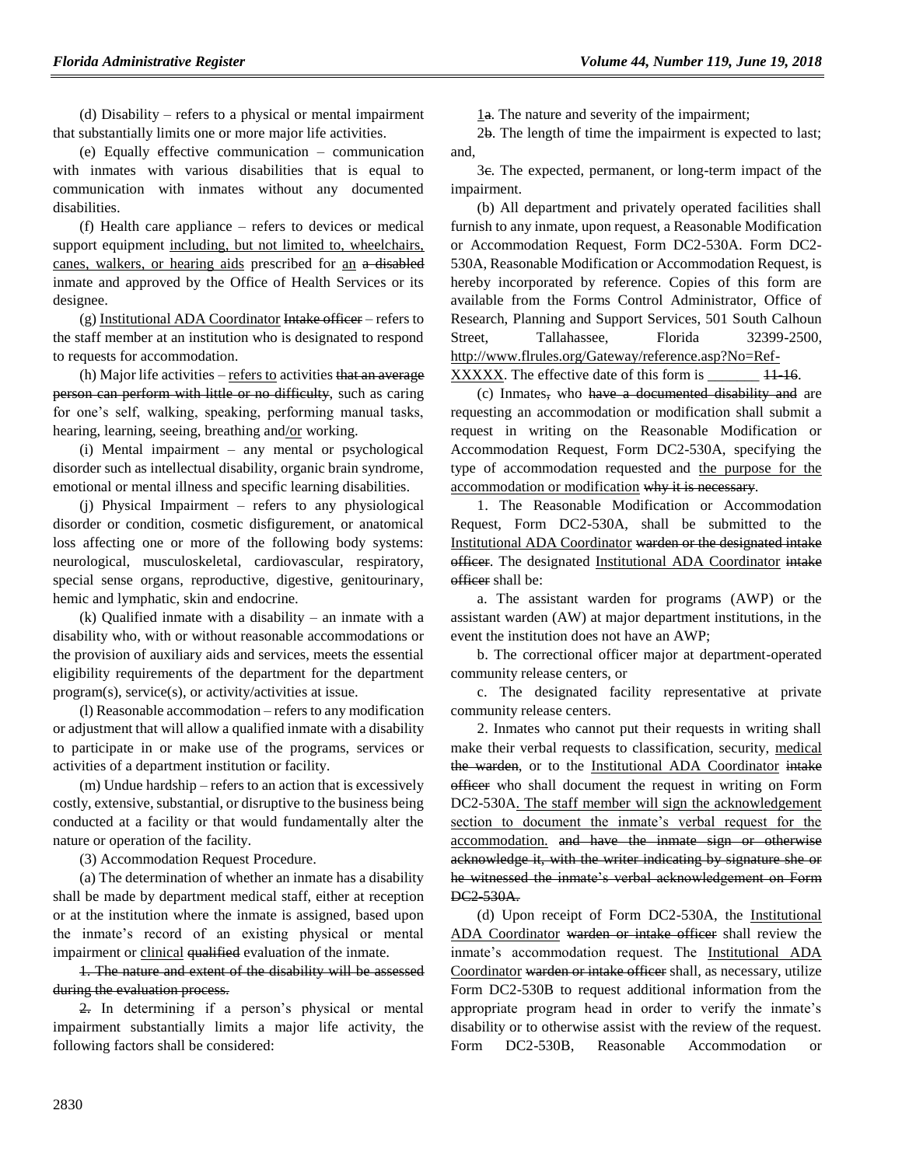(d) Disability – refers to a physical or mental impairment that substantially limits one or more major life activities.

(e) Equally effective communication – communication with inmates with various disabilities that is equal to communication with inmates without any documented disabilities.

(f) Health care appliance – refers to devices or medical support equipment including, but not limited to, wheelchairs, canes, walkers, or hearing aids prescribed for an a disabled inmate and approved by the Office of Health Services or its designee.

 $(g)$  Institutional ADA Coordinator Intake officer – refers to the staff member at an institution who is designated to respond to requests for accommodation.

 $(h)$  Major life activities – refers to activities that an average person can perform with little or no difficulty, such as caring for one's self, walking, speaking, performing manual tasks, hearing, learning, seeing, breathing and/or working.

(i) Mental impairment – any mental or psychological disorder such as intellectual disability, organic brain syndrome, emotional or mental illness and specific learning disabilities.

(j) Physical Impairment – refers to any physiological disorder or condition, cosmetic disfigurement, or anatomical loss affecting one or more of the following body systems: neurological, musculoskeletal, cardiovascular, respiratory, special sense organs, reproductive, digestive, genitourinary, hemic and lymphatic, skin and endocrine.

(k) Qualified inmate with a disability – an inmate with a disability who, with or without reasonable accommodations or the provision of auxiliary aids and services, meets the essential eligibility requirements of the department for the department program(s), service(s), or activity/activities at issue.

(l) Reasonable accommodation – refers to any modification or adjustment that will allow a qualified inmate with a disability to participate in or make use of the programs, services or activities of a department institution or facility.

(m) Undue hardship – refers to an action that is excessively costly, extensive, substantial, or disruptive to the business being conducted at a facility or that would fundamentally alter the nature or operation of the facility.

(3) Accommodation Request Procedure.

(a) The determination of whether an inmate has a disability shall be made by department medical staff, either at reception or at the institution where the inmate is assigned, based upon the inmate's record of an existing physical or mental impairment or clinical qualified evaluation of the inmate.

1. The nature and extent of the disability will be assessed during the evaluation process.

2. In determining if a person's physical or mental impairment substantially limits a major life activity, the following factors shall be considered:

1a. The nature and severity of the impairment;

2b. The length of time the impairment is expected to last; and,

3c. The expected, permanent, or long-term impact of the impairment.

(b) All department and privately operated facilities shall furnish to any inmate, upon request, a Reasonable Modification or Accommodation Request, Form DC2-530A. Form DC2- 530A, Reasonable Modification or Accommodation Request, is hereby incorporated by reference. Copies of this form are available from the Forms Control Administrator, Office of Research, Planning and Support Services, 501 South Calhoun Street, Tallahassee, Florida 32399-2500, http://www.flrules.org/Gateway/reference.asp?No=Ref-XXXXX. The effective date of this form is  $\frac{11-16}{11-16}$ .

(c) Inmates, who have a documented disability and are requesting an accommodation or modification shall submit a request in writing on the Reasonable Modification or Accommodation Request, Form DC2-530A, specifying the type of accommodation requested and the purpose for the accommodation or modification why it is necessary.

1. The Reasonable Modification or Accommodation Request, Form DC2-530A, shall be submitted to the Institutional ADA Coordinator warden or the designated intake officer. The designated Institutional ADA Coordinator intake officer shall be:

a. The assistant warden for programs (AWP) or the assistant warden (AW) at major department institutions, in the event the institution does not have an AWP;

b. The correctional officer major at department-operated community release centers, or

c. The designated facility representative at private community release centers.

2. Inmates who cannot put their requests in writing shall make their verbal requests to classification, security, medical the warden, or to the Institutional ADA Coordinator intake officer who shall document the request in writing on Form DC2-530A. The staff member will sign the acknowledgement section to document the inmate's verbal request for the accommodation. and have the inmate sign or otherwise acknowledge it, with the writer indicating by signature she or he witnessed the inmate's verbal acknowledgement on Form DC2-530A.

(d) Upon receipt of Form DC2-530A, the Institutional ADA Coordinator warden or intake officer shall review the inmate's accommodation request. The Institutional ADA Coordinator warden or intake officer shall, as necessary, utilize Form DC2-530B to request additional information from the appropriate program head in order to verify the inmate's disability or to otherwise assist with the review of the request. Form DC2-530B, Reasonable Accommodation or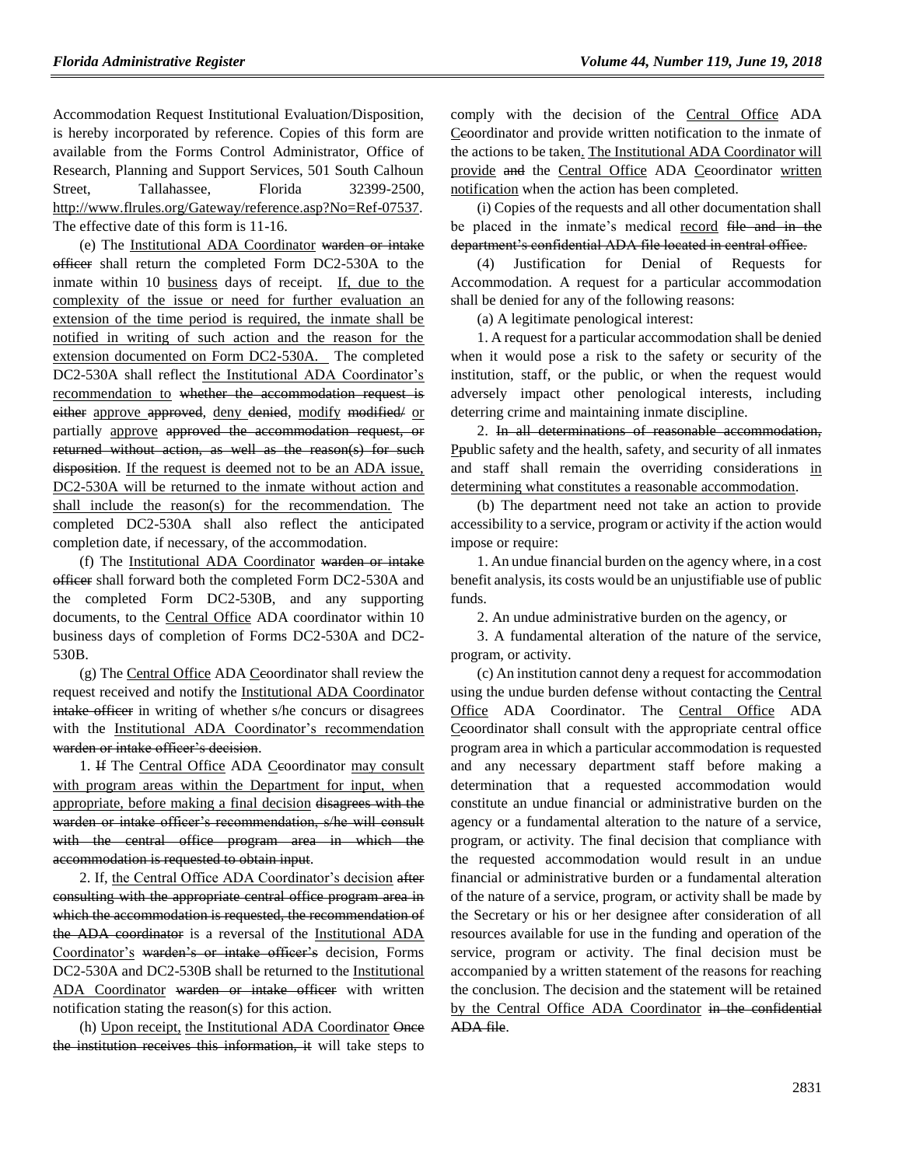Accommodation Request Institutional Evaluation/Disposition, is hereby incorporated by reference. Copies of this form are available from the Forms Control Administrator, Office of Research, Planning and Support Services, 501 South Calhoun Street, Tallahassee, Florida 32399-2500, http://www.flrules.org/Gateway/reference.asp?No=Ref-07537. The effective date of this form is 11-16.

(e) The Institutional ADA Coordinator warden or intake officer shall return the completed Form DC2-530A to the inmate within 10 business days of receipt. If, due to the complexity of the issue or need for further evaluation an extension of the time period is required, the inmate shall be notified in writing of such action and the reason for the extension documented on Form DC2-530A. The completed DC2-530A shall reflect the Institutional ADA Coordinator's recommendation to whether the accommodation request is either approve approved, deny denied, modify modified/ or partially approve approved the accommodation request, or returned without action, as well as the reason(s) for such disposition. If the request is deemed not to be an ADA issue, DC2-530A will be returned to the inmate without action and shall include the reason(s) for the recommendation. The completed DC2-530A shall also reflect the anticipated completion date, if necessary, of the accommodation.

(f) The Institutional ADA Coordinator warden or intake officer shall forward both the completed Form DC2-530A and the completed Form DC2-530B, and any supporting documents, to the Central Office ADA coordinator within 10 business days of completion of Forms DC2-530A and DC2- 530B.

(g) The Central Office ADA Ceoordinator shall review the request received and notify the Institutional ADA Coordinator intake officer in writing of whether s/he concurs or disagrees with the Institutional ADA Coordinator's recommendation warden or intake officer's decision.

1. If The Central Office ADA Ceoordinator may consult with program areas within the Department for input, when appropriate, before making a final decision disagrees with the warden or intake officer's recommendation, s/he will consult with the central office program area in which the accommodation is requested to obtain input.

2. If, the Central Office ADA Coordinator's decision after consulting with the appropriate central office program area in which the accommodation is requested, the recommendation of the ADA coordinator is a reversal of the Institutional ADA Coordinator's warden's or intake officer's decision, Forms DC2-530A and DC2-530B shall be returned to the Institutional ADA Coordinator warden or intake officer with written notification stating the reason(s) for this action.

(h) Upon receipt, the Institutional ADA Coordinator Once the institution receives this information, it will take steps to comply with the decision of the Central Office ADA Ceoordinator and provide written notification to the inmate of the actions to be taken. The Institutional ADA Coordinator will provide and the Central Office ADA Ceoordinator written notification when the action has been completed.

(i) Copies of the requests and all other documentation shall be placed in the inmate's medical record file and in the department's confidential ADA file located in central office.

(4) Justification for Denial of Requests for Accommodation. A request for a particular accommodation shall be denied for any of the following reasons:

(a) A legitimate penological interest:

1. A request for a particular accommodation shall be denied when it would pose a risk to the safety or security of the institution, staff, or the public, or when the request would adversely impact other penological interests, including deterring crime and maintaining inmate discipline.

2. In all determinations of reasonable accommodation, Ppublic safety and the health, safety, and security of all inmates and staff shall remain the overriding considerations in determining what constitutes a reasonable accommodation.

(b) The department need not take an action to provide accessibility to a service, program or activity if the action would impose or require:

1. An undue financial burden on the agency where, in a cost benefit analysis, its costs would be an unjustifiable use of public funds.

2. An undue administrative burden on the agency, or

3. A fundamental alteration of the nature of the service, program, or activity.

(c) An institution cannot deny a request for accommodation using the undue burden defense without contacting the Central Office ADA Coordinator. The Central Office ADA Ceoordinator shall consult with the appropriate central office program area in which a particular accommodation is requested and any necessary department staff before making a determination that a requested accommodation would constitute an undue financial or administrative burden on the agency or a fundamental alteration to the nature of a service, program, or activity. The final decision that compliance with the requested accommodation would result in an undue financial or administrative burden or a fundamental alteration of the nature of a service, program, or activity shall be made by the Secretary or his or her designee after consideration of all resources available for use in the funding and operation of the service, program or activity. The final decision must be accompanied by a written statement of the reasons for reaching the conclusion. The decision and the statement will be retained by the Central Office ADA Coordinator in the confidential ADA file.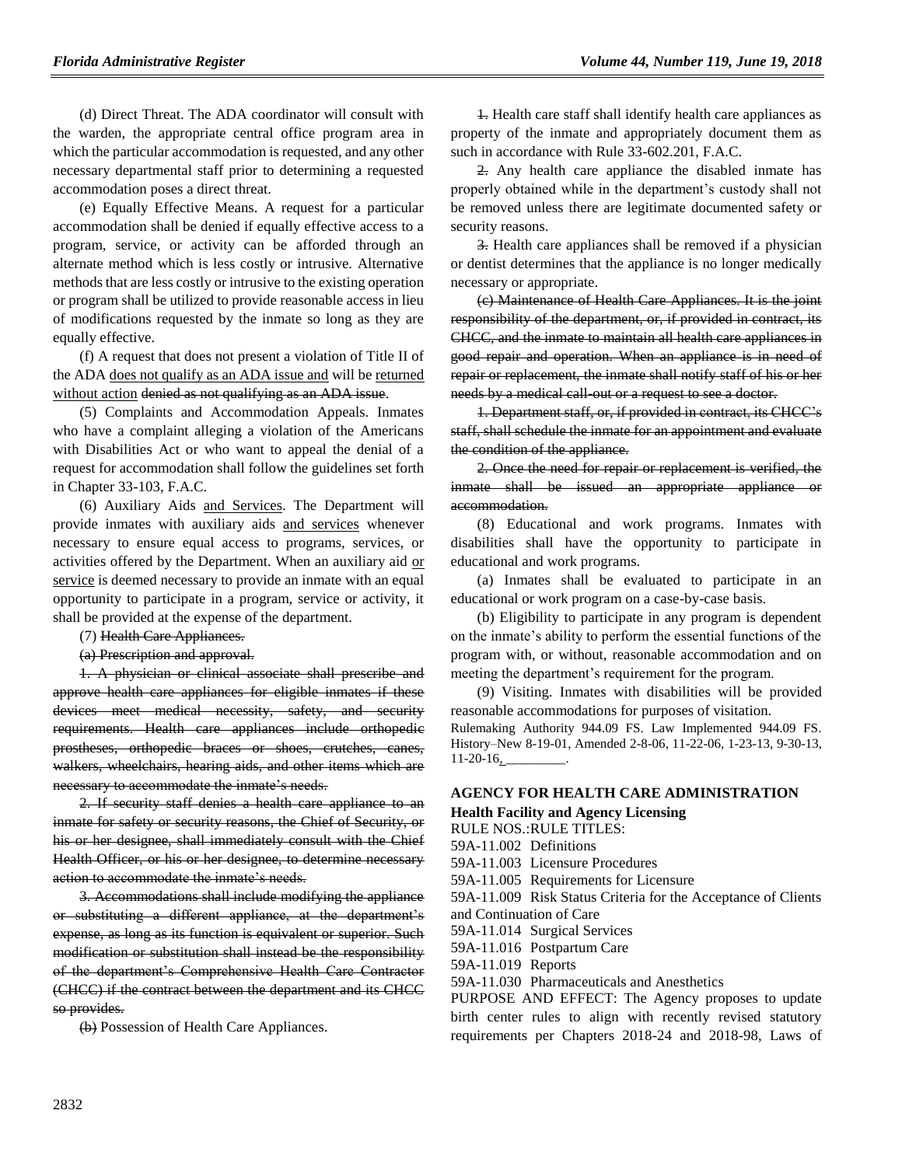(d) Direct Threat. The ADA coordinator will consult with the warden, the appropriate central office program area in which the particular accommodation is requested, and any other necessary departmental staff prior to determining a requested accommodation poses a direct threat.

(e) Equally Effective Means. A request for a particular accommodation shall be denied if equally effective access to a program, service, or activity can be afforded through an alternate method which is less costly or intrusive. Alternative methods that are less costly or intrusive to the existing operation or program shall be utilized to provide reasonable access in lieu of modifications requested by the inmate so long as they are equally effective.

(f) A request that does not present a violation of Title II of the ADA does not qualify as an ADA issue and will be returned without action denied as not qualifying as an ADA issue.

(5) Complaints and Accommodation Appeals. Inmates who have a complaint alleging a violation of the Americans with Disabilities Act or who want to appeal the denial of a request for accommodation shall follow the guidelines set forth in Chapter 33-103, F.A.C.

(6) Auxiliary Aids and Services. The Department will provide inmates with auxiliary aids and services whenever necessary to ensure equal access to programs, services, or activities offered by the Department. When an auxiliary aid or service is deemed necessary to provide an inmate with an equal opportunity to participate in a program, service or activity, it shall be provided at the expense of the department.

(7) Health Care Appliances.

(a) Prescription and approval.

1. A physician or clinical associate shall prescribe and approve health care appliances for eligible inmates if these devices meet medical necessity, safety, and security requirements. Health care appliances include orthopedic prostheses, orthopedic braces or shoes, crutches, canes, walkers, wheelchairs, hearing aids, and other items which are necessary to accommodate the inmate's needs.

2. If security staff denies a health care appliance to an inmate for safety or security reasons, the Chief of Security, or his or her designee, shall immediately consult with the Chief Health Officer, or his or her designee, to determine necessary action to accommodate the inmate's needs.

3. Accommodations shall include modifying the appliance or substituting a different appliance, at the department's expense, as long as its function is equivalent or superior. Such modification or substitution shall instead be the responsibility of the department's Comprehensive Health Care Contractor (CHCC) if the contract between the department and its CHCC so provides.

(b) Possession of Health Care Appliances.

1. Health care staff shall identify health care appliances as property of the inmate and appropriately document them as such in accordance with Rule 33-602.201, F.A.C.

2. Any health care appliance the disabled inmate has properly obtained while in the department's custody shall not be removed unless there are legitimate documented safety or security reasons.

3. Health care appliances shall be removed if a physician or dentist determines that the appliance is no longer medically necessary or appropriate.

(c) Maintenance of Health Care Appliances. It is the joint responsibility of the department, or, if provided in contract, its CHCC, and the inmate to maintain all health care appliances in good repair and operation. When an appliance is in need of repair or replacement, the inmate shall notify staff of his or her needs by a medical call-out or a request to see a doctor.

1. Department staff, or, if provided in contract, its CHCC's staff, shall schedule the inmate for an appointment and evaluate the condition of the appliance.

2. Once the need for repair or replacement is verified, the inmate shall be issued an appropriate appliance or accommodation.

(8) Educational and work programs. Inmates with disabilities shall have the opportunity to participate in educational and work programs.

(a) Inmates shall be evaluated to participate in an educational or work program on a case-by-case basis.

(b) Eligibility to participate in any program is dependent on the inmate's ability to perform the essential functions of the program with, or without, reasonable accommodation and on meeting the department's requirement for the program.

(9) Visiting. Inmates with disabilities will be provided reasonable accommodations for purposes of visitation. Rulemaking Authority 944.09 FS. Law Implemented 944.09 FS. History–New 8-19-01, Amended 2-8-06, 11-22-06, 1-23-13, 9-30-13,  $11-20-16$ .

### **[AGENCY FOR HEALTH CARE ADMINISTRATION](https://www.flrules.org/gateway/department.asp?id=59)**

**[Health Facility and Agency Licensing](https://www.flrules.org/gateway/organization.asp?id=186)**

RULE NOS.:RULE TITLES:

[59A-11.002](https://www.flrules.org/gateway/ruleNo.asp?id=59A-11.002) Definitions

[59A-11.003](https://www.flrules.org/gateway/ruleNo.asp?id=59A-11.003) Licensure Procedures

[59A-11.005](https://www.flrules.org/gateway/ruleNo.asp?id=59A-11.005) Requirements for Licensure

[59A-11.009](https://www.flrules.org/gateway/ruleNo.asp?id=59A-11.009) Risk Status Criteria for the Acceptance of Clients and Continuation of Care

[59A-11.014](https://www.flrules.org/gateway/ruleNo.asp?id=59A-11.014) Surgical Services

[59A-11.016](https://www.flrules.org/gateway/ruleNo.asp?id=59A-11.016) Postpartum Care

[59A-11.019](https://www.flrules.org/gateway/ruleNo.asp?id=59A-11.019) Reports

[59A-11.030](https://www.flrules.org/gateway/ruleNo.asp?id=59A-11.030) Pharmaceuticals and Anesthetics

PURPOSE AND EFFECT: The Agency proposes to update birth center rules to align with recently revised statutory requirements per Chapters 2018-24 and 2018-98, Laws of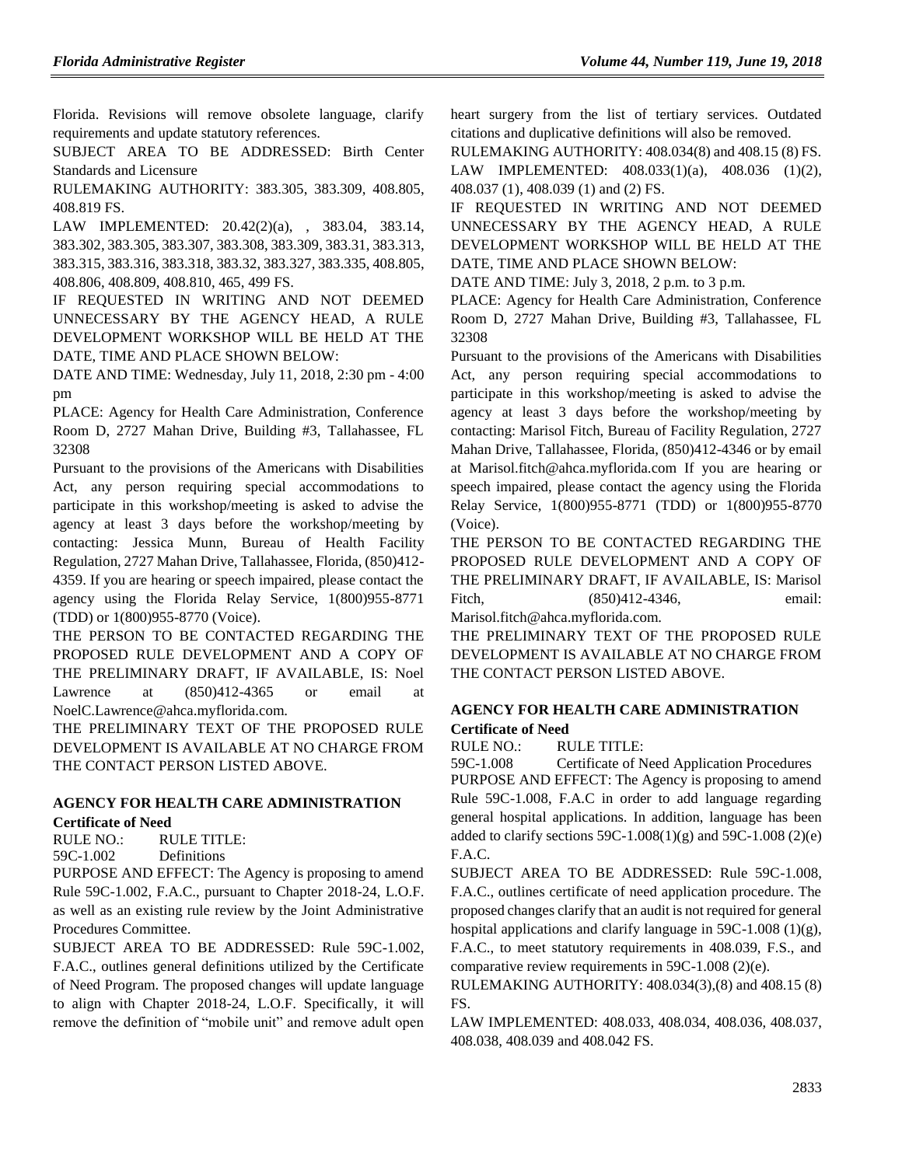Florida. Revisions will remove obsolete language, clarify requirements and update statutory references.

SUBJECT AREA TO BE ADDRESSED: Birth Center Standards and Licensure

RULEMAKING AUTHORITY: [383.305,](https://www.flrules.org/gateway/statute.asp?id=383.305) [383.309,](https://www.flrules.org/gateway/statute.asp?id=%20383.309) [408.805,](https://www.flrules.org/gateway/statute.asp?id=%20408.805) [408.819 FS.](https://www.flrules.org/gateway/statute.asp?id=%20408.819%20FS.)

LAW IMPLEMENTED: [20.42\(2\)\(a\),](https://www.flrules.org/gateway/statute.asp?id=20.42(2)(a)) , [383.04,](https://www.flrules.org/gateway/statute.asp?id=%20383.04) [383.14,](https://www.flrules.org/gateway/statute.asp?id=%20383.14) [383.302,](https://www.flrules.org/gateway/statute.asp?id=%20383.302) [383.305,](https://www.flrules.org/gateway/statute.asp?id=%20383.305) [383.307,](https://www.flrules.org/gateway/statute.asp?id=%20%20383.307) [383.308,](https://www.flrules.org/gateway/statute.asp?id=%20383.308) [383.309,](https://www.flrules.org/gateway/statute.asp?id=%20383.309) [383.31,](https://www.flrules.org/gateway/statute.asp?id=%20383.31) [383.313,](https://www.flrules.org/gateway/statute.asp?id=%20383.313) [383.315,](https://www.flrules.org/gateway/statute.asp?id=%20383.315) [383.316,](https://www.flrules.org/gateway/statute.asp?id=%20383.316) [383.318,](https://www.flrules.org/gateway/statute.asp?id=%20383.318) [383.32,](https://www.flrules.org/gateway/statute.asp?id=%20383.32) [383.327,](https://www.flrules.org/gateway/statute.asp?id=%20383.327) [383.335,](https://www.flrules.org/gateway/statute.asp?id=%20383.335) [408.805,](https://www.flrules.org/gateway/statute.asp?id=%20%20408.805) [408.806,](https://www.flrules.org/gateway/statute.asp?id=%20408.806) [408.809,](https://www.flrules.org/gateway/statute.asp?id=%20408.809) [408.810,](https://www.flrules.org/gateway/statute.asp?id=%20408.810) 465, 499 FS.

IF REQUESTED IN WRITING AND NOT DEEMED UNNECESSARY BY THE AGENCY HEAD, A RULE DEVELOPMENT WORKSHOP WILL BE HELD AT THE DATE, TIME AND PLACE SHOWN BELOW:

DATE AND TIME: Wednesday, July 11, 2018, 2:30 pm - 4:00 pm

PLACE: Agency for Health Care Administration, Conference Room D, 2727 Mahan Drive, Building #3, Tallahassee, FL 32308

Pursuant to the provisions of the Americans with Disabilities Act, any person requiring special accommodations to participate in this workshop/meeting is asked to advise the agency at least 3 days before the workshop/meeting by contacting: Jessica Munn, Bureau of Health Facility Regulation, 2727 Mahan Drive, Tallahassee, Florida, (850)412- 4359. If you are hearing or speech impaired, please contact the agency using the Florida Relay Service, 1(800)955-8771 (TDD) or 1(800)955-8770 (Voice).

THE PERSON TO BE CONTACTED REGARDING THE PROPOSED RULE DEVELOPMENT AND A COPY OF THE PRELIMINARY DRAFT, IF AVAILABLE, IS: Noel Lawrence at (850)412-4365 or email at NoelC.Lawrence@ahca.myflorida.com.

THE PRELIMINARY TEXT OF THE PROPOSED RULE DEVELOPMENT IS AVAILABLE AT NO CHARGE FROM THE CONTACT PERSON LISTED ABOVE.

## **[AGENCY FOR HEALTH CARE ADMINISTRATION](https://www.flrules.org/gateway/department.asp?id=59) [Certificate of Need](https://www.flrules.org/gateway/organization.asp?id=188)**

RULE NO.: RULE TITLE:

[59C-1.002](https://www.flrules.org/gateway/ruleNo.asp?id=59C-1.002) Definitions

PURPOSE AND EFFECT: The Agency is proposing to amend Rule 59C-1.002, F.A.C., pursuant to Chapter 2018-24, L.O.F. as well as an existing rule review by the Joint Administrative Procedures Committee.

SUBJECT AREA TO BE ADDRESSED: Rule 59C-1.002, F.A.C., outlines general definitions utilized by the Certificate of Need Program. The proposed changes will update language to align with Chapter 2018-24, L.O.F. Specifically, it will remove the definition of "mobile unit" and remove adult open heart surgery from the list of tertiary services. Outdated citations and duplicative definitions will also be removed.

RULEMAKING AUTHORITY[: 408.034\(8\) and 408.15 \(8\) FS.](https://www.flrules.org/gateway/statute.asp?id=408.034(8)%20and%20408.15%20(8)%20FS.)

LAW IMPLEMENTED: [408.033\(1\)\(a\),](https://www.flrules.org/gateway/statute.asp?id=408.033(1)(a)) [408.036 \(1\)\(2\),](https://www.flrules.org/gateway/statute.asp?id=%20408.036%20(1)(2)) [408.037 \(1\),](https://www.flrules.org/gateway/statute.asp?id=%20408.037%20(1)) [408.039 \(1\) and \(2\) FS.](https://www.flrules.org/gateway/statute.asp?id=%20408.039%20(1)%20and%20(2)%20FS.)

IF REQUESTED IN WRITING AND NOT DEEMED UNNECESSARY BY THE AGENCY HEAD, A RULE DEVELOPMENT WORKSHOP WILL BE HELD AT THE DATE, TIME AND PLACE SHOWN BELOW:

DATE AND TIME: July 3, 2018, 2 p.m. to 3 p.m.

PLACE: Agency for Health Care Administration, Conference Room D, 2727 Mahan Drive, Building #3, Tallahassee, FL 32308

Pursuant to the provisions of the Americans with Disabilities Act, any person requiring special accommodations to participate in this workshop/meeting is asked to advise the agency at least 3 days before the workshop/meeting by contacting: Marisol Fitch, Bureau of Facility Regulation, 2727 Mahan Drive, Tallahassee, Florida, (850)412-4346 or by email at Marisol.fitch@ahca.myflorida.com If you are hearing or speech impaired, please contact the agency using the Florida Relay Service, 1(800)955-8771 (TDD) or 1(800)955-8770 (Voice).

THE PERSON TO BE CONTACTED REGARDING THE PROPOSED RULE DEVELOPMENT AND A COPY OF THE PRELIMINARY DRAFT, IF AVAILABLE, IS: Marisol Fitch, (850)412-4346, email: Marisol.fitch@ahca.myflorida.com.

THE PRELIMINARY TEXT OF THE PROPOSED RULE DEVELOPMENT IS AVAILABLE AT NO CHARGE FROM THE CONTACT PERSON LISTED ABOVE.

## **[AGENCY FOR HEALTH CARE ADMINISTRATION](https://www.flrules.org/gateway/department.asp?id=59) [Certificate of Need](https://www.flrules.org/gateway/organization.asp?id=188)**

RULE NO.: RULE TITLE:

[59C-1.008](https://www.flrules.org/gateway/ruleNo.asp?id=59C-1.008) Certificate of Need Application Procedures PURPOSE AND EFFECT: The Agency is proposing to amend Rule 59C-1.008, F.A.C in order to add language regarding general hospital applications. In addition, language has been added to clarify sections  $59C-1.008(1)(g)$  and  $59C-1.008(2)(e)$ F.A.C.

SUBJECT AREA TO BE ADDRESSED: Rule 59C-1.008, F.A.C., outlines certificate of need application procedure. The proposed changes clarify that an audit is not required for general hospital applications and clarify language in 59C-1.008 (1)(g), F.A.C., to meet statutory requirements in 408.039, F.S., and

comparative review requirements in 59C-1.008 (2)(e). RULEMAKING AUTHORITY: [408.034\(3\),](https://www.flrules.org/gateway/statute.asp?id=408.034(3))(8) and 408.15 (8) FS.

LAW IMPLEMENTED: [408.033,](https://www.flrules.org/gateway/statute.asp?id=408.033) [408.034,](https://www.flrules.org/gateway/statute.asp?id=%20408.034) [408.036,](https://www.flrules.org/gateway/statute.asp?id=%20408.036) [408.037,](https://www.flrules.org/gateway/statute.asp?id=%20408.037) [408.038,](https://www.flrules.org/gateway/statute.asp?id=%20408.038) [408.039 and 408.042 FS.](https://www.flrules.org/gateway/statute.asp?id=%20408.039%20and%20408.042%20FS.)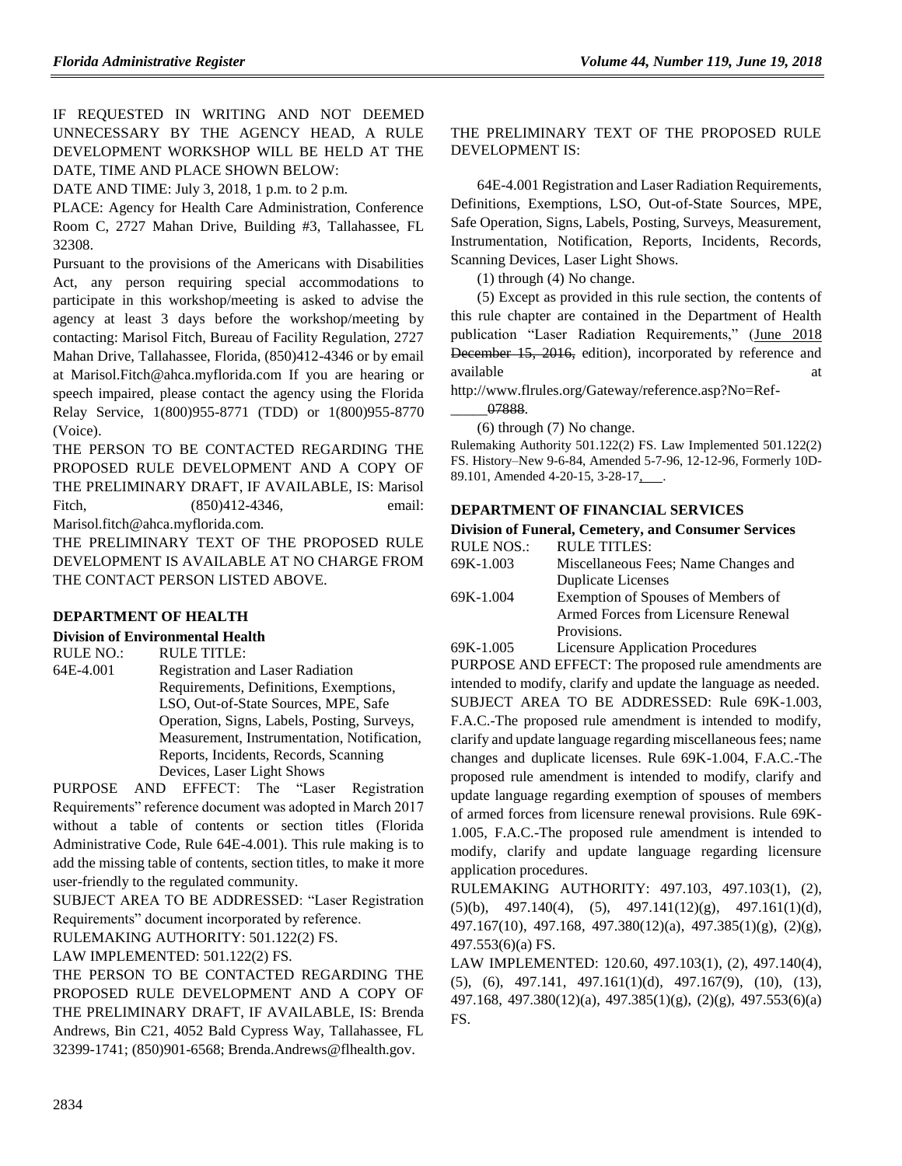IF REQUESTED IN WRITING AND NOT DEEMED UNNECESSARY BY THE AGENCY HEAD, A RULE DEVELOPMENT WORKSHOP WILL BE HELD AT THE DATE, TIME AND PLACE SHOWN BELOW:

DATE AND TIME: July 3, 2018, 1 p.m. to 2 p.m.

PLACE: Agency for Health Care Administration, Conference Room C, 2727 Mahan Drive, Building #3, Tallahassee, FL 32308.

Pursuant to the provisions of the Americans with Disabilities Act, any person requiring special accommodations to participate in this workshop/meeting is asked to advise the agency at least 3 days before the workshop/meeting by contacting: Marisol Fitch, Bureau of Facility Regulation, 2727 Mahan Drive, Tallahassee, Florida, (850)412-4346 or by email at Marisol.Fitch@ahca.myflorida.com If you are hearing or speech impaired, please contact the agency using the Florida Relay Service, 1(800)955-8771 (TDD) or 1(800)955-8770 (Voice).

THE PERSON TO BE CONTACTED REGARDING THE PROPOSED RULE DEVELOPMENT AND A COPY OF THE PRELIMINARY DRAFT, IF AVAILABLE, IS: Marisol Fitch, (850)412-4346, email: Marisol.fitch@ahca.myflorida.com.

THE PRELIMINARY TEXT OF THE PROPOSED RULE DEVELOPMENT IS AVAILABLE AT NO CHARGE FROM THE CONTACT PERSON LISTED ABOVE.

### **[DEPARTMENT OF HEALTH](https://www.flrules.org/gateway/department.asp?id=64)**

### **[Division of Environmental Health](https://www.flrules.org/gateway/organization.asp?id=335)**

RULE NO.: RULE TITLE: [64E-4.001](https://www.flrules.org/gateway/ruleNo.asp?id=64E-4.001) Registration and Laser Radiation Requirements, Definitions, Exemptions, LSO, Out-of-State Sources, MPE, Safe Operation, Signs, Labels, Posting, Surveys, Measurement, Instrumentation, Notification, Reports, Incidents, Records, Scanning Devices, Laser Light Shows

PURPOSE AND EFFECT: The "Laser Registration Requirements" reference document was adopted in March 2017 without a table of contents or section titles (Florida Administrative Code, Rule 64E-4.001). This rule making is to add the missing table of contents, section titles, to make it more user-friendly to the regulated community.

SUBJECT AREA TO BE ADDRESSED: "Laser Registration Requirements" document incorporated by reference.

RULEMAKING AUTHORITY: [501.122\(2\) FS.](https://www.flrules.org/gateway/statute.asp?id=501.122(2)%20FS.)

LAW IMPLEMENTED: [501.122\(2\) FS.](https://www.flrules.org/gateway/statute.asp?id=501.122(2)%20FS.)

THE PERSON TO BE CONTACTED REGARDING THE PROPOSED RULE DEVELOPMENT AND A COPY OF THE PRELIMINARY DRAFT, IF AVAILABLE, IS: Brenda Andrews, Bin C21, 4052 Bald Cypress Way, Tallahassee, FL 32399-1741; (850)901-6568; Brenda.Andrews@flhealth.gov.

## THE PRELIMINARY TEXT OF THE PROPOSED RULE DEVELOPMENT IS:

64E-4.001 Registration and Laser Radiation Requirements, Definitions, Exemptions, LSO, Out-of-State Sources, MPE, Safe Operation, Signs, Labels, Posting, Surveys, Measurement, Instrumentation, Notification, Reports, Incidents, Records, Scanning Devices, Laser Light Shows.

(1) through (4) No change.

(5) Except as provided in this rule section, the contents of this rule chapter are contained in the Department of Health publication "Laser Radiation Requirements," (June 2018 December 15, 2016, edition), incorporated by reference and available at a state of  $\alpha$  at a state of  $\alpha$  at a state of  $\alpha$  at a state of  $\alpha$  at a state of  $\alpha$  at a state of  $\alpha$  at a state of  $\alpha$  at a state of  $\alpha$  at a state of  $\alpha$  at a state of  $\alpha$  at a state of  $\alpha$  at

http://www.flrules.org/Gateway/reference.asp?No=Ref-

\_\_\_\_\_07888.

(6) through (7) No change.

Rulemaking Authority 501.122(2) FS. Law Implemented 501.122(2) FS. History–New 9-6-84, Amended 5-7-96, 12-12-96, Formerly 10D-89.101, Amended 4-20-15, 3-28-17, .......

## **[DEPARTMENT OF FINANCIAL SERVICES](https://www.flrules.org/gateway/department.asp?id=69)**

| <b>Division of Funeral, Cemetery, and Consumer Services</b> |                                      |  |  |
|-------------------------------------------------------------|--------------------------------------|--|--|
| <b>RULE NOS.:</b>                                           | <b>RULE TITLES:</b>                  |  |  |
| 69K-1.003                                                   | Miscellaneous Fees; Name Changes and |  |  |
|                                                             | <b>Duplicate Licenses</b>            |  |  |
| 69K-1.004                                                   | Exemption of Spouses of Members of   |  |  |
|                                                             | Armed Forces from Licensure Renewal  |  |  |
|                                                             | Provisions.                          |  |  |
|                                                             |                                      |  |  |

[69K-1.005](https://www.flrules.org/gateway/ruleNo.asp?id=69K-1.005) Licensure Application Procedures

PURPOSE AND EFFECT: The proposed rule amendments are intended to modify, clarify and update the language as needed. SUBJECT AREA TO BE ADDRESSED: Rule 69K-1.003, F.A.C.-The proposed rule amendment is intended to modify, clarify and update language regarding miscellaneous fees; name changes and duplicate licenses. Rule 69K-1.004, F.A.C.-The proposed rule amendment is intended to modify, clarify and update language regarding exemption of spouses of members of armed forces from licensure renewal provisions. Rule 69K-1.005, F.A.C.-The proposed rule amendment is intended to modify, clarify and update language regarding licensure application procedures.

RULEMAKING AUTHORITY: [497.103,](https://www.flrules.org/gateway/statute.asp?id=497.103) [497.103\(1\),](https://www.flrules.org/gateway/statute.asp?id=%20497.103(1)) (2),  $(5)(b)$ ,  $497.140(4)$ ,  $(5)$ ,  $497.141(12)(g)$ ,  $497.161(1)(d)$ , [497.167\(10\),](https://www.flrules.org/gateway/statute.asp?id=%20497.167(10)) [497.168,](https://www.flrules.org/gateway/statute.asp?id=%20497.168) [497.380\(12\)\(a\),](https://www.flrules.org/gateway/statute.asp?id=%20497.380(12)(a)) [497.385\(1\)\(g\),](https://www.flrules.org/gateway/statute.asp?id=%20497.385(1)(g)) (2)(g), [497.553\(6\)\(a\) FS.](https://www.flrules.org/gateway/statute.asp?id=%20497.553(6)(a)%20FS.)

LAW IMPLEMENTED: [120.60,](https://www.flrules.org/gateway/statute.asp?id=120.60) [497.103\(1\),](https://www.flrules.org/gateway/statute.asp?id=%20497.103(1)) (2), [497.140\(4\),](https://www.flrules.org/gateway/statute.asp?id=%20497.140(4)) (5), (6), [497.141,](https://www.flrules.org/gateway/statute.asp?id=%20497.141) [497.161\(1\)\(d\),](https://www.flrules.org/gateway/statute.asp?id=%20497.161(1)(d)) [497.167\(9\),](https://www.flrules.org/gateway/statute.asp?id=%20497.167(9)) (10), (13), [497.168,](https://www.flrules.org/gateway/statute.asp?id=%20497.168) [497.380\(12\)\(a\),](https://www.flrules.org/gateway/statute.asp?id=%20497.380(12)(a)) [497.385\(1\)\(g\),](https://www.flrules.org/gateway/statute.asp?id=%20497.385(1)(g)) (2)(g), [497.553\(6\)\(a\)](https://www.flrules.org/gateway/statute.asp?id=%20497.553(6)(a)%20FS.)  [FS.](https://www.flrules.org/gateway/statute.asp?id=%20497.553(6)(a)%20FS.)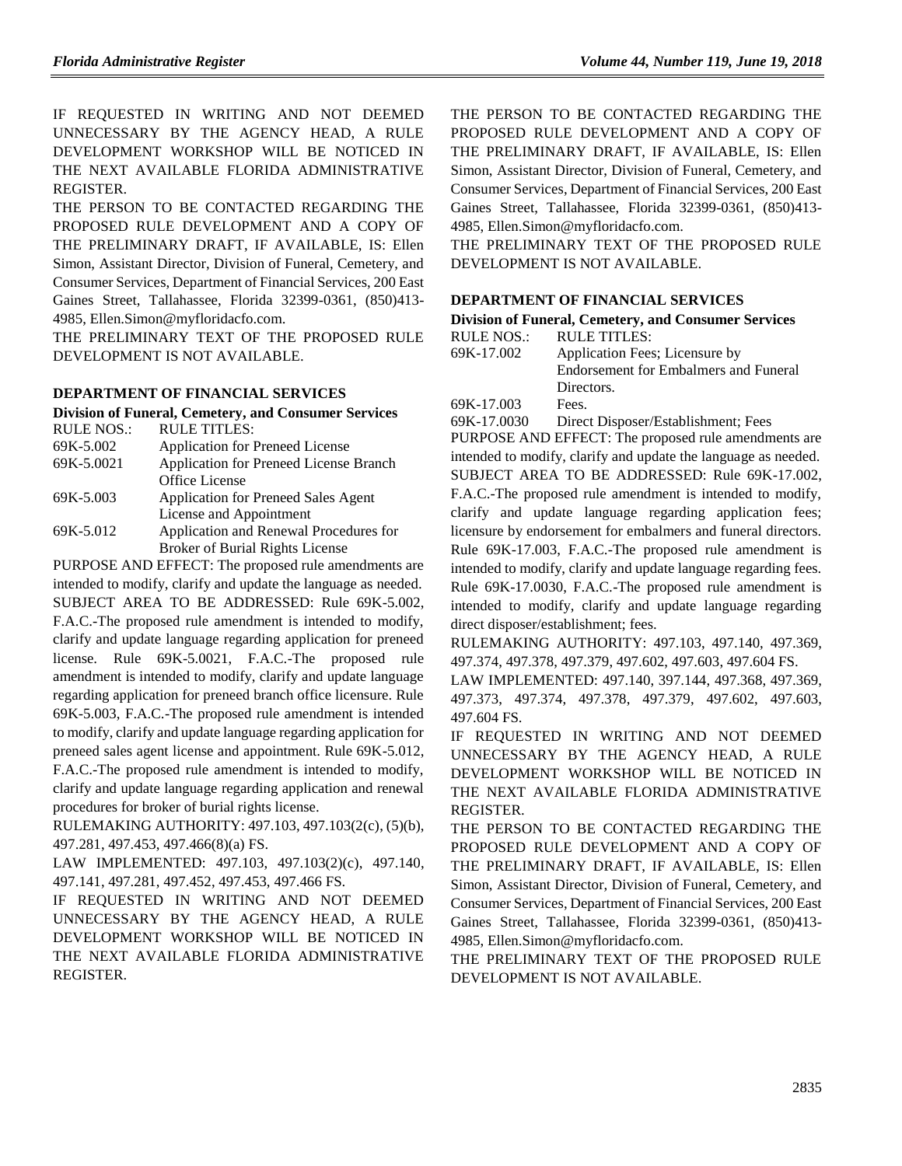IF REQUESTED IN WRITING AND NOT DEEMED UNNECESSARY BY THE AGENCY HEAD, A RULE DEVELOPMENT WORKSHOP WILL BE NOTICED IN THE NEXT AVAILABLE FLORIDA ADMINISTRATIVE REGISTER.

THE PERSON TO BE CONTACTED REGARDING THE PROPOSED RULE DEVELOPMENT AND A COPY OF THE PRELIMINARY DRAFT, IF AVAILABLE, IS: Ellen Simon, Assistant Director, Division of Funeral, Cemetery, and Consumer Services, Department of Financial Services, 200 East Gaines Street, Tallahassee, Florida 32399-0361, (850)413- 4985, Ellen.Simon@myfloridacfo.com.

THE PRELIMINARY TEXT OF THE PROPOSED RULE DEVELOPMENT IS NOT AVAILABLE.

### **[DEPARTMENT OF FINANCIAL SERVICES](https://www.flrules.org/gateway/department.asp?id=69)**

#### **[Division of Funeral, Cemetery, and Consumer Services](https://www.flrules.org/gateway/organization.asp?id=369)** RULE TITLES

| RULE IIILES.                               |  |
|--------------------------------------------|--|
| Application for Preneed License            |  |
| Application for Preneed License Branch     |  |
| Office License                             |  |
| <b>Application for Preneed Sales Agent</b> |  |
| License and Appointment                    |  |
| Application and Renewal Procedures for     |  |
| <b>Broker of Burial Rights License</b>     |  |
|                                            |  |

PURPOSE AND EFFECT: The proposed rule amendments are intended to modify, clarify and update the language as needed. SUBJECT AREA TO BE ADDRESSED: Rule 69K-5.002, F.A.C.-The proposed rule amendment is intended to modify, clarify and update language regarding application for preneed license. Rule 69K-5.0021, F.A.C.-The proposed rule amendment is intended to modify, clarify and update language regarding application for preneed branch office licensure. Rule 69K-5.003, F.A.C.-The proposed rule amendment is intended to modify, clarify and update language regarding application for preneed sales agent license and appointment. Rule 69K-5.012, F.A.C.-The proposed rule amendment is intended to modify, clarify and update language regarding application and renewal procedures for broker of burial rights license.

RULEMAKING AUTHORITY[: 497.103,](https://www.flrules.org/gateway/statute.asp?id=497.103) [497.103\(2\(c\),](https://www.flrules.org/gateway/statute.asp?id=%20497.103(2(c)) (5)(b), [497.281,](https://www.flrules.org/gateway/statute.asp?id=%20497.281) [497.453,](https://www.flrules.org/gateway/statute.asp?id=%20497.453) [497.466\(8\)\(a\) FS.](https://www.flrules.org/gateway/statute.asp?id=%20497.466(8)(a)%20FS.)

LAW IMPLEMENTED: [497.103,](https://www.flrules.org/gateway/statute.asp?id=497.103) [497.103\(2\)\(c\),](https://www.flrules.org/gateway/statute.asp?id=%20497.103(2)(c)) [497.140,](https://www.flrules.org/gateway/statute.asp?id=%20497.140) [497.141,](https://www.flrules.org/gateway/statute.asp?id=%20497.141) [497.281,](https://www.flrules.org/gateway/statute.asp?id=%20497.281) [497.452,](https://www.flrules.org/gateway/statute.asp?id=%20497.452) [497.453,](https://www.flrules.org/gateway/statute.asp?id=%20497.453) [497.466 FS.](https://www.flrules.org/gateway/statute.asp?id=%20497.466%20FS.)

IF REQUESTED IN WRITING AND NOT DEEMED UNNECESSARY BY THE AGENCY HEAD, A RULE DEVELOPMENT WORKSHOP WILL BE NOTICED IN THE NEXT AVAILABLE FLORIDA ADMINISTRATIVE REGISTER.

THE PERSON TO BE CONTACTED REGARDING THE PROPOSED RULE DEVELOPMENT AND A COPY OF THE PRELIMINARY DRAFT, IF AVAILABLE, IS: Ellen Simon, Assistant Director, Division of Funeral, Cemetery, and Consumer Services, Department of Financial Services, 200 East Gaines Street, Tallahassee, Florida 32399-0361, (850)413- 4985, Ellen.Simon@myfloridacfo.com.

THE PRELIMINARY TEXT OF THE PROPOSED RULE DEVELOPMENT IS NOT AVAILABLE.

## **[DEPARTMENT OF FINANCIAL SERVICES](https://www.flrules.org/gateway/department.asp?id=69)**

## **[Division of Funeral, Cemetery, and Consumer Services](https://www.flrules.org/gateway/organization.asp?id=369)**

| RULE NOS.: | RULE TITLES:                          |  |
|------------|---------------------------------------|--|
| 69K-17.002 | Application Fees; Licensure by        |  |
|            | Endorsement for Embalmers and Funeral |  |
|            | Directors.                            |  |
| 69K-17.003 | Fees.                                 |  |

[69K-17.0030](https://www.flrules.org/gateway/ruleNo.asp?id=69K-17.0030) Direct Disposer/Establishment; Fees

PURPOSE AND EFFECT: The proposed rule amendments are intended to modify, clarify and update the language as needed. SUBJECT AREA TO BE ADDRESSED: Rule 69K-17.002, F.A.C.-The proposed rule amendment is intended to modify, clarify and update language regarding application fees; licensure by endorsement for embalmers and funeral directors. Rule 69K-17.003, F.A.C.-The proposed rule amendment is intended to modify, clarify and update language regarding fees. Rule 69K-17.0030, F.A.C.-The proposed rule amendment is intended to modify, clarify and update language regarding direct disposer/establishment; fees.

RULEMAKING AUTHORITY: [497.103,](https://www.flrules.org/gateway/statute.asp?id=497.103) [497.140,](https://www.flrules.org/gateway/statute.asp?id=%20497.140) [497.369,](https://www.flrules.org/gateway/statute.asp?id=%20497.369) [497.374,](https://www.flrules.org/gateway/statute.asp?id=%20497.374) [497.378,](https://www.flrules.org/gateway/statute.asp?id=%20497.378) [497.379,](https://www.flrules.org/gateway/statute.asp?id=%20497.379) [497.602,](https://www.flrules.org/gateway/statute.asp?id=%20497.602) [497.603,](https://www.flrules.org/gateway/statute.asp?id=%20497.603) [497.604 FS.](https://www.flrules.org/gateway/statute.asp?id=%20497.604%20FS.)

LAW IMPLEMENTED: [497.140,](https://www.flrules.org/gateway/statute.asp?id=497.140) [397.144,](https://www.flrules.org/gateway/statute.asp?id=%20397.144) [497.368,](https://www.flrules.org/gateway/statute.asp?id=%20497.368) [497.369,](https://www.flrules.org/gateway/statute.asp?id=%20497.369) [497.373,](https://www.flrules.org/gateway/statute.asp?id=%20497.373) [497.374,](https://www.flrules.org/gateway/statute.asp?id=%20497.374) [497.378,](https://www.flrules.org/gateway/statute.asp?id=%20497.378) [497.379,](https://www.flrules.org/gateway/statute.asp?id=%20497.379) [497.602,](https://www.flrules.org/gateway/statute.asp?id=%20497.602) [497.603,](https://www.flrules.org/gateway/statute.asp?id=%20497.603) [497.604 FS.](https://www.flrules.org/gateway/statute.asp?id=%20497.604%20FS.)

IF REQUESTED IN WRITING AND NOT DEEMED UNNECESSARY BY THE AGENCY HEAD, A RULE DEVELOPMENT WORKSHOP WILL BE NOTICED IN THE NEXT AVAILABLE FLORIDA ADMINISTRATIVE REGISTER.

THE PERSON TO BE CONTACTED REGARDING THE PROPOSED RULE DEVELOPMENT AND A COPY OF THE PRELIMINARY DRAFT, IF AVAILABLE, IS: Ellen Simon, Assistant Director, Division of Funeral, Cemetery, and Consumer Services, Department of Financial Services, 200 East Gaines Street, Tallahassee, Florida 32399-0361, (850)413- 4985, Ellen.Simon@myfloridacfo.com.

THE PRELIMINARY TEXT OF THE PROPOSED RULE DEVELOPMENT IS NOT AVAILABLE.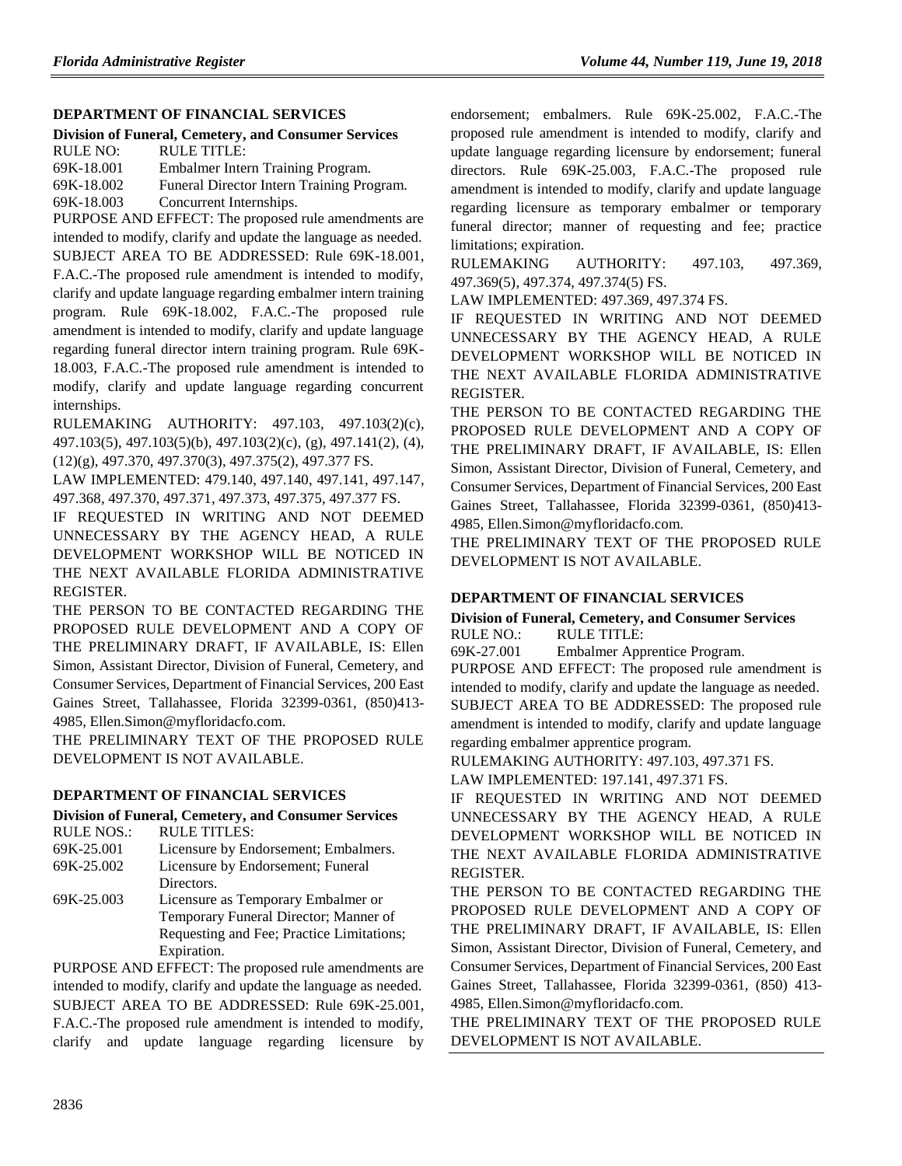## **[DEPARTMENT OF FINANCIAL SERVICES](https://www.flrules.org/gateway/department.asp?id=69)**

**[Division of Funeral, Cemetery, and Consumer Services](https://www.flrules.org/gateway/organization.asp?id=369)** RULE NO: RULE TITLE: [69K-18.001](https://www.flrules.org/gateway/ruleNo.asp?id=69K-18.001) Embalmer Intern Training Program. [69K-18.002](https://www.flrules.org/gateway/ruleNo.asp?id=69K-18.002) Funeral Director Intern Training Program.

[69K-18.003](https://www.flrules.org/gateway/ruleNo.asp?id=69K-18.003) Concurrent Internships.

PURPOSE AND EFFECT: The proposed rule amendments are intended to modify, clarify and update the language as needed. SUBJECT AREA TO BE ADDRESSED: Rule 69K-18.001, F.A.C.-The proposed rule amendment is intended to modify, clarify and update language regarding embalmer intern training program. Rule 69K-18.002, F.A.C.-The proposed rule amendment is intended to modify, clarify and update language regarding funeral director intern training program. Rule 69K-18.003, F.A.C.-The proposed rule amendment is intended to modify, clarify and update language regarding concurrent internships.

RULEMAKING AUTHORITY: [497.103,](https://www.flrules.org/gateway/statute.asp?id=497.103) [497.103\(2\)\(c\),](https://www.flrules.org/gateway/statute.asp?id=%20497.103(2)(c)) [497.103\(5\),](https://www.flrules.org/gateway/statute.asp?id=%20497.103(5)) [497.103\(5\)\(b\),](https://www.flrules.org/gateway/statute.asp?id=%20497.103(5)(b)) [497.103\(2\)\(c\),](https://www.flrules.org/gateway/statute.asp?id=%20497.103(2)(c)) (g), [497.141\(2\),](https://www.flrules.org/gateway/statute.asp?id=%20497.141(2)) (4), (12)(g), [497.370,](https://www.flrules.org/gateway/statute.asp?id=%20497.370) [497.370\(3\),](https://www.flrules.org/gateway/statute.asp?id=%20497.370(3)) [497.375\(2\),](https://www.flrules.org/gateway/statute.asp?id=%20497.375(2)) [497.377 FS.](https://www.flrules.org/gateway/statute.asp?id=%20497.377%20FS.)

LAW IMPLEMENTED: [479.140,](https://www.flrules.org/gateway/statute.asp?id=479.140) [497.140,](https://www.flrules.org/gateway/statute.asp?id=%20497.140) [497.141,](https://www.flrules.org/gateway/statute.asp?id=%20497.141) [497.147,](https://www.flrules.org/gateway/statute.asp?id=%20497.147) [497.368,](https://www.flrules.org/gateway/statute.asp?id=%20497.368) [497.370,](https://www.flrules.org/gateway/statute.asp?id=%20497.370) [497.371,](https://www.flrules.org/gateway/statute.asp?id=%20497.371) [497.373,](https://www.flrules.org/gateway/statute.asp?id=%20497.373) [497.375,](https://www.flrules.org/gateway/statute.asp?id=%20497.375) [497.377 FS.](https://www.flrules.org/gateway/statute.asp?id=%20497.377%20FS.)

IF REQUESTED IN WRITING AND NOT DEEMED UNNECESSARY BY THE AGENCY HEAD, A RULE DEVELOPMENT WORKSHOP WILL BE NOTICED IN THE NEXT AVAILABLE FLORIDA ADMINISTRATIVE REGISTER.

THE PERSON TO BE CONTACTED REGARDING THE PROPOSED RULE DEVELOPMENT AND A COPY OF THE PRELIMINARY DRAFT, IF AVAILABLE, IS: Ellen Simon, Assistant Director, Division of Funeral, Cemetery, and Consumer Services, Department of Financial Services, 200 East Gaines Street, Tallahassee, Florida 32399-0361, (850)413- 4985, Ellen.Simon@myfloridacfo.com.

THE PRELIMINARY TEXT OF THE PROPOSED RULE DEVELOPMENT IS NOT AVAILABLE.

## **[DEPARTMENT OF FINANCIAL SERVICES](https://www.flrules.org/gateway/department.asp?id=69)**

**[Division of Funeral, Cemetery, and Consumer Services](https://www.flrules.org/gateway/organization.asp?id=369)**

| <b>RULE NOS.:</b> | <b>RULE TITLES:</b>                                    |  |
|-------------------|--------------------------------------------------------|--|
| 69K-25.001        | Licensure by Endorsement; Embalmers.                   |  |
| 69K-25.002        | Licensure by Endorsement; Funeral                      |  |
|                   | Directors.                                             |  |
| 69K-25.003        | Licensure as Temporary Embalmer or                     |  |
|                   | Temporary Funeral Director; Manner of                  |  |
|                   | Requesting and Fee; Practice Limitations;              |  |
|                   | Expiration.                                            |  |
|                   | $PIIPDOSE$ AND EEEECT. The proposed rule amendments of |  |

PURPOSE AND EFFECT: The proposed rule amendments are intended to modify, clarify and update the language as needed. SUBJECT AREA TO BE ADDRESSED: Rule 69K-25.001, F.A.C.-The proposed rule amendment is intended to modify, clarify and update language regarding licensure by endorsement; embalmers. Rule 69K-25.002, F.A.C.-The proposed rule amendment is intended to modify, clarify and update language regarding licensure by endorsement; funeral directors. Rule 69K-25.003, F.A.C.-The proposed rule amendment is intended to modify, clarify and update language regarding licensure as temporary embalmer or temporary funeral director; manner of requesting and fee; practice limitations; expiration.

RULEMAKING AUTHORITY: [497.103,](https://www.flrules.org/gateway/statute.asp?id=497.103) [497.369,](https://www.flrules.org/gateway/statute.asp?id=%20497.369) [497.369\(5\),](https://www.flrules.org/gateway/statute.asp?id=%20497.369(5)) [497.374,](https://www.flrules.org/gateway/statute.asp?id=%20497.374) [497.374\(5\) FS.](https://www.flrules.org/gateway/statute.asp?id=%20497.374(5)%20FS.)

LAW IMPLEMENTED: [497.369,](https://www.flrules.org/gateway/statute.asp?id=497.369) [497.374 FS.](https://www.flrules.org/gateway/statute.asp?id=%20497.374%20FS.)

IF REQUESTED IN WRITING AND NOT DEEMED UNNECESSARY BY THE AGENCY HEAD, A RULE DEVELOPMENT WORKSHOP WILL BE NOTICED IN THE NEXT AVAILABLE FLORIDA ADMINISTRATIVE REGISTER.

THE PERSON TO BE CONTACTED REGARDING THE PROPOSED RULE DEVELOPMENT AND A COPY OF THE PRELIMINARY DRAFT, IF AVAILABLE, IS: Ellen Simon, Assistant Director, Division of Funeral, Cemetery, and Consumer Services, Department of Financial Services, 200 East Gaines Street, Tallahassee, Florida 32399-0361, (850)413- 4985, Ellen.Simon@myfloridacfo.com.

THE PRELIMINARY TEXT OF THE PROPOSED RULE DEVELOPMENT IS NOT AVAILABLE.

## **[DEPARTMENT OF FINANCIAL SERVICES](https://www.flrules.org/gateway/department.asp?id=69)**

**[Division of Funeral, Cemetery, and Consumer Services](https://www.flrules.org/gateway/organization.asp?id=369)** RULE NO.: RULE TITLE:

[69K-27.001](https://www.flrules.org/gateway/ruleNo.asp?id=69K-27.001) Embalmer Apprentice Program.

PURPOSE AND EFFECT: The proposed rule amendment is intended to modify, clarify and update the language as needed. SUBJECT AREA TO BE ADDRESSED: The proposed rule amendment is intended to modify, clarify and update language regarding embalmer apprentice program.

RULEMAKING AUTHORITY: [497.103,](https://www.flrules.org/gateway/statute.asp?id=497.103) [497.371 FS.](https://www.flrules.org/gateway/statute.asp?id=%20497.371%20FS.)

LAW IMPLEMENTED: [197.141,](https://www.flrules.org/gateway/statute.asp?id=197.141) [497.371 FS.](https://www.flrules.org/gateway/statute.asp?id=%20497.371%20FS.)

IF REQUESTED IN WRITING AND NOT DEEMED UNNECESSARY BY THE AGENCY HEAD, A RULE DEVELOPMENT WORKSHOP WILL BE NOTICED IN THE NEXT AVAILABLE FLORIDA ADMINISTRATIVE REGISTER.

THE PERSON TO BE CONTACTED REGARDING THE PROPOSED RULE DEVELOPMENT AND A COPY OF THE PRELIMINARY DRAFT, IF AVAILABLE, IS: Ellen Simon, Assistant Director, Division of Funeral, Cemetery, and Consumer Services, Department of Financial Services, 200 East Gaines Street, Tallahassee, Florida 32399-0361, (850) 413- 4985, Ellen.Simon@myfloridacfo.com.

THE PRELIMINARY TEXT OF THE PROPOSED RULE DEVELOPMENT IS NOT AVAILABLE.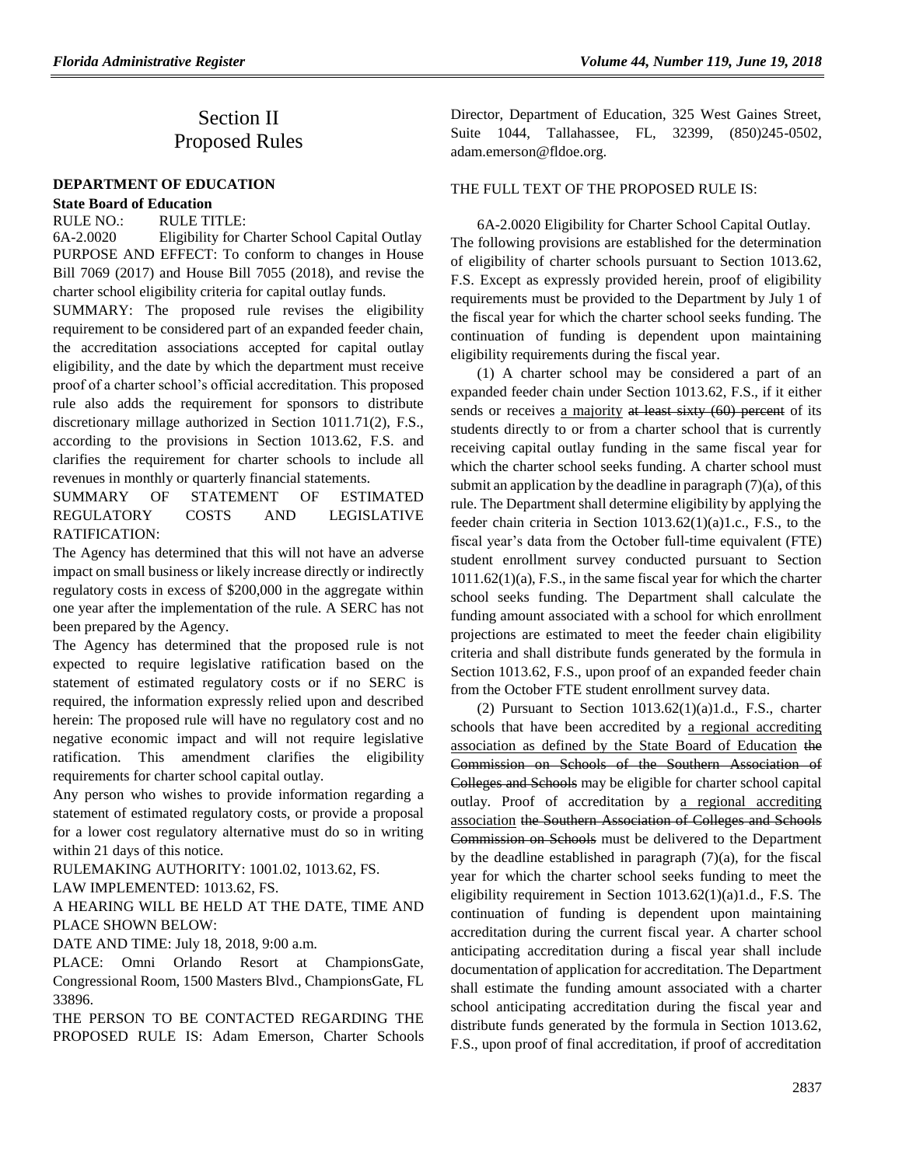# Section II Proposed Rules

### **[DEPARTMENT OF EDUCATION](https://www.flrules.org/gateway/department.asp?id=6)**

### **[State Board of Education](https://www.flrules.org/gateway/organization.asp?id=195)**

RULE NO.: RULE TITLE:

[6A-2.0020](https://www.flrules.org/gateway/ruleNo.asp?id=6A-2.0020) Eligibility for Charter School Capital Outlay PURPOSE AND EFFECT: To conform to changes in House Bill 7069 (2017) and House Bill 7055 (2018), and revise the charter school eligibility criteria for capital outlay funds.

SUMMARY: The proposed rule revises the eligibility requirement to be considered part of an expanded feeder chain, the accreditation associations accepted for capital outlay eligibility, and the date by which the department must receive proof of a charter school's official accreditation. This proposed rule also adds the requirement for sponsors to distribute discretionary millage authorized in Section 1011.71(2), F.S., according to the provisions in Section 1013.62, F.S. and clarifies the requirement for charter schools to include all revenues in monthly or quarterly financial statements.

SUMMARY OF STATEMENT OF ESTIMATED REGULATORY COSTS AND LEGISLATIVE RATIFICATION:

The Agency has determined that this will not have an adverse impact on small business or likely increase directly or indirectly regulatory costs in excess of \$200,000 in the aggregate within one year after the implementation of the rule. A SERC has not been prepared by the Agency.

The Agency has determined that the proposed rule is not expected to require legislative ratification based on the statement of estimated regulatory costs or if no SERC is required, the information expressly relied upon and described herein: The proposed rule will have no regulatory cost and no negative economic impact and will not require legislative ratification. This amendment clarifies the eligibility requirements for charter school capital outlay.

Any person who wishes to provide information regarding a statement of estimated regulatory costs, or provide a proposal for a lower cost regulatory alternative must do so in writing within 21 days of this notice.

RULEMAKING AUTHORITY: [1001.02,](https://www.flrules.org/gateway/statute.asp?id=1001.02) [1013.62,](https://www.flrules.org/gateway/statute.asp?id=%201013.62) FS.

LAW IMPLEMENTED: [1013.62,](https://www.flrules.org/gateway/statute.asp?id=1013.62) FS.

A HEARING WILL BE HELD AT THE DATE, TIME AND PLACE SHOWN BELOW:

DATE AND TIME: July 18, 2018, 9:00 a.m.

PLACE: Omni Orlando Resort at ChampionsGate, Congressional Room, 1500 Masters Blvd., ChampionsGate, FL 33896.

THE PERSON TO BE CONTACTED REGARDING THE PROPOSED RULE IS: Adam Emerson, Charter Schools

*Florida Administrative Register Volume 44, Number 119, June 19, 2018*

Director, Department of Education, 325 West Gaines Street, Suite 1044, Tallahassee, FL, 32399, (850)245-0502, adam.emerson@fldoe.org.

### THE FULL TEXT OF THE PROPOSED RULE IS:

6A-2.0020 Eligibility for Charter School Capital Outlay. The following provisions are established for the determination of eligibility of charter schools pursuant to Section 1013.62, F.S. Except as expressly provided herein, proof of eligibility requirements must be provided to the Department by July 1 of the fiscal year for which the charter school seeks funding. The continuation of funding is dependent upon maintaining eligibility requirements during the fiscal year.

(1) A charter school may be considered a part of an expanded feeder chain under Section 1013.62, F.S., if it either sends or receives a majority at least sixty (60) percent of its students directly to or from a charter school that is currently receiving capital outlay funding in the same fiscal year for which the charter school seeks funding. A charter school must submit an application by the deadline in paragraph  $(7)(a)$ , of this rule. The Department shall determine eligibility by applying the feeder chain criteria in Section 1013.62(1)(a)1.c., F.S., to the fiscal year's data from the October full-time equivalent (FTE) student enrollment survey conducted pursuant to Section 1011.62(1)(a), F.S., in the same fiscal year for which the charter school seeks funding. The Department shall calculate the funding amount associated with a school for which enrollment projections are estimated to meet the feeder chain eligibility criteria and shall distribute funds generated by the formula in Section 1013.62, F.S., upon proof of an expanded feeder chain from the October FTE student enrollment survey data.

(2) Pursuant to Section  $1013.62(1)(a)1.d., F.S.,$  charter schools that have been accredited by a regional accrediting association as defined by the State Board of Education the Commission on Schools of the Southern Association of Colleges and Schools may be eligible for charter school capital outlay. Proof of accreditation by a regional accrediting association the Southern Association of Colleges and Schools Commission on Schools must be delivered to the Department by the deadline established in paragraph  $(7)(a)$ , for the fiscal year for which the charter school seeks funding to meet the eligibility requirement in Section 1013.62(1)(a)1.d., F.S. The continuation of funding is dependent upon maintaining accreditation during the current fiscal year. A charter school anticipating accreditation during a fiscal year shall include documentation of application for accreditation. The Department shall estimate the funding amount associated with a charter school anticipating accreditation during the fiscal year and distribute funds generated by the formula in Section 1013.62, F.S., upon proof of final accreditation, if proof of accreditation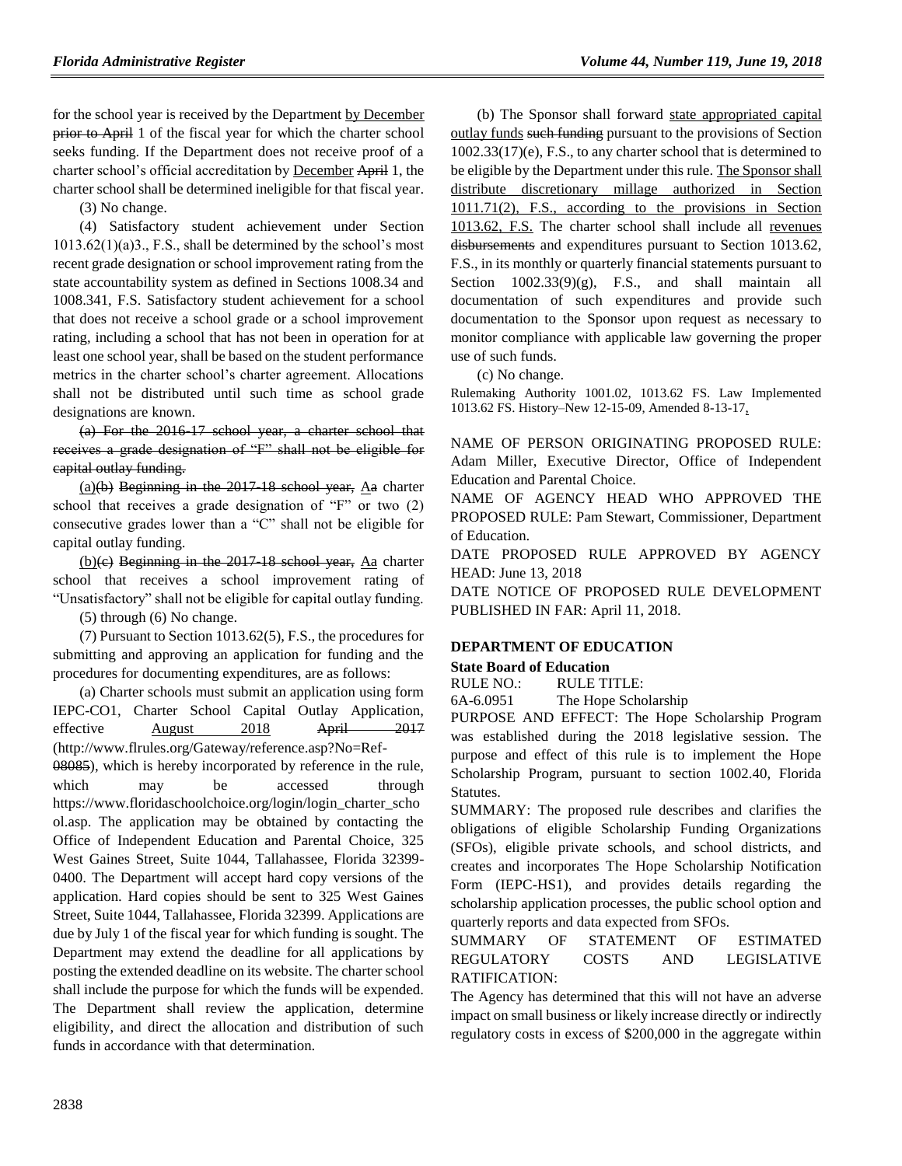for the school year is received by the Department by December prior to April 1 of the fiscal year for which the charter school seeks funding. If the Department does not receive proof of a charter school's official accreditation by December April 1, the charter school shall be determined ineligible for that fiscal year.

(3) No change.

(4) Satisfactory student achievement under Section  $1013.62(1)(a)3$ ., F.S., shall be determined by the school's most recent grade designation or school improvement rating from the state accountability system as defined in Sections 1008.34 and 1008.341, F.S. Satisfactory student achievement for a school that does not receive a school grade or a school improvement rating, including a school that has not been in operation for at least one school year, shall be based on the student performance metrics in the charter school's charter agreement. Allocations shall not be distributed until such time as school grade designations are known.

(a) For the 2016-17 school year, a charter school that receives a grade designation of "F" shall not be eligible for capital outlay funding.

(a)(b) Beginning in the 2017-18 school year,  $\Delta a$  charter school that receives a grade designation of "F" or two (2) consecutive grades lower than a "C" shall not be eligible for capital outlay funding.

 $(b)(e)$  Beginning in the 2017-18 school year, Aa charter school that receives a school improvement rating of "Unsatisfactory" shall not be eligible for capital outlay funding.

(5) through (6) No change.

(7) Pursuant to Section 1013.62(5), F.S., the procedures for submitting and approving an application for funding and the procedures for documenting expenditures, are as follows:

(a) Charter schools must submit an application using form IEPC-CO1, Charter School Capital Outlay Application, effective August 2018 April 2017 (http://www.flrules.org/Gateway/reference.asp?No=Ref-08085), which is hereby incorporated by reference in the rule, which may be accessed through https://www.floridaschoolchoice.org/login/login\_charter\_scho ol.asp. The application may be obtained by contacting the Office of Independent Education and Parental Choice, 325 West Gaines Street, Suite 1044, Tallahassee, Florida 32399- 0400. The Department will accept hard copy versions of the application. Hard copies should be sent to 325 West Gaines Street, Suite 1044, Tallahassee, Florida 32399. Applications are due by July 1 of the fiscal year for which funding is sought. The Department may extend the deadline for all applications by posting the extended deadline on its website. The charter school shall include the purpose for which the funds will be expended. The Department shall review the application, determine eligibility, and direct the allocation and distribution of such funds in accordance with that determination.

(b) The Sponsor shall forward state appropriated capital outlay funds such funding pursuant to the provisions of Section 1002.33(17)(e), F.S., to any charter school that is determined to be eligible by the Department under this rule. The Sponsor shall distribute discretionary millage authorized in Section 1011.71(2), F.S., according to the provisions in Section 1013.62, F.S. The charter school shall include all revenues disbursements and expenditures pursuant to Section 1013.62, F.S., in its monthly or quarterly financial statements pursuant to Section  $1002.33(9)(g)$ , F.S., and shall maintain all documentation of such expenditures and provide such documentation to the Sponsor upon request as necessary to monitor compliance with applicable law governing the proper use of such funds.

(c) No change.

Rulemaking Authority 1001.02, 1013.62 FS. Law Implemented 1013.62 FS. History–New 12-15-09, Amended 8-13-17,

NAME OF PERSON ORIGINATING PROPOSED RULE: Adam Miller, Executive Director, Office of Independent Education and Parental Choice.

NAME OF AGENCY HEAD WHO APPROVED THE PROPOSED RULE: Pam Stewart, Commissioner, Department of Education.

DATE PROPOSED RULE APPROVED BY AGENCY HEAD: June 13, 2018

DATE NOTICE OF PROPOSED RULE DEVELOPMENT PUBLISHED IN FAR: April 11, 2018.

## **[DEPARTMENT OF EDUCATION](https://www.flrules.org/gateway/department.asp?id=6)**

### **[State Board of Education](https://www.flrules.org/gateway/organization.asp?id=195)**

RULE NO.: RULE TITLE:

[6A-6.0951](https://www.flrules.org/gateway/ruleNo.asp?id=6A-6.0951) The Hope Scholarship

PURPOSE AND EFFECT: The Hope Scholarship Program was established during the 2018 legislative session. The purpose and effect of this rule is to implement the Hope Scholarship Program, pursuant to section 1002.40, Florida Statutes.

SUMMARY: The proposed rule describes and clarifies the obligations of eligible Scholarship Funding Organizations (SFOs), eligible private schools, and school districts, and creates and incorporates The Hope Scholarship Notification Form (IEPC-HS1), and provides details regarding the scholarship application processes, the public school option and quarterly reports and data expected from SFOs.

## SUMMARY OF STATEMENT OF ESTIMATED REGULATORY COSTS AND LEGISLATIVE RATIFICATION:

The Agency has determined that this will not have an adverse impact on small business or likely increase directly or indirectly regulatory costs in excess of \$200,000 in the aggregate within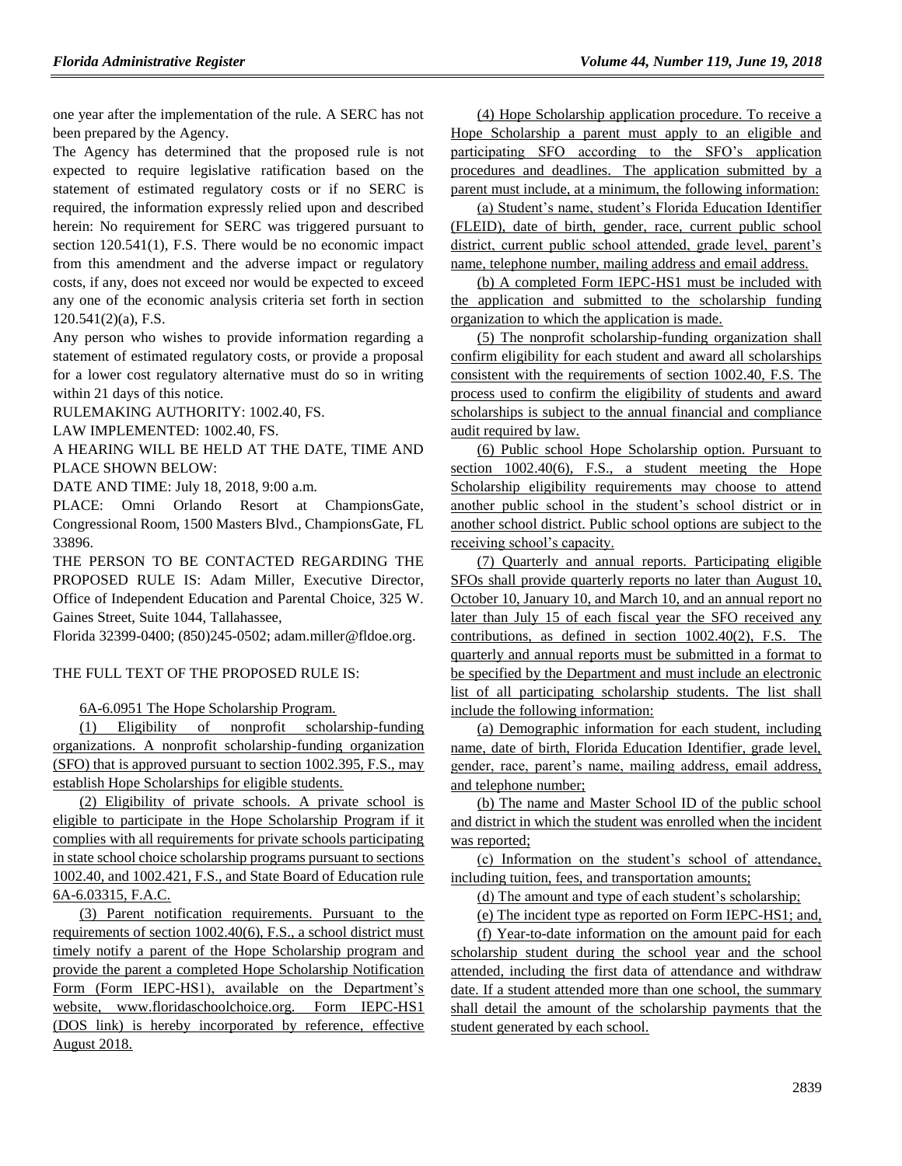one year after the implementation of the rule. A SERC has not been prepared by the Agency.

The Agency has determined that the proposed rule is not expected to require legislative ratification based on the statement of estimated regulatory costs or if no SERC is required, the information expressly relied upon and described herein: No requirement for SERC was triggered pursuant to section 120.541(1), F.S. There would be no economic impact from this amendment and the adverse impact or regulatory costs, if any, does not exceed nor would be expected to exceed any one of the economic analysis criteria set forth in section 120.541(2)(a), F.S.

Any person who wishes to provide information regarding a statement of estimated regulatory costs, or provide a proposal for a lower cost regulatory alternative must do so in writing within 21 days of this notice.

RULEMAKING AUTHORITY: [1002.40,](https://www.flrules.org/gateway/statute.asp?id=1002.40) FS.

LAW IMPLEMENTED: [1002.40,](https://www.flrules.org/gateway/statute.asp?id=1002.40) FS.

A HEARING WILL BE HELD AT THE DATE, TIME AND PLACE SHOWN BELOW:

DATE AND TIME: July 18, 2018, 9:00 a.m.

PLACE: Omni Orlando Resort at ChampionsGate, Congressional Room, 1500 Masters Blvd., ChampionsGate, FL 33896.

THE PERSON TO BE CONTACTED REGARDING THE PROPOSED RULE IS: Adam Miller, Executive Director, Office of Independent Education and Parental Choice, 325 W. Gaines Street, Suite 1044, Tallahassee,

Florida 32399-0400; (850)245-0502; adam.miller@fldoe.org.

### THE FULL TEXT OF THE PROPOSED RULE IS:

6A-6.0951 The Hope Scholarship Program.

(1) Eligibility of nonprofit scholarship-funding organizations. A nonprofit scholarship-funding organization (SFO) that is approved pursuant to section 1002.395, F.S., may establish Hope Scholarships for eligible students.

(2) Eligibility of private schools. A private school is eligible to participate in the Hope Scholarship Program if it complies with all requirements for private schools participating in state school choice scholarship programs pursuant to sections 1002.40, and 1002.421, F.S., and State Board of Education rule 6A-6.03315, F.A.C.

(3) Parent notification requirements. Pursuant to the requirements of section 1002.40(6), F.S., a school district must timely notify a parent of the Hope Scholarship program and provide the parent a completed Hope Scholarship Notification Form (Form IEPC-HS1), available on the Department's website, www.floridaschoolchoice.org. Form IEPC-HS1 (DOS link) is hereby incorporated by reference, effective August 2018.

(4) Hope Scholarship application procedure. To receive a Hope Scholarship a parent must apply to an eligible and participating SFO according to the SFO's application procedures and deadlines. The application submitted by a parent must include, at a minimum, the following information:

(a) Student's name, student's Florida Education Identifier (FLEID), date of birth, gender, race, current public school district, current public school attended, grade level, parent's name, telephone number, mailing address and email address.

(b) A completed Form IEPC-HS1 must be included with the application and submitted to the scholarship funding organization to which the application is made.

(5) The nonprofit scholarship-funding organization shall confirm eligibility for each student and award all scholarships consistent with the requirements of section 1002.40, F.S. The process used to confirm the eligibility of students and award scholarships is subject to the annual financial and compliance audit required by law.

(6) Public school Hope Scholarship option. Pursuant to section 1002.40(6), F.S., a student meeting the Hope Scholarship eligibility requirements may choose to attend another public school in the student's school district or in another school district. Public school options are subject to the receiving school's capacity.

(7) Quarterly and annual reports. Participating eligible SFOs shall provide quarterly reports no later than August 10, October 10, January 10, and March 10, and an annual report no later than July 15 of each fiscal year the SFO received any contributions, as defined in section 1002.40(2), F.S. The quarterly and annual reports must be submitted in a format to be specified by the Department and must include an electronic list of all participating scholarship students. The list shall include the following information:

(a) Demographic information for each student, including name, date of birth, Florida Education Identifier, grade level, gender, race, parent's name, mailing address, email address, and telephone number;

(b) The name and Master School ID of the public school and district in which the student was enrolled when the incident was reported;

(c) Information on the student's school of attendance, including tuition, fees, and transportation amounts;

(d) The amount and type of each student's scholarship;

(e) The incident type as reported on Form IEPC-HS1; and,

(f) Year-to-date information on the amount paid for each scholarship student during the school year and the school attended, including the first data of attendance and withdraw date. If a student attended more than one school, the summary shall detail the amount of the scholarship payments that the student generated by each school.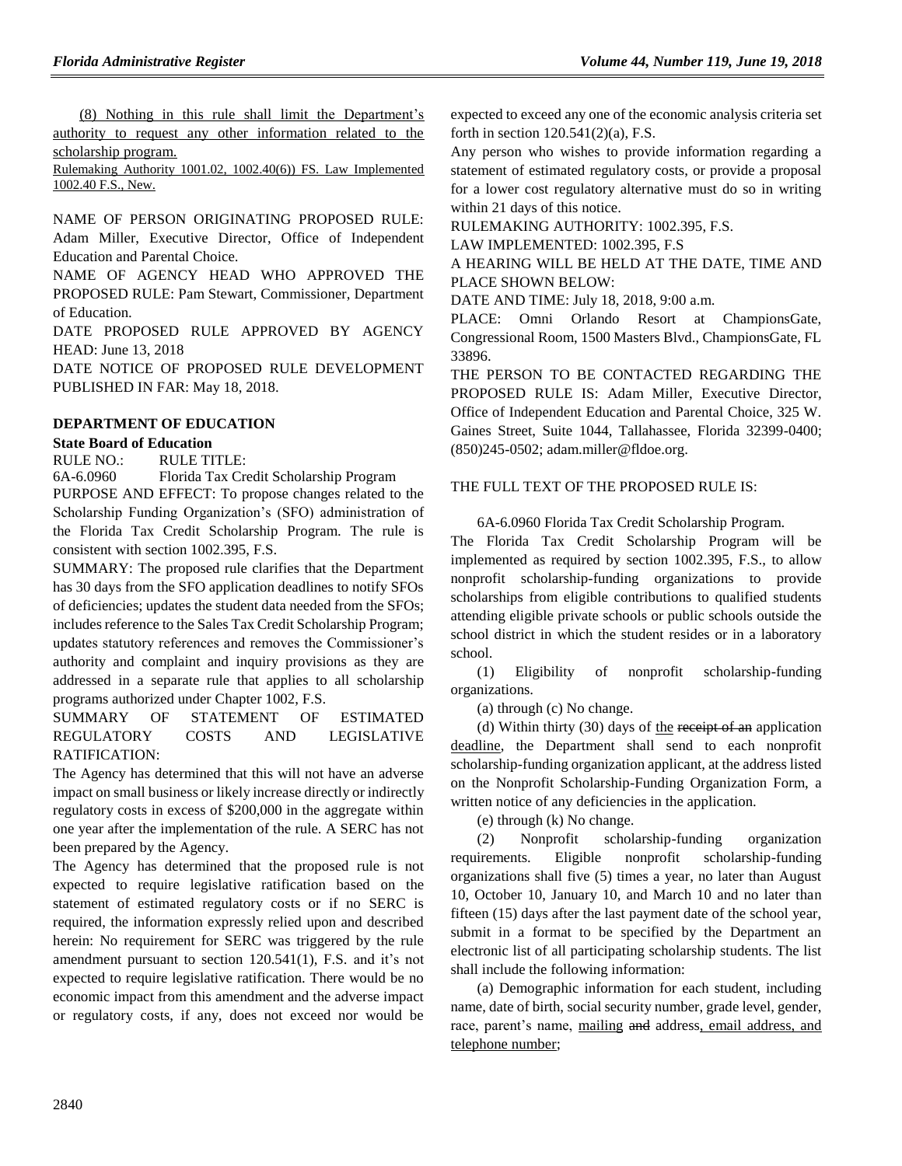(8) Nothing in this rule shall limit the Department's authority to request any other information related to the scholarship program.

Rulemaking Authority 1001.02, 1002.40(6)) FS. Law Implemented 1002.40 F.S., New.

NAME OF PERSON ORIGINATING PROPOSED RULE: Adam Miller, Executive Director, Office of Independent Education and Parental Choice.

NAME OF AGENCY HEAD WHO APPROVED THE PROPOSED RULE: Pam Stewart, Commissioner, Department of Education.

DATE PROPOSED RULE APPROVED BY AGENCY HEAD: June 13, 2018

DATE NOTICE OF PROPOSED RULE DEVELOPMENT PUBLISHED IN FAR: May 18, 2018.

## **[DEPARTMENT OF EDUCATION](https://www.flrules.org/gateway/department.asp?id=6)**

## **[State Board of Education](https://www.flrules.org/gateway/organization.asp?id=195)**

RULE NO.: RULE TITLE:

[6A-6.0960](https://www.flrules.org/gateway/ruleNo.asp?id=6A-6.0960) Florida Tax Credit Scholarship Program PURPOSE AND EFFECT: To propose changes related to the Scholarship Funding Organization's (SFO) administration of the Florida Tax Credit Scholarship Program. The rule is consistent with section 1002.395, F.S.

SUMMARY: The proposed rule clarifies that the Department has 30 days from the SFO application deadlines to notify SFOs of deficiencies; updates the student data needed from the SFOs; includes reference to the Sales Tax Credit Scholarship Program; updates statutory references and removes the Commissioner's authority and complaint and inquiry provisions as they are addressed in a separate rule that applies to all scholarship programs authorized under Chapter 1002, F.S.

SUMMARY OF STATEMENT OF ESTIMATED REGULATORY COSTS AND LEGISLATIVE RATIFICATION:

The Agency has determined that this will not have an adverse impact on small business or likely increase directly or indirectly regulatory costs in excess of \$200,000 in the aggregate within one year after the implementation of the rule. A SERC has not been prepared by the Agency.

The Agency has determined that the proposed rule is not expected to require legislative ratification based on the statement of estimated regulatory costs or if no SERC is required, the information expressly relied upon and described herein: No requirement for SERC was triggered by the rule amendment pursuant to section 120.541(1), F.S. and it's not expected to require legislative ratification. There would be no economic impact from this amendment and the adverse impact or regulatory costs, if any, does not exceed nor would be

expected to exceed any one of the economic analysis criteria set forth in section 120.541(2)(a), F.S.

Any person who wishes to provide information regarding a statement of estimated regulatory costs, or provide a proposal for a lower cost regulatory alternative must do so in writing within 21 days of this notice.

RULEMAKING AUTHORITY: [1002.395,](https://www.flrules.org/gateway/statute.asp?id=1002.395) F.S.

LAW IMPLEMENTED: [1002.395, F.S](https://www.flrules.org/gateway/cfr.asp?id=1002.395,%20F.S)

A HEARING WILL BE HELD AT THE DATE, TIME AND PLACE SHOWN BELOW:

DATE AND TIME: July 18, 2018, 9:00 a.m.

PLACE: Omni Orlando Resort at ChampionsGate, Congressional Room, 1500 Masters Blvd., ChampionsGate, FL 33896.

THE PERSON TO BE CONTACTED REGARDING THE PROPOSED RULE IS: Adam Miller, Executive Director, Office of Independent Education and Parental Choice, 325 W. Gaines Street, Suite 1044, Tallahassee, Florida 32399-0400; (850)245-0502; adam.miller@fldoe.org.

## THE FULL TEXT OF THE PROPOSED RULE IS:

6A-6.0960 Florida Tax Credit Scholarship Program.

The Florida Tax Credit Scholarship Program will be implemented as required by section 1002.395, F.S., to allow nonprofit scholarship-funding organizations to provide scholarships from eligible contributions to qualified students attending eligible private schools or public schools outside the school district in which the student resides or in a laboratory school.

(1) Eligibility of nonprofit scholarship-funding organizations.

(a) through (c) No change.

(d) Within thirty  $(30)$  days of the receipt of an application deadline, the Department shall send to each nonprofit scholarship-funding organization applicant, at the address listed on the Nonprofit Scholarship-Funding Organization Form, a written notice of any deficiencies in the application.

(e) through (k) No change.

(2) Nonprofit scholarship-funding organization requirements. Eligible nonprofit scholarship-funding organizations shall five (5) times a year, no later than August 10, October 10, January 10, and March 10 and no later than fifteen (15) days after the last payment date of the school year, submit in a format to be specified by the Department an electronic list of all participating scholarship students. The list shall include the following information:

(a) Demographic information for each student, including name, date of birth, social security number, grade level, gender, race, parent's name, mailing and address, email address, and telephone number;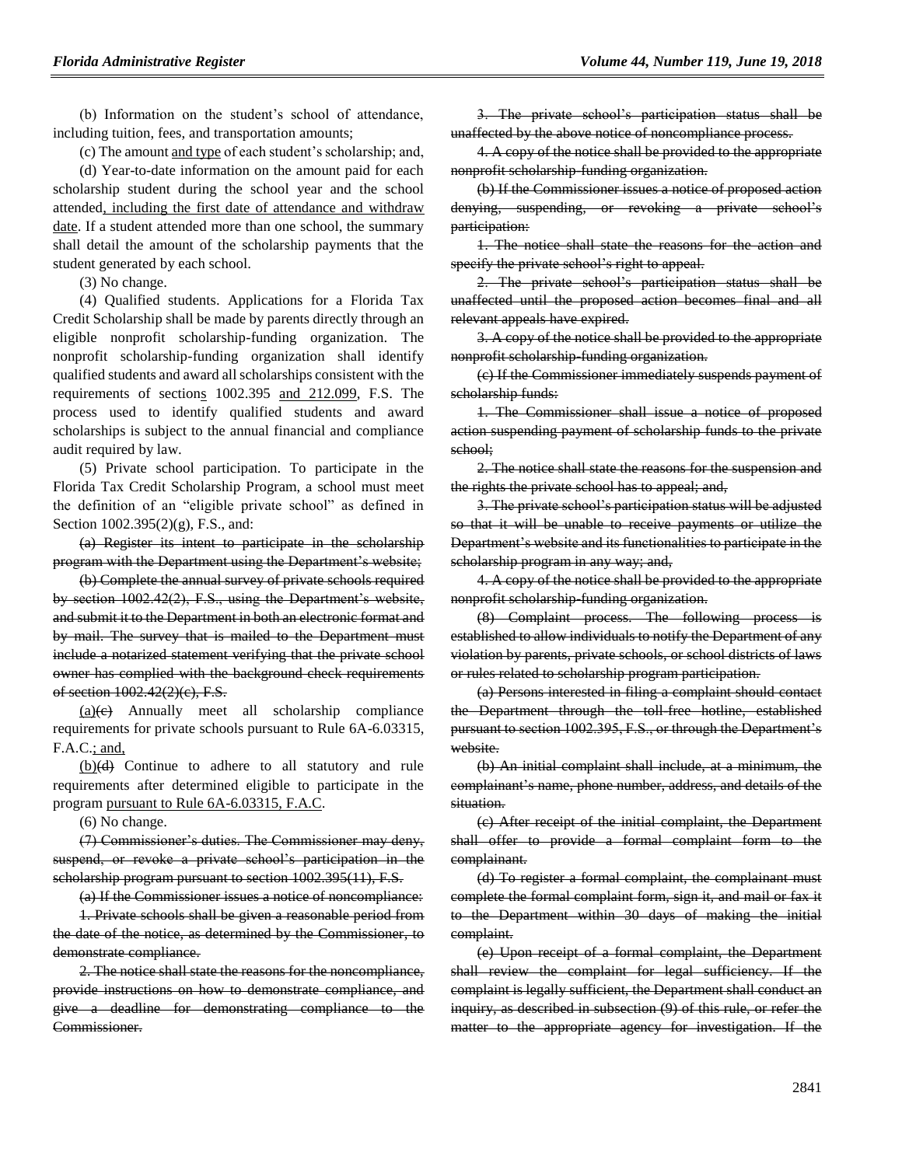(b) Information on the student's school of attendance, including tuition, fees, and transportation amounts;

(c) The amount and type of each student's scholarship; and,

(d) Year-to-date information on the amount paid for each scholarship student during the school year and the school attended, including the first date of attendance and withdraw date. If a student attended more than one school, the summary shall detail the amount of the scholarship payments that the student generated by each school.

(3) No change.

(4) Qualified students. Applications for a Florida Tax Credit Scholarship shall be made by parents directly through an eligible nonprofit scholarship-funding organization. The nonprofit scholarship-funding organization shall identify qualified students and award all scholarships consistent with the requirements of sections 1002.395 and 212.099, F.S. The process used to identify qualified students and award scholarships is subject to the annual financial and compliance audit required by law.

(5) Private school participation. To participate in the Florida Tax Credit Scholarship Program, a school must meet the definition of an "eligible private school" as defined in Section 1002.395(2)(g), F.S., and:

(a) Register its intent to participate in the scholarship program with the Department using the Department's website;

(b) Complete the annual survey of private schools required by section 1002.42(2), F.S., using the Department's website, and submit it to the Department in both an electronic format and by mail. The survey that is mailed to the Department must include a notarized statement verifying that the private school owner has complied with the background check requirements of section 1002.42(2)(c), F.S.

 $(a)(e)$  Annually meet all scholarship compliance requirements for private schools pursuant to Rule 6A-6.03315, F.A.C.; and,

(b)(d) Continue to adhere to all statutory and rule requirements after determined eligible to participate in the program pursuant to Rule 6A-6.03315, F.A.C.

(6) No change.

(7) Commissioner's duties. The Commissioner may deny, suspend, or revoke a private school's participation in the scholarship program pursuant to section 1002.395(11), F.S.

(a) If the Commissioner issues a notice of noncompliance:

1. Private schools shall be given a reasonable period from the date of the notice, as determined by the Commissioner, to demonstrate compliance.

2. The notice shall state the reasons for the noncompliance, provide instructions on how to demonstrate compliance, and give a deadline for demonstrating compliance to the Commissioner.

3. The private school's participation status shall be unaffected by the above notice of noncompliance process.

4. A copy of the notice shall be provided to the appropriate nonprofit scholarship-funding organization.

(b) If the Commissioner issues a notice of proposed action denying, suspending, or revoking a private school's participation:

1. The notice shall state the reasons for the action and specify the private school's right to appeal.

2. The private school's participation status shall be unaffected until the proposed action becomes final and all relevant appeals have expired.

3. A copy of the notice shall be provided to the appropriate nonprofit scholarship-funding organization.

(c) If the Commissioner immediately suspends payment of scholarship funds:

1. The Commissioner shall issue a notice of proposed action suspending payment of scholarship funds to the private school;

2. The notice shall state the reasons for the suspension and the rights the private school has to appeal; and,

3. The private school's participation status will be adjusted so that it will be unable to receive payments or utilize the Department's website and its functionalities to participate in the scholarship program in any way; and,

4. A copy of the notice shall be provided to the appropriate nonprofit scholarship-funding organization.

(8) Complaint process. The following process is established to allow individuals to notify the Department of any violation by parents, private schools, or school districts of laws or rules related to scholarship program participation.

(a) Persons interested in filing a complaint should contact the Department through the toll-free hotline, established pursuant to section 1002.395, F.S., or through the Department's website.

(b) An initial complaint shall include, at a minimum, the complainant's name, phone number, address, and details of the situation.

(c) After receipt of the initial complaint, the Department shall offer to provide a formal complaint form to the complainant.

(d) To register a formal complaint, the complainant must complete the formal complaint form, sign it, and mail or fax it to the Department within 30 days of making the initial complaint.

(e) Upon receipt of a formal complaint, the Department shall review the complaint for legal sufficiency. If the complaint is legally sufficient, the Department shall conduct an inquiry, as described in subsection (9) of this rule, or refer the matter to the appropriate agency for investigation. If the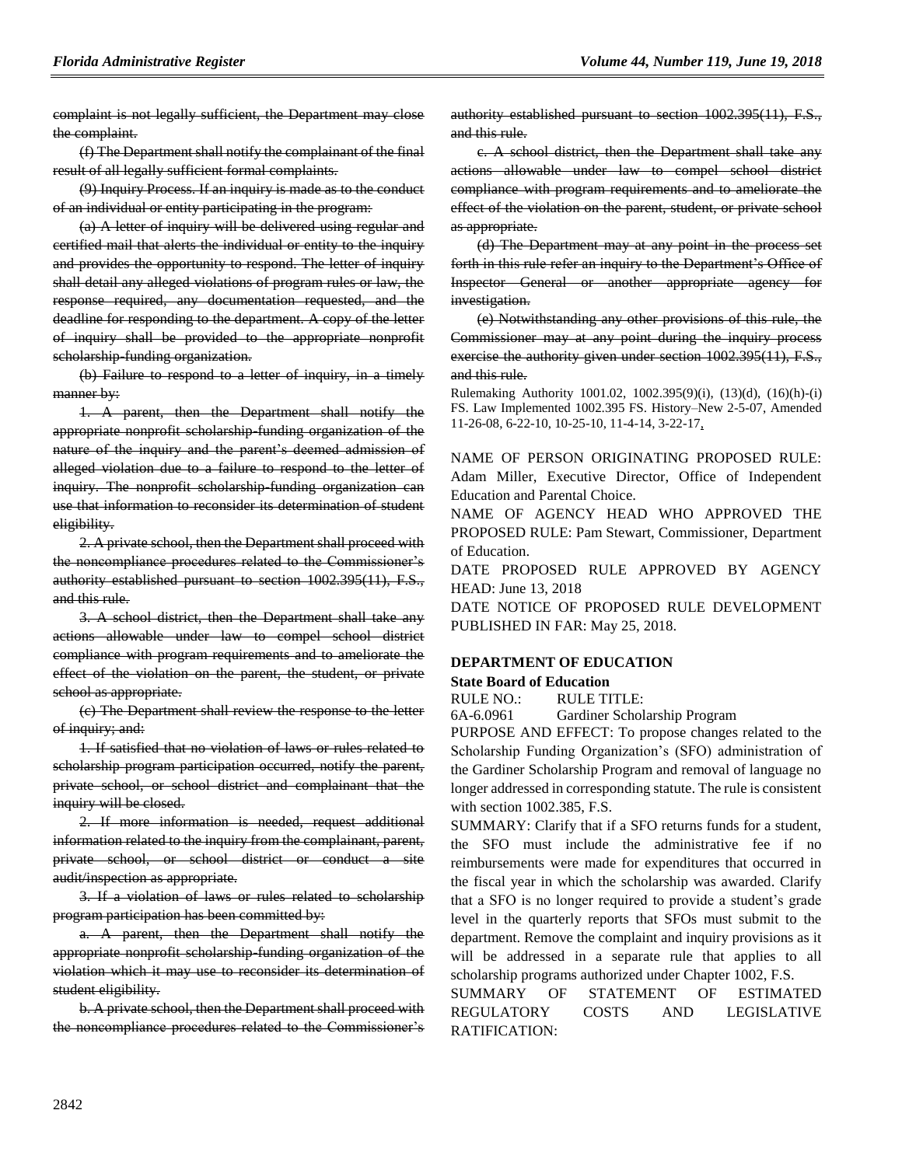complaint is not legally sufficient, the Department may close the complaint.

(f) The Department shall notify the complainant of the final result of all legally sufficient formal complaints.

(9) Inquiry Process. If an inquiry is made as to the conduct of an individual or entity participating in the program:

(a) A letter of inquiry will be delivered using regular and certified mail that alerts the individual or entity to the inquiry and provides the opportunity to respond. The letter of inquiry shall detail any alleged violations of program rules or law, the response required, any documentation requested, and the deadline for responding to the department. A copy of the letter of inquiry shall be provided to the appropriate nonprofit scholarship-funding organization.

(b) Failure to respond to a letter of inquiry, in a timely manner by:

1. A parent, then the Department shall notify the appropriate nonprofit scholarship-funding organization of the nature of the inquiry and the parent's deemed admission of alleged violation due to a failure to respond to the letter of inquiry. The nonprofit scholarship-funding organization can use that information to reconsider its determination of student eligibility.

2. A private school, then the Department shall proceed with the noncompliance procedures related to the Commissioner's authority established pursuant to section 1002.395(11), F.S., and this rule.

3. A school district, then the Department shall take any actions allowable under law to compel school district compliance with program requirements and to ameliorate the effect of the violation on the parent, the student, or private school as appropriate.

(c) The Department shall review the response to the letter of inquiry; and:

1. If satisfied that no violation of laws or rules related to scholarship program participation occurred, notify the parent, private school, or school district and complainant that the inquiry will be closed.

2. If more information is needed, request additional information related to the inquiry from the complainant, parent, private school, or school district or conduct a site audit/inspection as appropriate.

3. If a violation of laws or rules related to scholarship program participation has been committed by:

a. A parent, then the Department shall notify the appropriate nonprofit scholarship-funding organization of the violation which it may use to reconsider its determination of student eligibility.

b. A private school, then the Department shall proceed with the noncompliance procedures related to the Commissioner's authority established pursuant to section 1002.395(11), F.S., and this rule.

c. A school district, then the Department shall take any actions allowable under law to compel school district compliance with program requirements and to ameliorate the effect of the violation on the parent, student, or private school as appropriate.

(d) The Department may at any point in the process set forth in this rule refer an inquiry to the Department's Office of Inspector General or another appropriate agency for investigation.

(e) Notwithstanding any other provisions of this rule, the Commissioner may at any point during the inquiry process exercise the authority given under section 1002.395(11), F.S., and this rule.

Rulemaking Authority 1001.02, 1002.395(9)(i), (13)(d), (16)(h)-(i) FS. Law Implemented 1002.395 FS. History–New 2-5-07, Amended 11-26-08, 6-22-10, 10-25-10, 11-4-14, 3-22-17,

NAME OF PERSON ORIGINATING PROPOSED RULE: Adam Miller, Executive Director, Office of Independent Education and Parental Choice.

NAME OF AGENCY HEAD WHO APPROVED THE PROPOSED RULE: Pam Stewart, Commissioner, Department of Education.

DATE PROPOSED RULE APPROVED BY AGENCY HEAD: June 13, 2018

DATE NOTICE OF PROPOSED RULE DEVELOPMENT PUBLISHED IN FAR: May 25, 2018.

## **[DEPARTMENT OF EDUCATION](https://www.flrules.org/gateway/department.asp?id=6)**

## **[State Board of Education](https://www.flrules.org/gateway/organization.asp?id=195)**

RULE NO.: RULE TITLE:

[6A-6.0961](https://www.flrules.org/gateway/ruleNo.asp?id=6A-6.0961) Gardiner Scholarship Program

PURPOSE AND EFFECT: To propose changes related to the Scholarship Funding Organization's (SFO) administration of the Gardiner Scholarship Program and removal of language no longer addressed in corresponding statute. The rule is consistent with section 1002.385, F.S.

SUMMARY: Clarify that if a SFO returns funds for a student, the SFO must include the administrative fee if no reimbursements were made for expenditures that occurred in the fiscal year in which the scholarship was awarded. Clarify that a SFO is no longer required to provide a student's grade level in the quarterly reports that SFOs must submit to the department. Remove the complaint and inquiry provisions as it will be addressed in a separate rule that applies to all scholarship programs authorized under Chapter 1002, F.S.

SUMMARY OF STATEMENT OF ESTIMATED REGULATORY COSTS AND LEGISLATIVE RATIFICATION: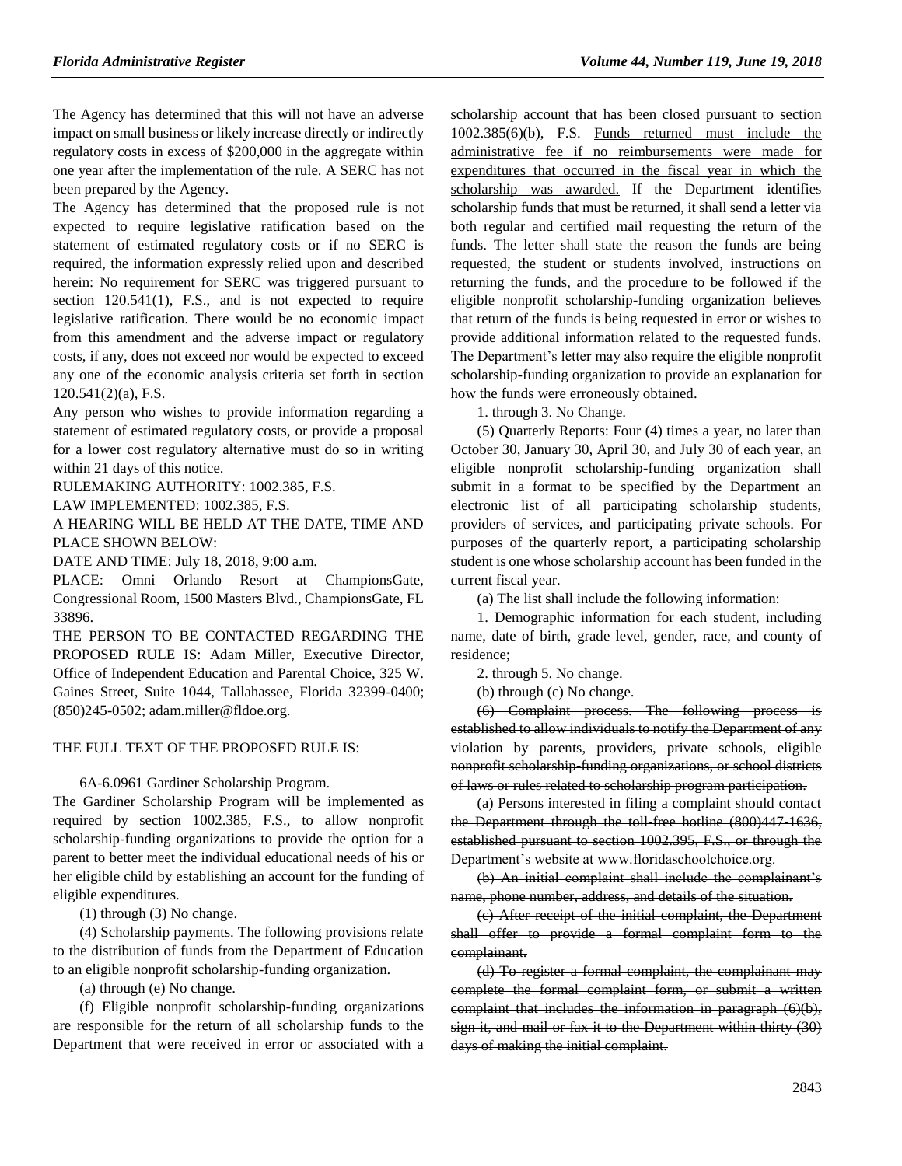The Agency has determined that this will not have an adverse impact on small business or likely increase directly or indirectly regulatory costs in excess of \$200,000 in the aggregate within one year after the implementation of the rule. A SERC has not been prepared by the Agency.

The Agency has determined that the proposed rule is not expected to require legislative ratification based on the statement of estimated regulatory costs or if no SERC is required, the information expressly relied upon and described herein: No requirement for SERC was triggered pursuant to section 120.541(1), F.S., and is not expected to require legislative ratification. There would be no economic impact from this amendment and the adverse impact or regulatory costs, if any, does not exceed nor would be expected to exceed any one of the economic analysis criteria set forth in section 120.541(2)(a), F.S.

Any person who wishes to provide information regarding a statement of estimated regulatory costs, or provide a proposal for a lower cost regulatory alternative must do so in writing within 21 days of this notice.

RULEMAKING AUTHORITY: [1002.385,](https://www.flrules.org/gateway/statute.asp?id=1002.385) F.S.

LAW IMPLEMENTED: [1002.385,](https://www.flrules.org/gateway/statute.asp?id=1002.385) F.S.

A HEARING WILL BE HELD AT THE DATE, TIME AND PLACE SHOWN BELOW:

DATE AND TIME: July 18, 2018, 9:00 a.m.

PLACE: Omni Orlando Resort at ChampionsGate, Congressional Room, 1500 Masters Blvd., ChampionsGate, FL 33896.

THE PERSON TO BE CONTACTED REGARDING THE PROPOSED RULE IS: Adam Miller, Executive Director, Office of Independent Education and Parental Choice, 325 W. Gaines Street, Suite 1044, Tallahassee, Florida 32399-0400; (850)245-0502; adam.miller@fldoe.org.

## THE FULL TEXT OF THE PROPOSED RULE IS:

6A-6.0961 Gardiner Scholarship Program.

The Gardiner Scholarship Program will be implemented as required by section 1002.385, F.S., to allow nonprofit scholarship-funding organizations to provide the option for a parent to better meet the individual educational needs of his or her eligible child by establishing an account for the funding of eligible expenditures.

(1) through (3) No change.

(4) Scholarship payments. The following provisions relate to the distribution of funds from the Department of Education to an eligible nonprofit scholarship-funding organization.

(a) through (e) No change.

(f) Eligible nonprofit scholarship-funding organizations are responsible for the return of all scholarship funds to the Department that were received in error or associated with a scholarship account that has been closed pursuant to section 1002.385(6)(b), F.S. Funds returned must include the administrative fee if no reimbursements were made for expenditures that occurred in the fiscal year in which the scholarship was awarded. If the Department identifies scholarship funds that must be returned, it shall send a letter via both regular and certified mail requesting the return of the funds. The letter shall state the reason the funds are being requested, the student or students involved, instructions on returning the funds, and the procedure to be followed if the eligible nonprofit scholarship-funding organization believes that return of the funds is being requested in error or wishes to provide additional information related to the requested funds. The Department's letter may also require the eligible nonprofit scholarship-funding organization to provide an explanation for how the funds were erroneously obtained.

1. through 3. No Change.

(5) Quarterly Reports: Four (4) times a year, no later than October 30, January 30, April 30, and July 30 of each year, an eligible nonprofit scholarship-funding organization shall submit in a format to be specified by the Department an electronic list of all participating scholarship students, providers of services, and participating private schools. For purposes of the quarterly report, a participating scholarship student is one whose scholarship account has been funded in the current fiscal year.

(a) The list shall include the following information:

1. Demographic information for each student, including name, date of birth, **grade level**, gender, race, and county of residence;

2. through 5. No change.

(b) through (c) No change.

(6) Complaint process. The following process is established to allow individuals to notify the Department of any violation by parents, providers, private schools, eligible nonprofit scholarship-funding organizations, or school districts of laws or rules related to scholarship program participation.

(a) Persons interested in filing a complaint should contact the Department through the toll free hotline (800)447-1636, established pursuant to section 1002.395, F.S., or through the Department's website at www.floridaschoolchoice.org.

(b) An initial complaint shall include the complainant's name, phone number, address, and details of the situation.

(c) After receipt of the initial complaint, the Department shall offer to provide a formal complaint form to the complainant.

(d) To register a formal complaint, the complainant may complete the formal complaint form, or submit a written complaint that includes the information in paragraph (6)(b), sign it, and mail or fax it to the Department within thirty (30) days of making the initial complaint.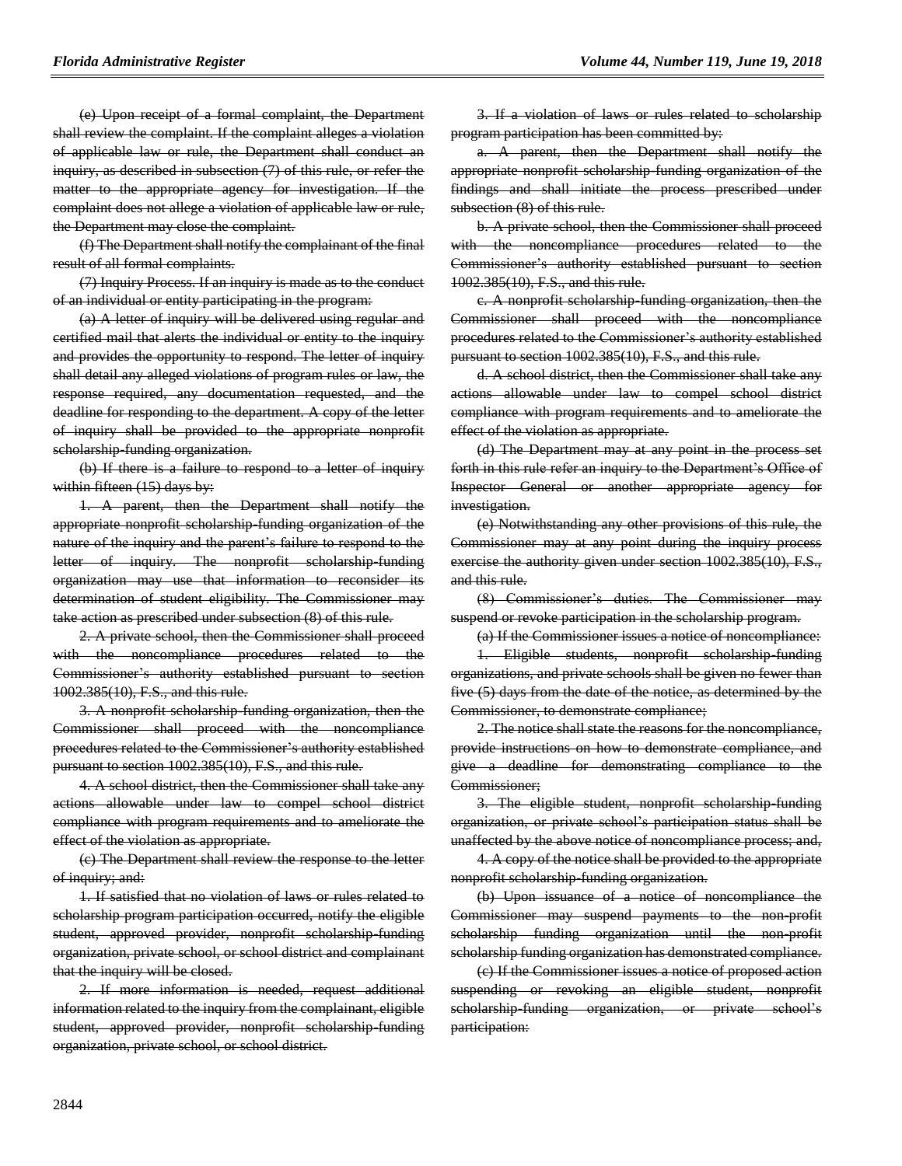(e) Upon receipt of a formal complaint, the Department shall review the complaint. If the complaint alleges a violation of applicable law or rule, the Department shall conduct an inquiry, as described in subsection (7) of this rule, or refer the matter to the appropriate agency for investigation. If the complaint does not allege a violation of applicable law or rule, the Department may close the complaint.

(f) The Department shall notify the complainant of the final result of all formal complaints.

(7) Inquiry Process. If an inquiry is made as to the conduct of an individual or entity participating in the program:

(a) A letter of inquiry will be delivered using regular and certified mail that alerts the individual or entity to the inquiry and provides the opportunity to respond. The letter of inquiry shall detail any alleged violations of program rules or law, the response required, any documentation requested, and the deadline for responding to the department. A copy of the letter of inquiry shall be provided to the appropriate nonprofit scholarship-funding organization.

(b) If there is a failure to respond to a letter of inquiry within fifteen (15) days by:

1. A parent, then the Department shall notify the appropriate nonprofit scholarship-funding organization of the nature of the inquiry and the parent's failure to respond to the letter of inquiry. The nonprofit scholarship-funding organization may use that information to reconsider its determination of student eligibility. The Commissioner may take action as prescribed under subsection (8) of this rule.

2. A private school, then the Commissioner shall proceed with the noncompliance procedures related to the Commissioner's authority established pursuant to section 1002.385(10), F.S., and this rule.

3. A nonprofit scholarship-funding organization, then the Commissioner shall proceed with the noncompliance procedures related to the Commissioner's authority established pursuant to section 1002.385(10), F.S., and this rule.

4. A school district, then the Commissioner shall take any actions allowable under law to compel school district compliance with program requirements and to ameliorate the effect of the violation as appropriate.

(c) The Department shall review the response to the letter of inquiry; and:

1. If satisfied that no violation of laws or rules related to scholarship program participation occurred, notify the eligible student, approved provider, nonprofit scholarship-funding organization, private school, or school district and complainant that the inquiry will be closed.

2. If more information is needed, request additional information related to the inquiry from the complainant, eligible student, approved provider, nonprofit scholarship-funding organization, private school, or school district.

3. If a violation of laws or rules related to scholarship program participation has been committed by:

a. A parent, then the Department shall notify the appropriate nonprofit scholarship-funding organization of the findings and shall initiate the process prescribed under subsection (8) of this rule.

b. A private school, then the Commissioner shall proceed with the noncompliance procedures related to the Commissioner's authority established pursuant to section 1002.385(10), F.S., and this rule.

c. A nonprofit scholarship-funding organization, then the Commissioner shall proceed with the noncompliance procedures related to the Commissioner's authority established pursuant to section 1002.385(10), F.S., and this rule.

d. A school district, then the Commissioner shall take any actions allowable under law to compel school district compliance with program requirements and to ameliorate the effect of the violation as appropriate.

(d) The Department may at any point in the process set forth in this rule refer an inquiry to the Department's Office of Inspector General or another appropriate agency for investigation.

(e) Notwithstanding any other provisions of this rule, the Commissioner may at any point during the inquiry process exercise the authority given under section 1002.385(10), F.S., and this rule.

(8) Commissioner's duties. The Commissioner may suspend or revoke participation in the scholarship program.

(a) If the Commissioner issues a notice of noncompliance:

1. Eligible students, nonprofit scholarship-funding organizations, and private schools shall be given no fewer than five (5) days from the date of the notice, as determined by the Commissioner, to demonstrate compliance;

2. The notice shall state the reasons for the noncompliance, provide instructions on how to demonstrate compliance, and give a deadline for demonstrating compliance to the Commissioner;

3. The eligible student, nonprofit scholarship-funding organization, or private school's participation status shall be unaffected by the above notice of noncompliance process; and,

4. A copy of the notice shall be provided to the appropriate nonprofit scholarship-funding organization.

(b) Upon issuance of a notice of noncompliance the Commissioner may suspend payments to the non-profit scholarship funding organization until the non-profit scholarship funding organization has demonstrated compliance.

(c) If the Commissioner issues a notice of proposed action suspending or revoking an eligible student, nonprofit scholarship-funding organization, or private school's participation: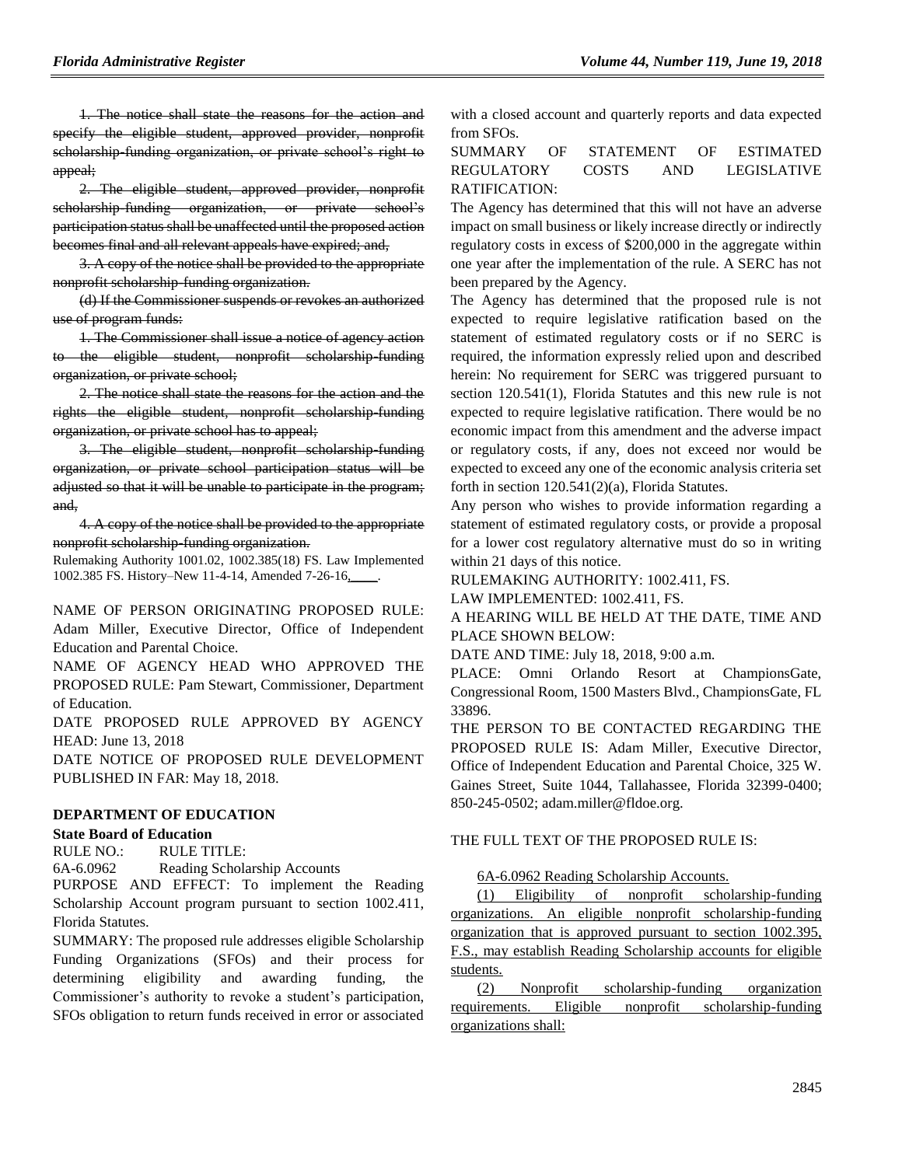1. The notice shall state the reasons for the action and specify the eligible student, approved provider, nonprofit scholarship-funding organization, or private school's right to appeal;

2. The eligible student, approved provider, nonprofit scholarship-funding organization, or private school's participation status shall be unaffected until the proposed action becomes final and all relevant appeals have expired; and,

3. A copy of the notice shall be provided to the appropriate nonprofit scholarship-funding organization.

(d) If the Commissioner suspends or revokes an authorized use of program funds:

1. The Commissioner shall issue a notice of agency action to the eligible student, nonprofit scholarship-funding organization, or private school;

2. The notice shall state the reasons for the action and the rights the eligible student, nonprofit scholarship-funding organization, or private school has to appeal;

3. The eligible student, nonprofit scholarship-funding organization, or private school participation status will be adjusted so that it will be unable to participate in the program; and,

4. A copy of the notice shall be provided to the appropriate nonprofit scholarship-funding organization.

Rulemaking Authority 1001.02, 1002.385(18) FS. Law Implemented 1002.385 FS. History–New 11-4-14, Amended 7-26-16,\_\_\_\_.

NAME OF PERSON ORIGINATING PROPOSED RULE: Adam Miller, Executive Director, Office of Independent Education and Parental Choice.

NAME OF AGENCY HEAD WHO APPROVED THE PROPOSED RULE: Pam Stewart, Commissioner, Department of Education.

DATE PROPOSED RULE APPROVED BY AGENCY HEAD: June 13, 2018

DATE NOTICE OF PROPOSED RULE DEVELOPMENT PUBLISHED IN FAR: May 18, 2018.

### **[DEPARTMENT OF EDUCATION](https://www.flrules.org/gateway/department.asp?id=6)**

### **[State Board of Education](https://www.flrules.org/gateway/organization.asp?id=195)**

RULE NO.: RULE TITLE:

[6A-6.0962](https://www.flrules.org/gateway/ruleNo.asp?id=6A-6.0962) Reading Scholarship Accounts

PURPOSE AND EFFECT: To implement the Reading Scholarship Account program pursuant to section 1002.411, Florida Statutes.

SUMMARY: The proposed rule addresses eligible Scholarship Funding Organizations (SFOs) and their process for determining eligibility and awarding funding, the Commissioner's authority to revoke a student's participation, SFOs obligation to return funds received in error or associated

with a closed account and quarterly reports and data expected from SFOs.

### SUMMARY OF STATEMENT OF ESTIMATED REGULATORY COSTS AND LEGISLATIVE RATIFICATION:

The Agency has determined that this will not have an adverse impact on small business or likely increase directly or indirectly regulatory costs in excess of \$200,000 in the aggregate within one year after the implementation of the rule. A SERC has not been prepared by the Agency.

The Agency has determined that the proposed rule is not expected to require legislative ratification based on the statement of estimated regulatory costs or if no SERC is required, the information expressly relied upon and described herein: No requirement for SERC was triggered pursuant to section 120.541(1), Florida Statutes and this new rule is not expected to require legislative ratification. There would be no economic impact from this amendment and the adverse impact or regulatory costs, if any, does not exceed nor would be expected to exceed any one of the economic analysis criteria set forth in section 120.541(2)(a), Florida Statutes.

Any person who wishes to provide information regarding a statement of estimated regulatory costs, or provide a proposal for a lower cost regulatory alternative must do so in writing within 21 days of this notice.

RULEMAKING AUTHORITY: [1002.411,](https://www.flrules.org/gateway/statute.asp?id=1002.411) FS.

LAW IMPLEMENTED: [1002.411,](https://www.flrules.org/gateway/statute.asp?id=1002.411) FS.

A HEARING WILL BE HELD AT THE DATE, TIME AND PLACE SHOWN BELOW:

DATE AND TIME: July 18, 2018, 9:00 a.m.

PLACE: Omni Orlando Resort at ChampionsGate, Congressional Room, 1500 Masters Blvd., ChampionsGate, FL 33896.

THE PERSON TO BE CONTACTED REGARDING THE PROPOSED RULE IS: Adam Miller, Executive Director, Office of Independent Education and Parental Choice, 325 W. Gaines Street, Suite 1044, Tallahassee, Florida 32399-0400; 850-245-0502; adam.miller@fldoe.org.

### THE FULL TEXT OF THE PROPOSED RULE IS:

6A-6.0962 Reading Scholarship Accounts.

(1) Eligibility of nonprofit scholarship-funding organizations. An eligible nonprofit scholarship-funding organization that is approved pursuant to section 1002.395, F.S., may establish Reading Scholarship accounts for eligible students.

(2) Nonprofit scholarship-funding organization requirements. Eligible nonprofit scholarship-funding organizations shall: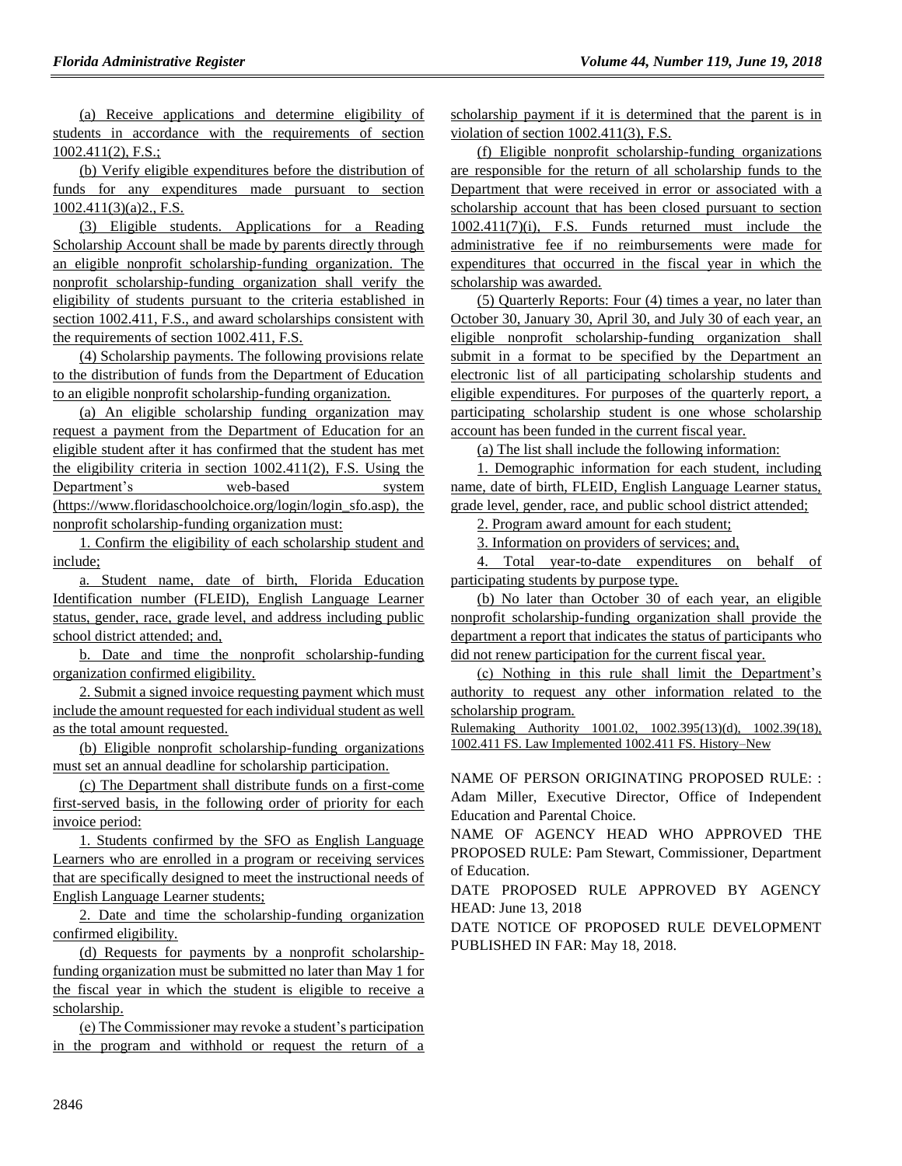(a) Receive applications and determine eligibility of students in accordance with the requirements of section 1002.411(2), F.S.;

(b) Verify eligible expenditures before the distribution of funds for any expenditures made pursuant to section  $1002.411(3)(a)2$ ., F.S.

(3) Eligible students. Applications for a Reading Scholarship Account shall be made by parents directly through an eligible nonprofit scholarship-funding organization. The nonprofit scholarship-funding organization shall verify the eligibility of students pursuant to the criteria established in section 1002.411, F.S., and award scholarships consistent with the requirements of section 1002.411, F.S.

(4) Scholarship payments. The following provisions relate to the distribution of funds from the Department of Education to an eligible nonprofit scholarship-funding organization.

(a) An eligible scholarship funding organization may request a payment from the Department of Education for an eligible student after it has confirmed that the student has met the eligibility criteria in section 1002.411(2), F.S. Using the Department's web-based system (https://www.floridaschoolchoice.org/login/login\_sfo.asp), the nonprofit scholarship-funding organization must:

1. Confirm the eligibility of each scholarship student and include;

a. Student name, date of birth, Florida Education Identification number (FLEID), English Language Learner status, gender, race, grade level, and address including public school district attended; and,

b. Date and time the nonprofit scholarship-funding organization confirmed eligibility.

2. Submit a signed invoice requesting payment which must include the amount requested for each individual student as well as the total amount requested.

(b) Eligible nonprofit scholarship-funding organizations must set an annual deadline for scholarship participation.

(c) The Department shall distribute funds on a first-come first-served basis, in the following order of priority for each invoice period:

1. Students confirmed by the SFO as English Language Learners who are enrolled in a program or receiving services that are specifically designed to meet the instructional needs of English Language Learner students;

2. Date and time the scholarship-funding organization confirmed eligibility.

(d) Requests for payments by a nonprofit scholarshipfunding organization must be submitted no later than May 1 for the fiscal year in which the student is eligible to receive a scholarship.

(e) The Commissioner may revoke a student's participation in the program and withhold or request the return of a

scholarship payment if it is determined that the parent is in violation of section 1002.411(3), F.S.

(f) Eligible nonprofit scholarship-funding organizations are responsible for the return of all scholarship funds to the Department that were received in error or associated with a scholarship account that has been closed pursuant to section 1002.411(7)(i), F.S. Funds returned must include the administrative fee if no reimbursements were made for expenditures that occurred in the fiscal year in which the scholarship was awarded.

(5) Quarterly Reports: Four (4) times a year, no later than October 30, January 30, April 30, and July 30 of each year, an eligible nonprofit scholarship-funding organization shall submit in a format to be specified by the Department an electronic list of all participating scholarship students and eligible expenditures. For purposes of the quarterly report, a participating scholarship student is one whose scholarship account has been funded in the current fiscal year.

(a) The list shall include the following information:

1. Demographic information for each student, including name, date of birth, FLEID, English Language Learner status, grade level, gender, race, and public school district attended;

2. Program award amount for each student;

3. Information on providers of services; and,

4. Total year-to-date expenditures on behalf of participating students by purpose type.

(b) No later than October 30 of each year, an eligible nonprofit scholarship-funding organization shall provide the department a report that indicates the status of participants who did not renew participation for the current fiscal year.

(c) Nothing in this rule shall limit the Department's authority to request any other information related to the scholarship program.

Rulemaking Authority 1001.02, 1002.395(13)(d), 1002.39(18), 1002.411 FS. Law Implemented 1002.411 FS. History–New

NAME OF PERSON ORIGINATING PROPOSED RULE: : Adam Miller, Executive Director, Office of Independent Education and Parental Choice.

NAME OF AGENCY HEAD WHO APPROVED THE PROPOSED RULE: Pam Stewart, Commissioner, Department of Education.

DATE PROPOSED RULE APPROVED BY AGENCY HEAD: June 13, 2018

DATE NOTICE OF PROPOSED RULE DEVELOPMENT PUBLISHED IN FAR: May 18, 2018.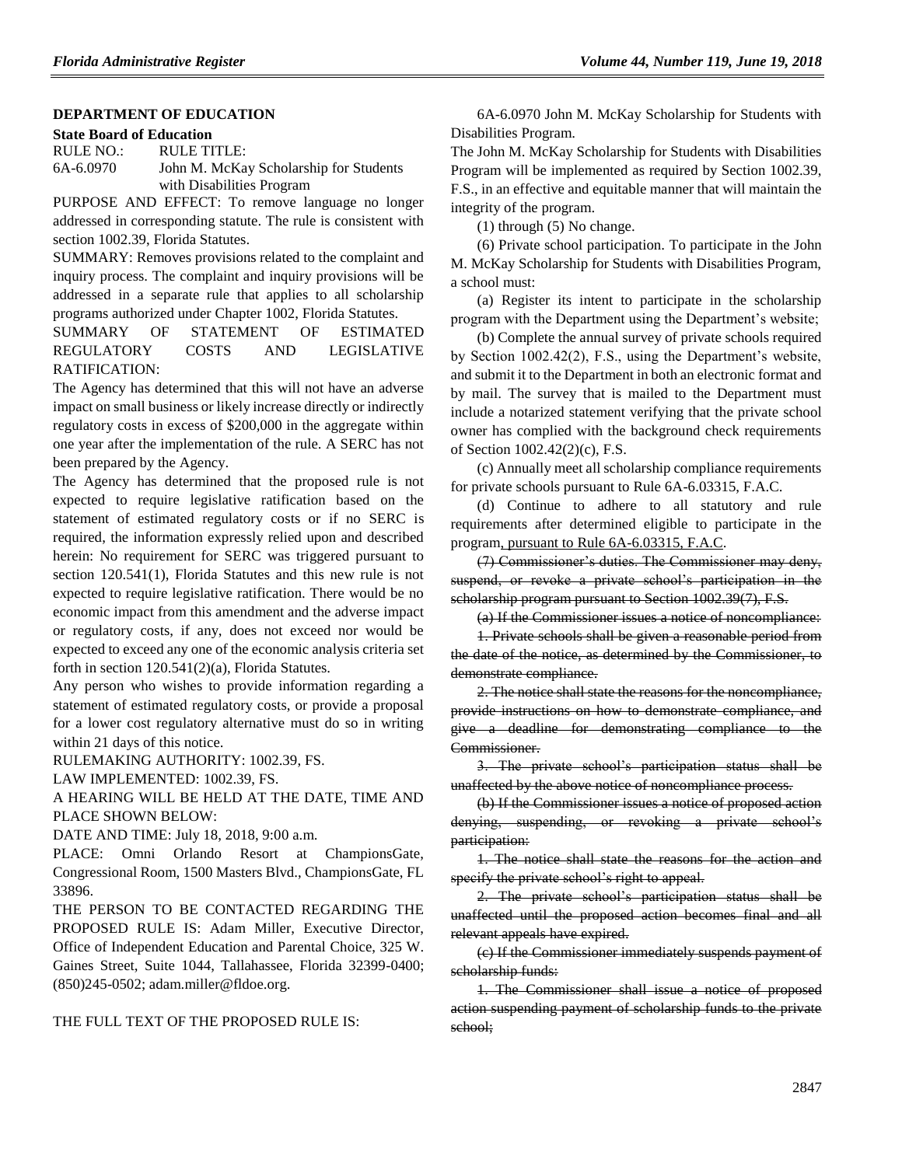### **[DEPARTMENT OF EDUCATION](https://www.flrules.org/gateway/department.asp?id=6)**

#### **[State Board of Education](https://www.flrules.org/gateway/organization.asp?id=195)**

RULE NO.: RULE TITLE: [6A-6.0970](https://www.flrules.org/gateway/ruleNo.asp?id=6A-6.0970) John M. McKay Scholarship for Students with Disabilities Program

PURPOSE AND EFFECT: To remove language no longer addressed in corresponding statute. The rule is consistent with section 1002.39, Florida Statutes.

SUMMARY: Removes provisions related to the complaint and inquiry process. The complaint and inquiry provisions will be addressed in a separate rule that applies to all scholarship programs authorized under Chapter 1002, Florida Statutes.

SUMMARY OF STATEMENT OF ESTIMATED REGULATORY COSTS AND LEGISLATIVE RATIFICATION:

The Agency has determined that this will not have an adverse impact on small business or likely increase directly or indirectly regulatory costs in excess of \$200,000 in the aggregate within one year after the implementation of the rule. A SERC has not been prepared by the Agency.

The Agency has determined that the proposed rule is not expected to require legislative ratification based on the statement of estimated regulatory costs or if no SERC is required, the information expressly relied upon and described herein: No requirement for SERC was triggered pursuant to section 120.541(1), Florida Statutes and this new rule is not expected to require legislative ratification. There would be no economic impact from this amendment and the adverse impact or regulatory costs, if any, does not exceed nor would be expected to exceed any one of the economic analysis criteria set forth in section 120.541(2)(a), Florida Statutes.

Any person who wishes to provide information regarding a statement of estimated regulatory costs, or provide a proposal for a lower cost regulatory alternative must do so in writing within 21 days of this notice.

RULEMAKING AUTHORITY: [1002.39,](https://www.flrules.org/gateway/statute.asp?id=1002.39) FS.

LAW IMPLEMENTED: [1002.39,](https://www.flrules.org/gateway/statute.asp?id=1002.39) FS.

A HEARING WILL BE HELD AT THE DATE, TIME AND PLACE SHOWN BELOW:

DATE AND TIME: July 18, 2018, 9:00 a.m.

PLACE: Omni Orlando Resort at ChampionsGate, Congressional Room, 1500 Masters Blvd., ChampionsGate, FL 33896.

THE PERSON TO BE CONTACTED REGARDING THE PROPOSED RULE IS: Adam Miller, Executive Director, Office of Independent Education and Parental Choice, 325 W. Gaines Street, Suite 1044, Tallahassee, Florida 32399-0400; (850)245-0502; adam.miller@fldoe.org.

THE FULL TEXT OF THE PROPOSED RULE IS:

6A-6.0970 John M. McKay Scholarship for Students with Disabilities Program.

The John M. McKay Scholarship for Students with Disabilities Program will be implemented as required by Section 1002.39, F.S., in an effective and equitable manner that will maintain the integrity of the program.

(1) through (5) No change.

(6) Private school participation. To participate in the John M. McKay Scholarship for Students with Disabilities Program, a school must:

(a) Register its intent to participate in the scholarship program with the Department using the Department's website;

(b) Complete the annual survey of private schools required by Section 1002.42(2), F.S., using the Department's website, and submit it to the Department in both an electronic format and by mail. The survey that is mailed to the Department must include a notarized statement verifying that the private school owner has complied with the background check requirements of Section 1002.42(2)(c), F.S.

(c) Annually meet all scholarship compliance requirements for private schools pursuant to Rule 6A-6.03315, F.A.C.

(d) Continue to adhere to all statutory and rule requirements after determined eligible to participate in the program, pursuant to Rule 6A-6.03315, F.A.C.

(7) Commissioner's duties. The Commissioner may deny, suspend, or revoke a private school's participation in the scholarship program pursuant to Section 1002.39(7), F.S.

(a) If the Commissioner issues a notice of noncompliance:

1. Private schools shall be given a reasonable period from the date of the notice, as determined by the Commissioner, to demonstrate compliance.

2. The notice shall state the reasons for the noncompliance, provide instructions on how to demonstrate compliance, and give a deadline for demonstrating compliance to the Commissioner.

3. The private school's participation status shall be unaffected by the above notice of noncompliance process.

(b) If the Commissioner issues a notice of proposed action denying, suspending, or revoking a private school's participation:

1. The notice shall state the reasons for the action and specify the private school's right to appeal.

2. The private school's participation status shall be unaffected until the proposed action becomes final and all relevant appeals have expired.

(c) If the Commissioner immediately suspends payment of scholarship funds:

1. The Commissioner shall issue a notice of proposed action suspending payment of scholarship funds to the private school;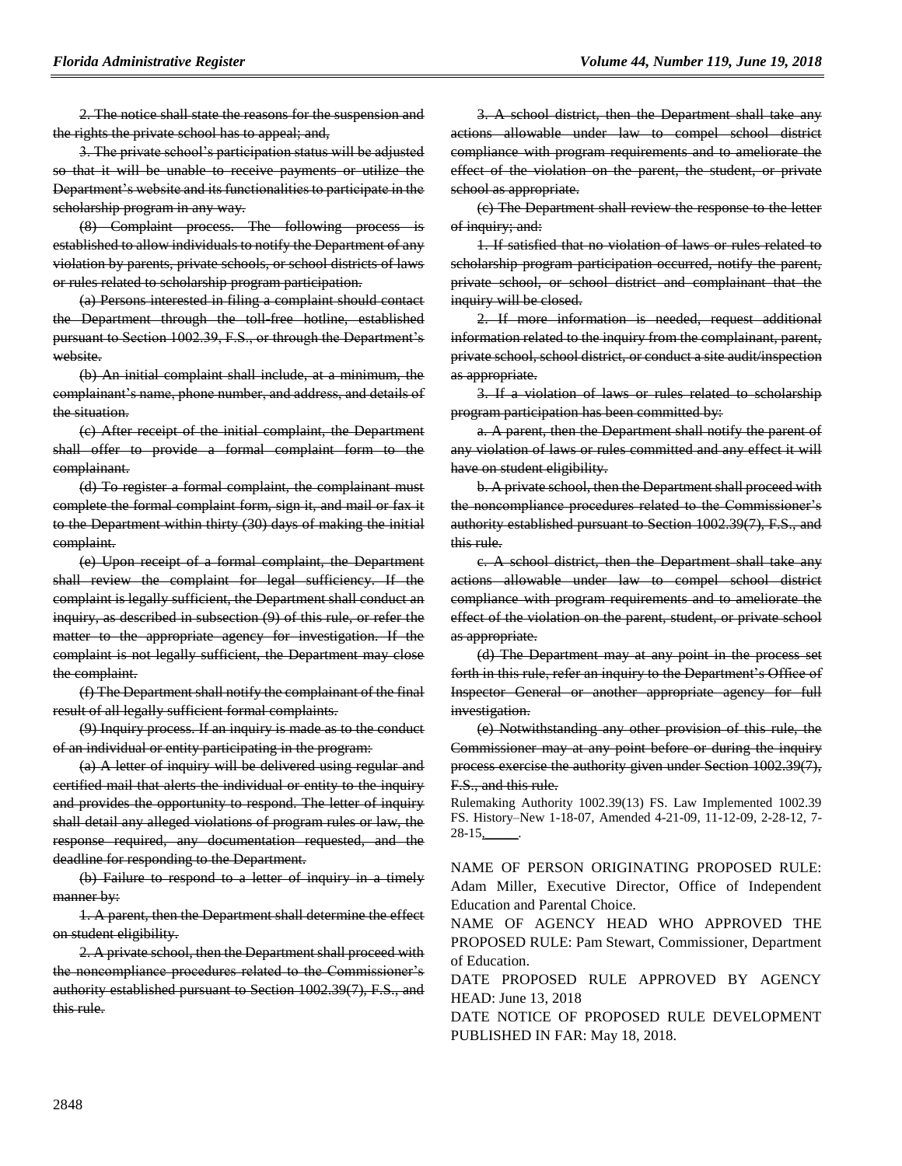2. The notice shall state the reasons for the suspension and the rights the private school has to appeal; and,

3. The private school's participation status will be adjusted so that it will be unable to receive payments or utilize the Department's website and its functionalities to participate in the scholarship program in any way.

(8) Complaint process. The following process is established to allow individuals to notify the Department of any violation by parents, private schools, or school districts of laws or rules related to scholarship program participation.

(a) Persons interested in filing a complaint should contact the Department through the toll-free hotline, established pursuant to Section 1002.39, F.S., or through the Department's website.

(b) An initial complaint shall include, at a minimum, the complainant's name, phone number, and address, and details of the situation.

(c) After receipt of the initial complaint, the Department shall offer to provide a formal complaint form to the complainant.

(d) To register a formal complaint, the complainant must complete the formal complaint form, sign it, and mail or fax it to the Department within thirty (30) days of making the initial complaint.

(e) Upon receipt of a formal complaint, the Department shall review the complaint for legal sufficiency. If the complaint is legally sufficient, the Department shall conduct an inquiry, as described in subsection (9) of this rule, or refer the matter to the appropriate agency for investigation. If the complaint is not legally sufficient, the Department may close the complaint.

(f) The Department shall notify the complainant of the final result of all legally sufficient formal complaints.

(9) Inquiry process. If an inquiry is made as to the conduct of an individual or entity participating in the program:

(a) A letter of inquiry will be delivered using regular and certified mail that alerts the individual or entity to the inquiry and provides the opportunity to respond. The letter of inquiry shall detail any alleged violations of program rules or law, the response required, any documentation requested, and the deadline for responding to the Department.

(b) Failure to respond to a letter of inquiry in a timely manner by:

1. A parent, then the Department shall determine the effect on student eligibility.

2. A private school, then the Department shall proceed with the noncompliance procedures related to the Commissioner's authority established pursuant to Section 1002.39(7), F.S., and this rule.

3. A school district, then the Department shall take any actions allowable under law to compel school district compliance with program requirements and to ameliorate the effect of the violation on the parent, the student, or private school as appropriate.

(c) The Department shall review the response to the letter of inquiry; and:

1. If satisfied that no violation of laws or rules related to scholarship program participation occurred, notify the parent, private school, or school district and complainant that the inquiry will be closed.

2. If more information is needed, request additional information related to the inquiry from the complainant, parent, private school, school district, or conduct a site audit/inspection as appropriate.

3. If a violation of laws or rules related to scholarship program participation has been committed by:

a. A parent, then the Department shall notify the parent of any violation of laws or rules committed and any effect it will have on student eligibility.

b. A private school, then the Department shall proceed with the noncompliance procedures related to the Commissioner's authority established pursuant to Section 1002.39(7), F.S., and this rule.

c. A school district, then the Department shall take any actions allowable under law to compel school district compliance with program requirements and to ameliorate the effect of the violation on the parent, student, or private school as appropriate.

(d) The Department may at any point in the process set forth in this rule, refer an inquiry to the Department's Office of Inspector General or another appropriate agency for full investigation.

(e) Notwithstanding any other provision of this rule, the Commissioner may at any point before or during the inquiry process exercise the authority given under Section 1002.39(7), F.S., and this rule.

Rulemaking Authority 1002.39(13) FS. Law Implemented 1002.39 FS. History–New 1-18-07, Amended 4-21-09, 11-12-09, 2-28-12, 7- 28-15<u>,</u>

NAME OF PERSON ORIGINATING PROPOSED RULE: Adam Miller, Executive Director, Office of Independent Education and Parental Choice.

NAME OF AGENCY HEAD WHO APPROVED THE PROPOSED RULE: Pam Stewart, Commissioner, Department of Education.

DATE PROPOSED RULE APPROVED BY AGENCY HEAD: June 13, 2018

DATE NOTICE OF PROPOSED RULE DEVELOPMENT PUBLISHED IN FAR: May 18, 2018.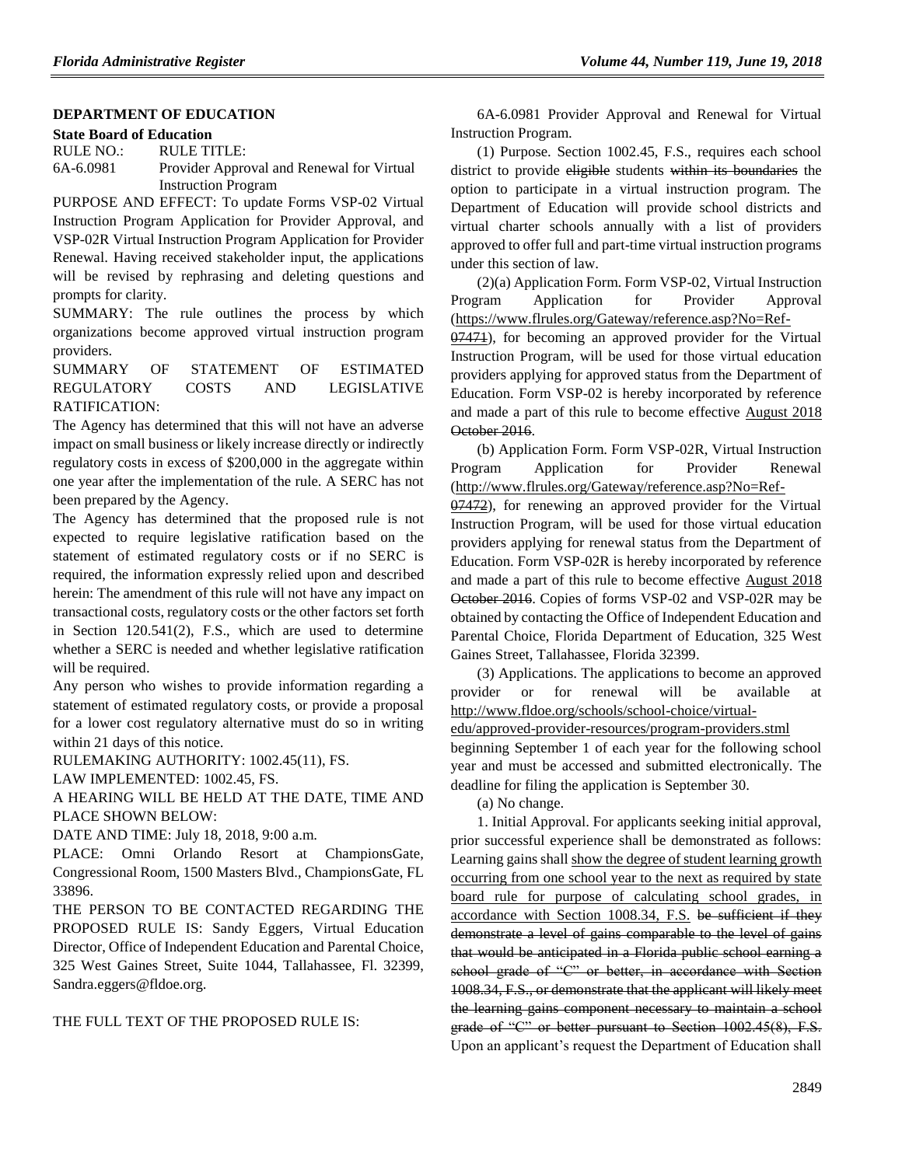### **[DEPARTMENT OF EDUCATION](https://www.flrules.org/gateway/department.asp?id=6)**

#### **[State Board of Education](https://www.flrules.org/gateway/organization.asp?id=195)**

RULE NO.: RULE TITLE: [6A-6.0981](https://www.flrules.org/gateway/ruleNo.asp?id=6A-6.0981) Provider Approval and Renewal for Virtual Instruction Program

PURPOSE AND EFFECT: To update Forms VSP-02 Virtual Instruction Program Application for Provider Approval, and VSP-02R Virtual Instruction Program Application for Provider Renewal. Having received stakeholder input, the applications will be revised by rephrasing and deleting questions and prompts for clarity.

SUMMARY: The rule outlines the process by which organizations become approved virtual instruction program providers.

SUMMARY OF STATEMENT OF ESTIMATED REGULATORY COSTS AND LEGISLATIVE RATIFICATION:

The Agency has determined that this will not have an adverse impact on small business or likely increase directly or indirectly regulatory costs in excess of \$200,000 in the aggregate within one year after the implementation of the rule. A SERC has not been prepared by the Agency.

The Agency has determined that the proposed rule is not expected to require legislative ratification based on the statement of estimated regulatory costs or if no SERC is required, the information expressly relied upon and described herein: The amendment of this rule will not have any impact on transactional costs, regulatory costs or the other factors set forth in Section 120.541(2), F.S., which are used to determine whether a SERC is needed and whether legislative ratification will be required.

Any person who wishes to provide information regarding a statement of estimated regulatory costs, or provide a proposal for a lower cost regulatory alternative must do so in writing within 21 days of this notice.

RULEMAKING AUTHORITY: [1002.45\(11\),](https://www.flrules.org/gateway/statute.asp?id=1002.45(11)) FS.

LAW IMPLEMENTED: [1002.45,](https://www.flrules.org/gateway/statute.asp?id=1002.45) FS.

A HEARING WILL BE HELD AT THE DATE, TIME AND PLACE SHOWN BELOW:

DATE AND TIME: July 18, 2018, 9:00 a.m.

PLACE: Omni Orlando Resort at ChampionsGate, Congressional Room, 1500 Masters Blvd., ChampionsGate, FL 33896.

THE PERSON TO BE CONTACTED REGARDING THE PROPOSED RULE IS: Sandy Eggers, Virtual Education Director, Office of Independent Education and Parental Choice, 325 West Gaines Street, Suite 1044, Tallahassee, Fl. 32399, Sandra.eggers@fldoe.org.

THE FULL TEXT OF THE PROPOSED RULE IS:

6A-6.0981 Provider Approval and Renewal for Virtual Instruction Program.

(1) Purpose. Section 1002.45, F.S., requires each school district to provide eligible students within its boundaries the option to participate in a virtual instruction program. The Department of Education will provide school districts and virtual charter schools annually with a list of providers approved to offer full and part-time virtual instruction programs under this section of law.

(2)(a) Application Form. Form VSP-02, Virtual Instruction Program Application for Provider Approval (https://www.flrules.org/Gateway/reference.asp?No=Ref-

07471), for becoming an approved provider for the Virtual Instruction Program, will be used for those virtual education providers applying for approved status from the Department of Education. Form VSP-02 is hereby incorporated by reference and made a part of this rule to become effective August 2018 October 2016.

(b) Application Form. Form VSP-02R, Virtual Instruction Program Application for Provider Renewal (http://www.flrules.org/Gateway/reference.asp?No=Ref-

07472), for renewing an approved provider for the Virtual Instruction Program, will be used for those virtual education providers applying for renewal status from the Department of Education. Form VSP-02R is hereby incorporated by reference and made a part of this rule to become effective August 2018 October 2016. Copies of forms VSP-02 and VSP-02R may be obtained by contacting the Office of Independent Education and Parental Choice, Florida Department of Education, 325 West Gaines Street, Tallahassee, Florida 32399.

(3) Applications. The applications to become an approved provider or for renewal will be available at http://www.fldoe.org/schools/school-choice/virtual-

edu/approved-provider-resources/program-providers.stml

beginning September 1 of each year for the following school year and must be accessed and submitted electronically. The deadline for filing the application is September 30.

(a) No change.

1. Initial Approval. For applicants seeking initial approval, prior successful experience shall be demonstrated as follows: Learning gains shall show the degree of student learning growth occurring from one school year to the next as required by state board rule for purpose of calculating school grades, in accordance with Section 1008.34, F.S. be sufficient if they demonstrate a level of gains comparable to the level of gains that would be anticipated in a Florida public school earning a school grade of "C" or better, in accordance with Section 1008.34, F.S., or demonstrate that the applicant will likely meet the learning gains component necessary to maintain a school grade of "C" or better pursuant to Section 1002.45(8), F.S. Upon an applicant's request the Department of Education shall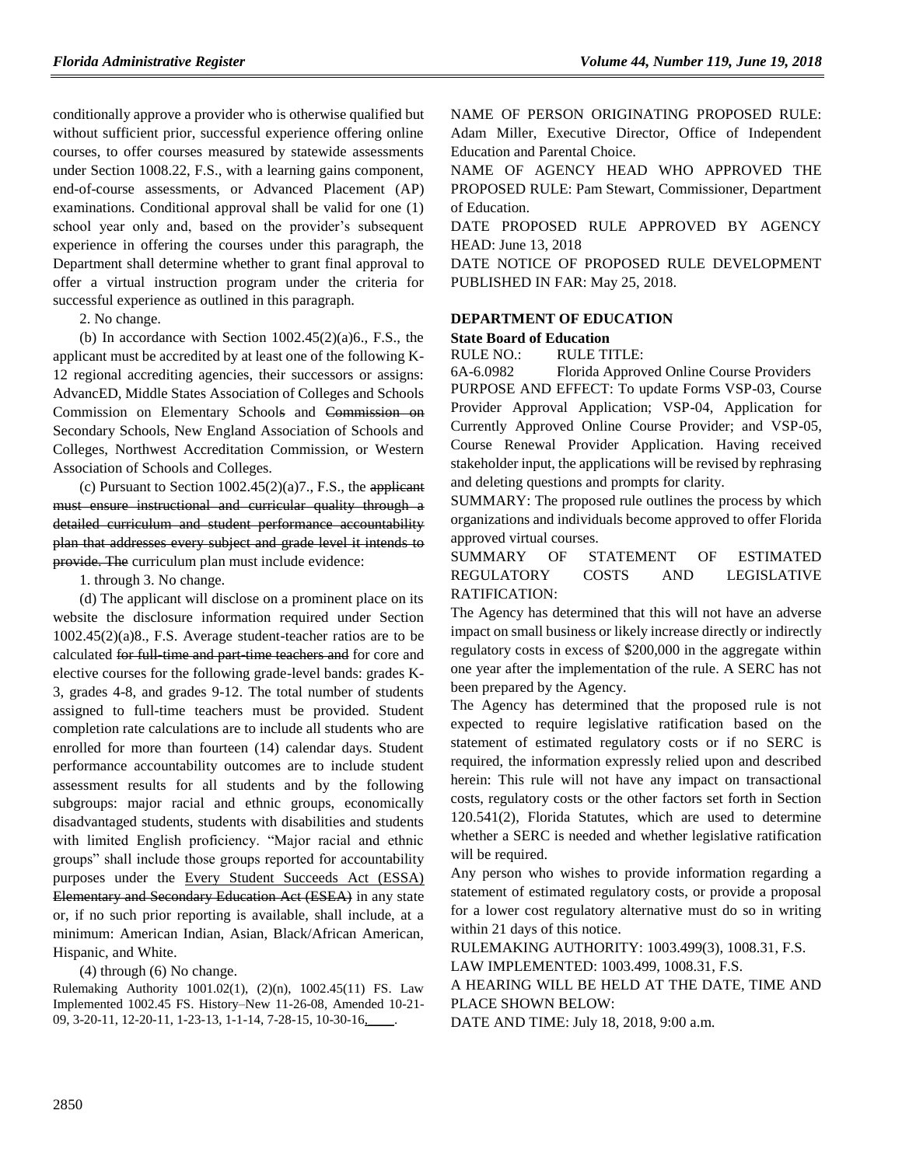conditionally approve a provider who is otherwise qualified but without sufficient prior, successful experience offering online courses, to offer courses measured by statewide assessments under Section 1008.22, F.S., with a learning gains component, end-of-course assessments, or Advanced Placement (AP) examinations. Conditional approval shall be valid for one (1) school year only and, based on the provider's subsequent experience in offering the courses under this paragraph, the Department shall determine whether to grant final approval to offer a virtual instruction program under the criteria for successful experience as outlined in this paragraph.

2. No change.

(b) In accordance with Section  $1002.45(2)(a)6$ , F.S., the applicant must be accredited by at least one of the following K-12 regional accrediting agencies, their successors or assigns: AdvancED, Middle States Association of Colleges and Schools Commission on Elementary Schools and Commission on Secondary Schools, New England Association of Schools and Colleges, Northwest Accreditation Commission, or Western Association of Schools and Colleges.

(c) Pursuant to Section  $1002.45(2)(a)7$ ., F.S., the applicant must ensure instructional and curricular quality through a detailed curriculum and student performance accountability plan that addresses every subject and grade level it intends to provide. The curriculum plan must include evidence:

1. through 3. No change.

(d) The applicant will disclose on a prominent place on its website the disclosure information required under Section 1002.45(2)(a)8., F.S. Average student-teacher ratios are to be calculated for full-time and part-time teachers and for core and elective courses for the following grade-level bands: grades K-3, grades 4-8, and grades 9-12. The total number of students assigned to full-time teachers must be provided. Student completion rate calculations are to include all students who are enrolled for more than fourteen (14) calendar days. Student performance accountability outcomes are to include student assessment results for all students and by the following subgroups: major racial and ethnic groups, economically disadvantaged students, students with disabilities and students with limited English proficiency. "Major racial and ethnic groups" shall include those groups reported for accountability purposes under the Every Student Succeeds Act (ESSA) Elementary and Secondary Education Act (ESEA) in any state or, if no such prior reporting is available, shall include, at a minimum: American Indian, Asian, Black/African American, Hispanic, and White.

(4) through (6) No change.

Rulemaking Authority 1001.02(1), (2)(n), 1002.45(11) FS. Law Implemented 1002.45 FS. History–New 11-26-08, Amended 10-21- 09, 3-20-11, 12-20-11, 1-23-13, 1-1-14, 7-28-15, 10-30-16,\_\_\_\_.

NAME OF PERSON ORIGINATING PROPOSED RULE: Adam Miller, Executive Director, Office of Independent Education and Parental Choice.

NAME OF AGENCY HEAD WHO APPROVED THE PROPOSED RULE: Pam Stewart, Commissioner, Department of Education.

DATE PROPOSED RULE APPROVED BY AGENCY HEAD: June 13, 2018

DATE NOTICE OF PROPOSED RULE DEVELOPMENT PUBLISHED IN FAR: May 25, 2018.

## **[DEPARTMENT OF EDUCATION](https://www.flrules.org/gateway/department.asp?id=6)**

## **[State Board of Education](https://www.flrules.org/gateway/organization.asp?id=195)**

RULE NO.: RULE TITLE:

[6A-6.0982](https://www.flrules.org/gateway/ruleNo.asp?id=6A-6.0982) Florida Approved Online Course Providers PURPOSE AND EFFECT: To update Forms VSP-03, Course Provider Approval Application; VSP-04, Application for Currently Approved Online Course Provider; and VSP-05, Course Renewal Provider Application. Having received stakeholder input, the applications will be revised by rephrasing and deleting questions and prompts for clarity.

SUMMARY: The proposed rule outlines the process by which organizations and individuals become approved to offer Florida approved virtual courses.

### SUMMARY OF STATEMENT OF ESTIMATED REGULATORY COSTS AND LEGISLATIVE RATIFICATION:

The Agency has determined that this will not have an adverse impact on small business or likely increase directly or indirectly regulatory costs in excess of \$200,000 in the aggregate within one year after the implementation of the rule. A SERC has not been prepared by the Agency.

The Agency has determined that the proposed rule is not expected to require legislative ratification based on the statement of estimated regulatory costs or if no SERC is required, the information expressly relied upon and described herein: This rule will not have any impact on transactional costs, regulatory costs or the other factors set forth in Section 120.541(2), Florida Statutes, which are used to determine whether a SERC is needed and whether legislative ratification will be required.

Any person who wishes to provide information regarding a statement of estimated regulatory costs, or provide a proposal for a lower cost regulatory alternative must do so in writing within 21 days of this notice.

RULEMAKING AUTHORITY: [1003.499\(3\),](https://www.flrules.org/gateway/statute.asp?id=1003.499(3)) [1008.31,](https://www.flrules.org/gateway/statute.asp?id=%201008.31) F.S. LAW IMPLEMENTED: [1003.499,](https://www.flrules.org/gateway/statute.asp?id=1003.499) [1008.31,](https://www.flrules.org/gateway/statute.asp?id=%201008.31) F.S.

A HEARING WILL BE HELD AT THE DATE, TIME AND PLACE SHOWN BELOW:

DATE AND TIME: July 18, 2018, 9:00 a.m.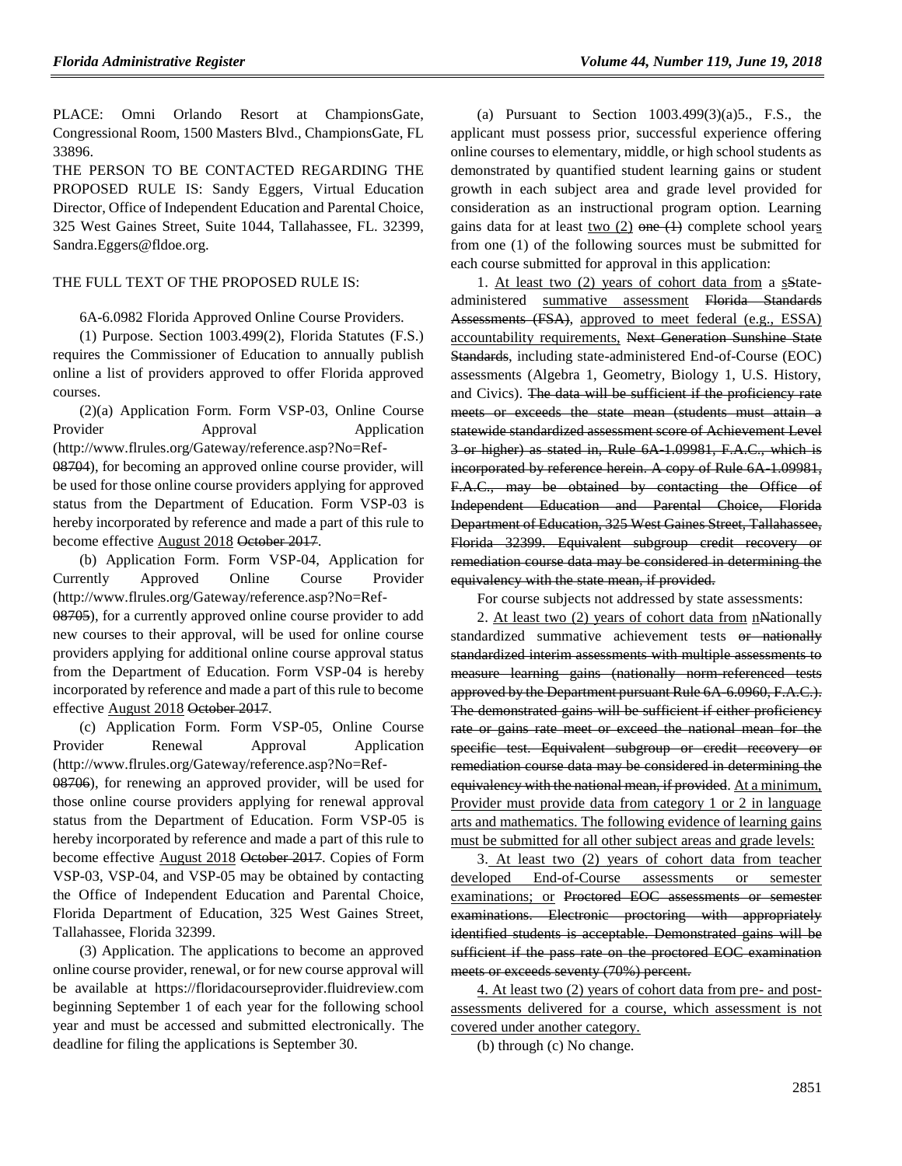PLACE: Omni Orlando Resort at ChampionsGate, Congressional Room, 1500 Masters Blvd., ChampionsGate, FL 33896.

THE PERSON TO BE CONTACTED REGARDING THE PROPOSED RULE IS: Sandy Eggers, Virtual Education Director, Office of Independent Education and Parental Choice, 325 West Gaines Street, Suite 1044, Tallahassee, FL. 32399, Sandra.Eggers@fldoe.org.

### THE FULL TEXT OF THE PROPOSED RULE IS:

6A-6.0982 Florida Approved Online Course Providers.

(1) Purpose. Section 1003.499(2), Florida Statutes (F.S.) requires the Commissioner of Education to annually publish online a list of providers approved to offer Florida approved courses.

(2)(a) Application Form. Form VSP-03, Online Course Provider Approval Application (http://www.flrules.org/Gateway/reference.asp?No=Ref-08704), for becoming an approved online course provider, will be used for those online course providers applying for approved status from the Department of Education. Form VSP-03 is hereby incorporated by reference and made a part of this rule to become effective August 2018 October 2017.

(b) Application Form. Form VSP-04, Application for Currently Approved Online Course Provider (http://www.flrules.org/Gateway/reference.asp?No=Ref-

08705), for a currently approved online course provider to add new courses to their approval, will be used for online course providers applying for additional online course approval status from the Department of Education. Form VSP-04 is hereby incorporated by reference and made a part of this rule to become effective August 2018 October 2017.

(c) Application Form. Form VSP-05, Online Course Provider Renewal Approval Application (http://www.flrules.org/Gateway/reference.asp?No=Ref-08706), for renewing an approved provider, will be used for those online course providers applying for renewal approval status from the Department of Education. Form VSP-05 is hereby incorporated by reference and made a part of this rule to become effective August 2018 October 2017. Copies of Form VSP-03, VSP-04, and VSP-05 may be obtained by contacting the Office of Independent Education and Parental Choice, Florida Department of Education, 325 West Gaines Street, Tallahassee, Florida 32399.

(3) Application. The applications to become an approved online course provider, renewal, or for new course approval will be available at https://floridacourseprovider.fluidreview.com beginning September 1 of each year for the following school year and must be accessed and submitted electronically. The deadline for filing the applications is September 30.

(a) Pursuant to Section  $1003.499(3)(a)5$ ., F.S., the applicant must possess prior, successful experience offering online courses to elementary, middle, or high school students as demonstrated by quantified student learning gains or student growth in each subject area and grade level provided for consideration as an instructional program option. Learning gains data for at least two  $(2)$  one  $(1)$  complete school years from one (1) of the following sources must be submitted for each course submitted for approval in this application:

1. At least two (2) years of cohort data from a sStateadministered summative assessment Florida Standards Assessments (FSA), approved to meet federal (e.g., ESSA) accountability requirements, Next Generation Sunshine State Standards, including state-administered End-of-Course (EOC) assessments (Algebra 1, Geometry, Biology 1, U.S. History, and Civics). The data will be sufficient if the proficiency rate meets or exceeds the state mean (students must attain a statewide standardized assessment score of Achievement Level 3 or higher) as stated in, Rule 6A-1.09981, F.A.C., which is incorporated by reference herein. A copy of Rule 6A 1.09981, F.A.C., may be obtained by contacting the Office of Independent Education and Parental Choice, Florida Department of Education, 325 West Gaines Street, Tallahassee, Florida 32399. Equivalent subgroup credit recovery or remediation course data may be considered in determining the equivalency with the state mean, if provided.

For course subjects not addressed by state assessments:

2. At least two (2) years of cohort data from n**Nationally** standardized summative achievement tests or nationally standardized interim assessments with multiple assessments to measure learning gains (nationally norm-referenced tests approved by the Department pursuant Rule 6A 6.0960, F.A.C.). The demonstrated gains will be sufficient if either proficiency rate or gains rate meet or exceed the national mean for the specific test. Equivalent subgroup or credit recovery or remediation course data may be considered in determining the equivalency with the national mean, if provided. At a minimum, Provider must provide data from category 1 or 2 in language arts and mathematics. The following evidence of learning gains must be submitted for all other subject areas and grade levels:

3. At least two (2) years of cohort data from teacher developed End-of-Course assessments or semester examinations; or Proctored EOC assessments or semester examinations. Electronic proctoring with appropriately identified students is acceptable. Demonstrated gains will be sufficient if the pass rate on the proctored EOC examination meets or exceeds seventy (70%) percent.

4. At least two (2) years of cohort data from pre- and postassessments delivered for a course, which assessment is not covered under another category.

(b) through (c) No change.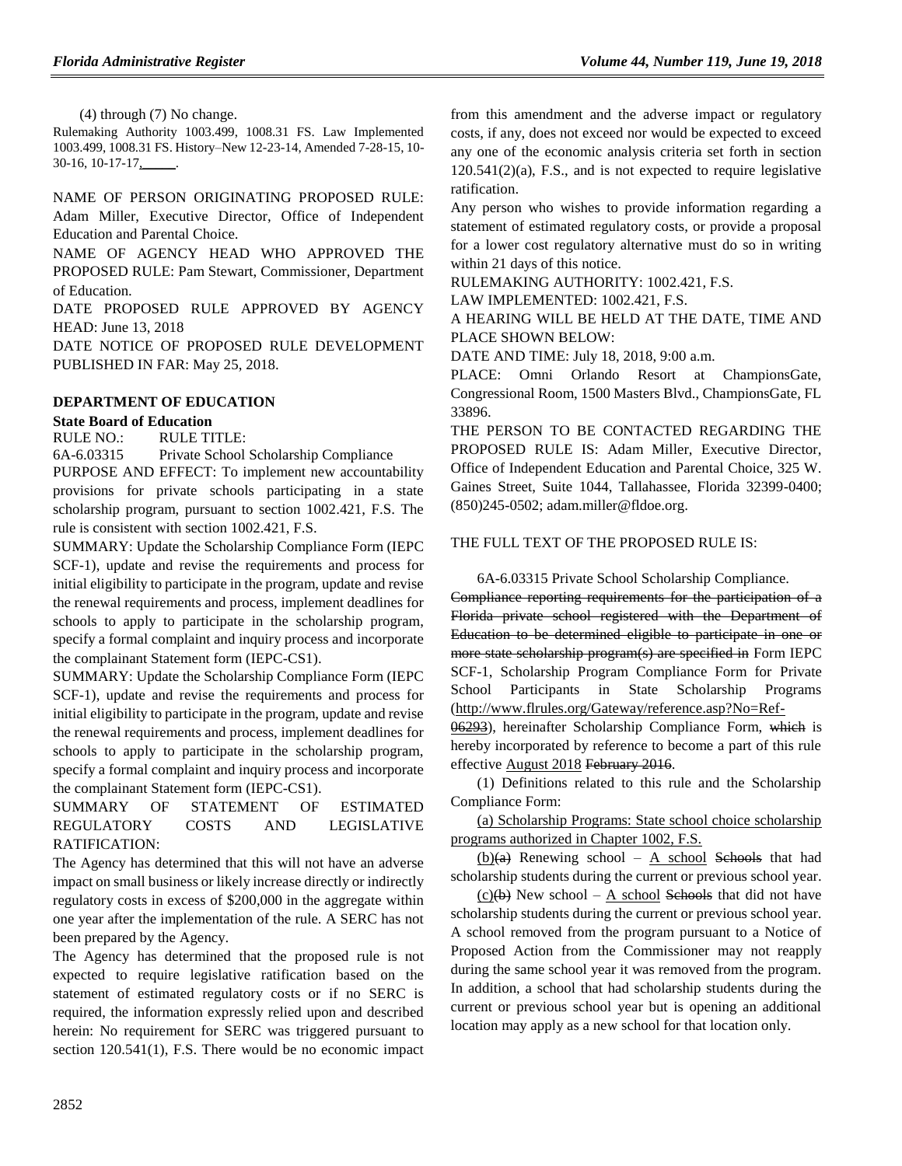(4) through (7) No change.

Rulemaking Authority 1003.499, 1008.31 FS. Law Implemented 1003.499, 1008.31 FS. History–New 12-23-14, Amended 7-28-15, 10- 30-16, 10-17-17,

NAME OF PERSON ORIGINATING PROPOSED RULE: Adam Miller, Executive Director, Office of Independent Education and Parental Choice.

NAME OF AGENCY HEAD WHO APPROVED THE PROPOSED RULE: Pam Stewart, Commissioner, Department of Education.

DATE PROPOSED RULE APPROVED BY AGENCY HEAD: June 13, 2018

DATE NOTICE OF PROPOSED RULE DEVELOPMENT PUBLISHED IN FAR: May 25, 2018.

## **[DEPARTMENT OF EDUCATION](https://www.flrules.org/gateway/department.asp?id=6)**

## **[State Board of Education](https://www.flrules.org/gateway/organization.asp?id=195)**

RULE NO.: RULE TITLE:

[6A-6.03315](https://www.flrules.org/gateway/ruleNo.asp?id=6A-6.03315) Private School Scholarship Compliance

PURPOSE AND EFFECT: To implement new accountability provisions for private schools participating in a state scholarship program, pursuant to section 1002.421, F.S. The rule is consistent with section 1002.421, F.S.

SUMMARY: Update the Scholarship Compliance Form (IEPC SCF-1), update and revise the requirements and process for initial eligibility to participate in the program, update and revise the renewal requirements and process, implement deadlines for schools to apply to participate in the scholarship program, specify a formal complaint and inquiry process and incorporate the complainant Statement form (IEPC-CS1).

SUMMARY: Update the Scholarship Compliance Form (IEPC SCF-1), update and revise the requirements and process for initial eligibility to participate in the program, update and revise the renewal requirements and process, implement deadlines for schools to apply to participate in the scholarship program, specify a formal complaint and inquiry process and incorporate the complainant Statement form (IEPC-CS1).

## SUMMARY OF STATEMENT OF ESTIMATED REGULATORY COSTS AND LEGISLATIVE RATIFICATION:

The Agency has determined that this will not have an adverse impact on small business or likely increase directly or indirectly regulatory costs in excess of \$200,000 in the aggregate within one year after the implementation of the rule. A SERC has not been prepared by the Agency.

The Agency has determined that the proposed rule is not expected to require legislative ratification based on the statement of estimated regulatory costs or if no SERC is required, the information expressly relied upon and described herein: No requirement for SERC was triggered pursuant to section 120.541(1), F.S. There would be no economic impact from this amendment and the adverse impact or regulatory costs, if any, does not exceed nor would be expected to exceed any one of the economic analysis criteria set forth in section 120.541(2)(a), F.S., and is not expected to require legislative ratification.

Any person who wishes to provide information regarding a statement of estimated regulatory costs, or provide a proposal for a lower cost regulatory alternative must do so in writing within 21 days of this notice.

RULEMAKING AUTHORITY: [1002.421,](https://www.flrules.org/gateway/statute.asp?id=1002.421) F.S.

LAW IMPLEMENTED: [1002.421,](https://www.flrules.org/gateway/statute.asp?id=1002.421) F.S.

A HEARING WILL BE HELD AT THE DATE, TIME AND PLACE SHOWN BELOW:

DATE AND TIME: July 18, 2018, 9:00 a.m.

PLACE: Omni Orlando Resort at ChampionsGate, Congressional Room, 1500 Masters Blvd., ChampionsGate, FL 33896.

THE PERSON TO BE CONTACTED REGARDING THE PROPOSED RULE IS: Adam Miller, Executive Director, Office of Independent Education and Parental Choice, 325 W. Gaines Street, Suite 1044, Tallahassee, Florida 32399-0400; (850)245-0502; adam.miller@fldoe.org.

## THE FULL TEXT OF THE PROPOSED RULE IS:

6A-6.03315 Private School Scholarship Compliance.

Compliance reporting requirements for the participation of a Florida private school registered with the Department of Education to be determined eligible to participate in one or more state scholarship program(s) are specified in Form IEPC SCF-1, Scholarship Program Compliance Form for Private School Participants in State Scholarship Programs (http://www.flrules.org/Gateway/reference.asp?No=Ref-

06293), hereinafter Scholarship Compliance Form, which is hereby incorporated by reference to become a part of this rule effective August 2018 February 2016.

(1) Definitions related to this rule and the Scholarship Compliance Form:

(a) Scholarship Programs: State school choice scholarship programs authorized in Chapter 1002, F.S.

 $(b)(a)$  Renewing school – A school Schools that had scholarship students during the current or previous school year.

 $(c)(b)$  New school – A school Schools that did not have scholarship students during the current or previous school year. A school removed from the program pursuant to a Notice of Proposed Action from the Commissioner may not reapply during the same school year it was removed from the program. In addition, a school that had scholarship students during the current or previous school year but is opening an additional location may apply as a new school for that location only.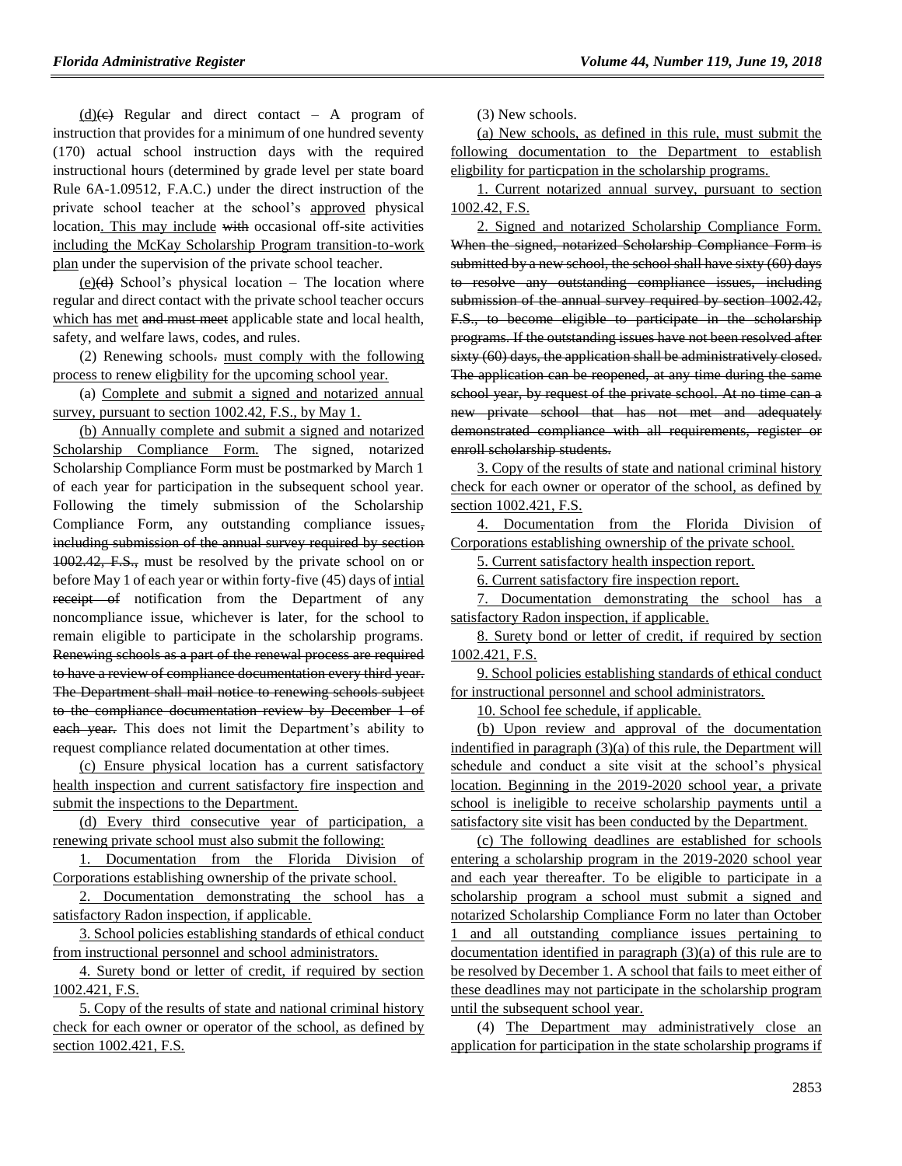$(d)(e)$  Regular and direct contact – A program of instruction that provides for a minimum of one hundred seventy (170) actual school instruction days with the required instructional hours (determined by grade level per state board Rule 6A-1.09512, F.A.C.) under the direct instruction of the private school teacher at the school's approved physical location. This may include with occasional off-site activities including the McKay Scholarship Program transition-to-work plan under the supervision of the private school teacher.

 $(e)(d)$  School's physical location – The location where regular and direct contact with the private school teacher occurs which has met and must meet applicable state and local health, safety, and welfare laws, codes, and rules.

(2) Renewing schools. must comply with the following process to renew eligbility for the upcoming school year.

(a) Complete and submit a signed and notarized annual survey, pursuant to section 1002.42, F.S., by May 1.

(b) Annually complete and submit a signed and notarized Scholarship Compliance Form. The signed, notarized Scholarship Compliance Form must be postmarked by March 1 of each year for participation in the subsequent school year. Following the timely submission of the Scholarship Compliance Form, any outstanding compliance issues, including submission of the annual survey required by section 1002.42, F.S., must be resolved by the private school on or before May 1 of each year or within forty-five (45) days of intial receipt of notification from the Department of any noncompliance issue, whichever is later, for the school to remain eligible to participate in the scholarship programs. Renewing schools as a part of the renewal process are required to have a review of compliance documentation every third year. The Department shall mail notice to renewing schools subject to the compliance documentation review by December 1 of each year. This does not limit the Department's ability to request compliance related documentation at other times.

(c) Ensure physical location has a current satisfactory health inspection and current satisfactory fire inspection and submit the inspections to the Department.

(d) Every third consecutive year of participation, a renewing private school must also submit the following:

1. Documentation from the Florida Division of Corporations establishing ownership of the private school.

2. Documentation demonstrating the school has a satisfactory Radon inspection, if applicable.

3. School policies establishing standards of ethical conduct from instructional personnel and school administrators.

4. Surety bond or letter of credit, if required by section 1002.421, F.S.

5. Copy of the results of state and national criminal history check for each owner or operator of the school, as defined by section 1002.421, F.S.

(3) New schools.

(a) New schools, as defined in this rule, must submit the following documentation to the Department to establish eligbility for particpation in the scholarship programs.

1. Current notarized annual survey, pursuant to section 1002.42, F.S.

2. Signed and notarized Scholarship Compliance Form. When the signed, notarized Scholarship Compliance Form is submitted by a new school, the school shall have sixty (60) days to resolve any outstanding compliance issues, including submission of the annual survey required by section 1002.42, F.S., to become eligible to participate in the scholarship programs. If the outstanding issues have not been resolved after sixty (60) days, the application shall be administratively closed. The application can be reopened, at any time during the same school year, by request of the private school. At no time can a new private school that has not met and adequately demonstrated compliance with all requirements, register or enroll scholarship students.

3. Copy of the results of state and national criminal history check for each owner or operator of the school, as defined by section 1002.421, F.S.

4. Documentation from the Florida Division of Corporations establishing ownership of the private school.

5. Current satisfactory health inspection report.

6. Current satisfactory fire inspection report.

7. Documentation demonstrating the school has a satisfactory Radon inspection, if applicable.

8. Surety bond or letter of credit, if required by section 1002.421, F.S.

9. School policies establishing standards of ethical conduct for instructional personnel and school administrators.

10. School fee schedule, if applicable.

(b) Upon review and approval of the documentation indentified in paragraph (3)(a) of this rule, the Department will schedule and conduct a site visit at the school's physical location. Beginning in the 2019-2020 school year, a private school is ineligible to receive scholarship payments until a satisfactory site visit has been conducted by the Department.

(c) The following deadlines are established for schools entering a scholarship program in the 2019-2020 school year and each year thereafter. To be eligible to participate in a scholarship program a school must submit a signed and notarized Scholarship Compliance Form no later than October 1 and all outstanding compliance issues pertaining to documentation identified in paragraph (3)(a) of this rule are to be resolved by December 1. A school that fails to meet either of these deadlines may not participate in the scholarship program until the subsequent school year.

(4) The Department may administratively close an application for participation in the state scholarship programs if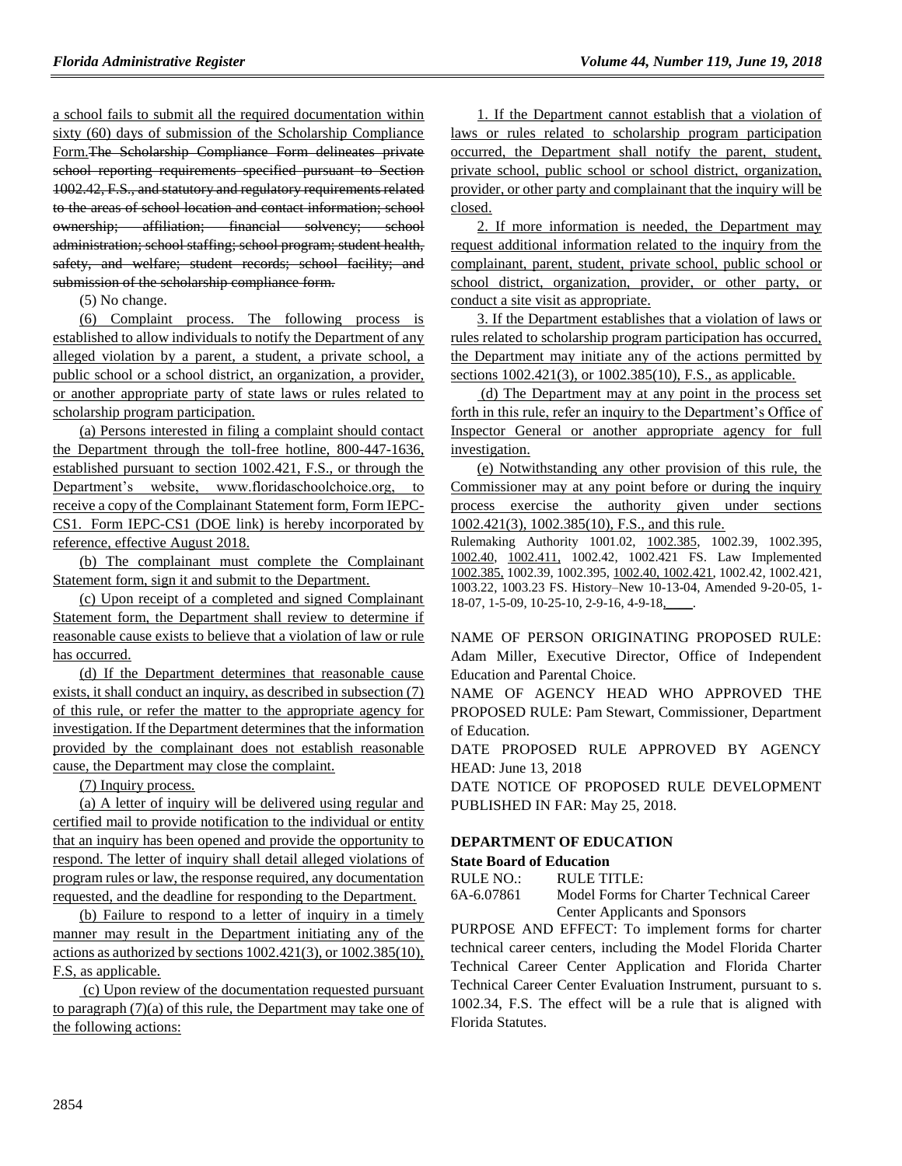a school fails to submit all the required documentation within sixty (60) days of submission of the Scholarship Compliance Form.The Scholarship Compliance Form delineates private school reporting requirements specified pursuant to Section 1002.42, F.S., and statutory and regulatory requirements related to the areas of school location and contact information; school ownership; affiliation; financial solvency; school administration; school staffing; school program; student health, safety, and welfare; student records; school facility; and submission of the scholarship compliance form.

(5) No change.

(6) Complaint process. The following process is established to allow individuals to notify the Department of any alleged violation by a parent, a student, a private school, a public school or a school district, an organization, a provider, or another appropriate party of state laws or rules related to scholarship program participation.

(a) Persons interested in filing a complaint should contact the Department through the toll-free hotline, 800-447-1636, established pursuant to section 1002.421, F.S., or through the Department's website, www.floridaschoolchoice.org, to receive a copy of the Complainant Statement form, Form IEPC-CS1. Form IEPC-CS1 (DOE link) is hereby incorporated by reference, effective August 2018.

(b) The complainant must complete the Complainant Statement form, sign it and submit to the Department.

(c) Upon receipt of a completed and signed Complainant Statement form, the Department shall review to determine if reasonable cause exists to believe that a violation of law or rule has occurred.

(d) If the Department determines that reasonable cause exists, it shall conduct an inquiry, as described in subsection (7) of this rule, or refer the matter to the appropriate agency for investigation. If the Department determines that the information provided by the complainant does not establish reasonable cause, the Department may close the complaint.

(7) Inquiry process.

(a) A letter of inquiry will be delivered using regular and certified mail to provide notification to the individual or entity that an inquiry has been opened and provide the opportunity to respond. The letter of inquiry shall detail alleged violations of program rules or law, the response required, any documentation requested, and the deadline for responding to the Department.

(b) Failure to respond to a letter of inquiry in a timely manner may result in the Department initiating any of the actions as authorized by sections 1002.421(3), or 1002.385(10), F.S, as applicable.

(c) Upon review of the documentation requested pursuant to paragraph (7)(a) of this rule, the Department may take one of the following actions:

1. If the Department cannot establish that a violation of laws or rules related to scholarship program participation occurred, the Department shall notify the parent, student, private school, public school or school district, organization, provider, or other party and complainant that the inquiry will be closed.

2. If more information is needed, the Department may request additional information related to the inquiry from the complainant, parent, student, private school, public school or school district, organization, provider, or other party, or conduct a site visit as appropriate.

3. If the Department establishes that a violation of laws or rules related to scholarship program participation has occurred, the Department may initiate any of the actions permitted by sections 1002.421(3), or 1002.385(10), F.S., as applicable.

(d) The Department may at any point in the process set forth in this rule, refer an inquiry to the Department's Office of Inspector General or another appropriate agency for full investigation.

(e) Notwithstanding any other provision of this rule, the Commissioner may at any point before or during the inquiry process exercise the authority given under sections 1002.421(3), 1002.385(10), F.S., and this rule.

Rulemaking Authority 1001.02, 1002.385, 1002.39, 1002.395, 1002.40, 1002.411, 1002.42, 1002.421 FS. Law Implemented 1002.385, 1002.39, 1002.395, 1002.40, 1002.421, 1002.42, 1002.421, 1003.22, 1003.23 FS. History–New 10-13-04, Amended 9-20-05, 1- 18-07, 1-5-09, 10-25-10, 2-9-16, 4-9-18,

NAME OF PERSON ORIGINATING PROPOSED RULE: Adam Miller, Executive Director, Office of Independent Education and Parental Choice.

NAME OF AGENCY HEAD WHO APPROVED THE PROPOSED RULE: Pam Stewart, Commissioner, Department of Education.

DATE PROPOSED RULE APPROVED BY AGENCY HEAD: June 13, 2018

DATE NOTICE OF PROPOSED RULE DEVELOPMENT PUBLISHED IN FAR: May 25, 2018.

## **[DEPARTMENT OF EDUCATION](https://www.flrules.org/gateway/department.asp?id=6)**

### **[State Board of Education](https://www.flrules.org/gateway/organization.asp?id=195)**

RULE NO.: RULE TITLE:

[6A-6.07861](https://www.flrules.org/gateway/ruleNo.asp?id=6A-6.07861) Model Forms for Charter Technical Career Center Applicants and Sponsors

PURPOSE AND EFFECT: To implement forms for charter technical career centers, including the Model Florida Charter Technical Career Center Application and Florida Charter Technical Career Center Evaluation Instrument, pursuant to s. 1002.34, F.S. The effect will be a rule that is aligned with Florida Statutes.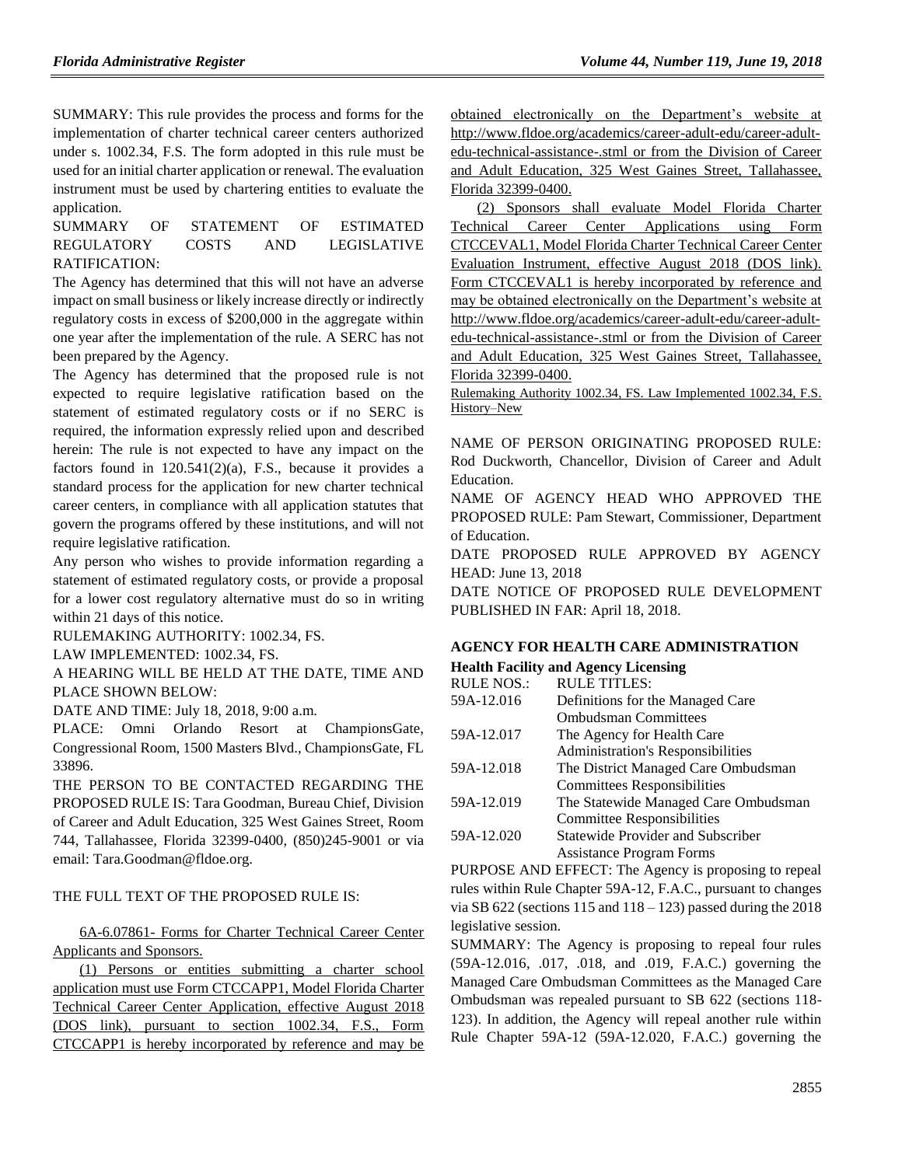SUMMARY: This rule provides the process and forms for the implementation of charter technical career centers authorized under s. 1002.34, F.S. The form adopted in this rule must be used for an initial charter application or renewal. The evaluation instrument must be used by chartering entities to evaluate the application.

SUMMARY OF STATEMENT OF ESTIMATED REGULATORY COSTS AND LEGISLATIVE RATIFICATION:

The Agency has determined that this will not have an adverse impact on small business or likely increase directly or indirectly regulatory costs in excess of \$200,000 in the aggregate within one year after the implementation of the rule. A SERC has not been prepared by the Agency.

The Agency has determined that the proposed rule is not expected to require legislative ratification based on the statement of estimated regulatory costs or if no SERC is required, the information expressly relied upon and described herein: The rule is not expected to have any impact on the factors found in  $120.541(2)(a)$ , F.S., because it provides a standard process for the application for new charter technical career centers, in compliance with all application statutes that govern the programs offered by these institutions, and will not require legislative ratification.

Any person who wishes to provide information regarding a statement of estimated regulatory costs, or provide a proposal for a lower cost regulatory alternative must do so in writing within 21 days of this notice.

RULEMAKING AUTHORITY: [1002.34,](https://www.flrules.org/gateway/statute.asp?id=1002.34) FS.

LAW IMPLEMENTED: [1002.34,](https://www.flrules.org/gateway/statute.asp?id=1002.34) FS.

A HEARING WILL BE HELD AT THE DATE, TIME AND PLACE SHOWN BELOW:

DATE AND TIME: July 18, 2018, 9:00 a.m.

PLACE: Omni Orlando Resort at ChampionsGate, Congressional Room, 1500 Masters Blvd., ChampionsGate, FL 33896.

THE PERSON TO BE CONTACTED REGARDING THE PROPOSED RULE IS: Tara Goodman, Bureau Chief, Division of Career and Adult Education, 325 West Gaines Street, Room 744, Tallahassee, Florida 32399-0400, (850)245-9001 or via email: Tara.Goodman@fldoe.org.

THE FULL TEXT OF THE PROPOSED RULE IS:

6A-6.07861- Forms for Charter Technical Career Center Applicants and Sponsors.

(1) Persons or entities submitting a charter school application must use Form CTCCAPP1, Model Florida Charter Technical Career Center Application, effective August 2018 (DOS link), pursuant to section 1002.34, F.S., Form CTCCAPP1 is hereby incorporated by reference and may be obtained electronically on the Department's website at http://www.fldoe.org/academics/career-adult-edu/career-adultedu-technical-assistance-.stml or from the Division of Career and Adult Education, 325 West Gaines Street, Tallahassee, Florida 32399-0400.

(2) Sponsors shall evaluate Model Florida Charter Technical Career Center Applications using Form CTCCEVAL1, Model Florida Charter Technical Career Center Evaluation Instrument, effective August 2018 (DOS link). Form CTCCEVAL1 is hereby incorporated by reference and may be obtained electronically on the Department's website at http://www.fldoe.org/academics/career-adult-edu/career-adultedu-technical-assistance-.stml or from the Division of Career and Adult Education, 325 West Gaines Street, Tallahassee, Florida 32399-0400.

Rulemaking Authority 1002.34, FS. Law Implemented 1002.34, F.S. History–New

NAME OF PERSON ORIGINATING PROPOSED RULE: Rod Duckworth, Chancellor, Division of Career and Adult Education.

NAME OF AGENCY HEAD WHO APPROVED THE PROPOSED RULE: Pam Stewart, Commissioner, Department of Education.

DATE PROPOSED RULE APPROVED BY AGENCY HEAD: June 13, 2018

DATE NOTICE OF PROPOSED RULE DEVELOPMENT PUBLISHED IN FAR: April 18, 2018.

## **[AGENCY FOR HEALTH CARE ADMINISTRATION](https://www.flrules.org/gateway/department.asp?id=59)**

| <b>Health Facility and Agency Licensing</b> |                                          |  |
|---------------------------------------------|------------------------------------------|--|
| <b>RULE NOS.:</b>                           | <b>RULE TITLES:</b>                      |  |
| 59A-12.016                                  | Definitions for the Managed Care         |  |
|                                             | <b>Ombudsman Committees</b>              |  |
| 59A-12.017                                  | The Agency for Health Care               |  |
|                                             | <b>Administration's Responsibilities</b> |  |
| 59A-12.018                                  | The District Managed Care Ombudsman      |  |
|                                             | <b>Committees Responsibilities</b>       |  |
| 59A-12.019                                  | The Statewide Managed Care Ombudsman     |  |
|                                             | Committee Responsibilities               |  |
| 59A-12.020                                  | Statewide Provider and Subscriber        |  |
|                                             | <b>Assistance Program Forms</b>          |  |
|                                             |                                          |  |

PURPOSE AND EFFECT: The Agency is proposing to repeal rules within Rule Chapter 59A-12, F.A.C., pursuant to changes via SB 622 (sections  $115$  and  $118 - 123$ ) passed during the 2018 legislative session.

SUMMARY: The Agency is proposing to repeal four rules (59A-12.016, .017, .018, and .019, F.A.C.) governing the Managed Care Ombudsman Committees as the Managed Care Ombudsman was repealed pursuant to SB 622 (sections 118- 123). In addition, the Agency will repeal another rule within Rule Chapter 59A-12 (59A-12.020, F.A.C.) governing the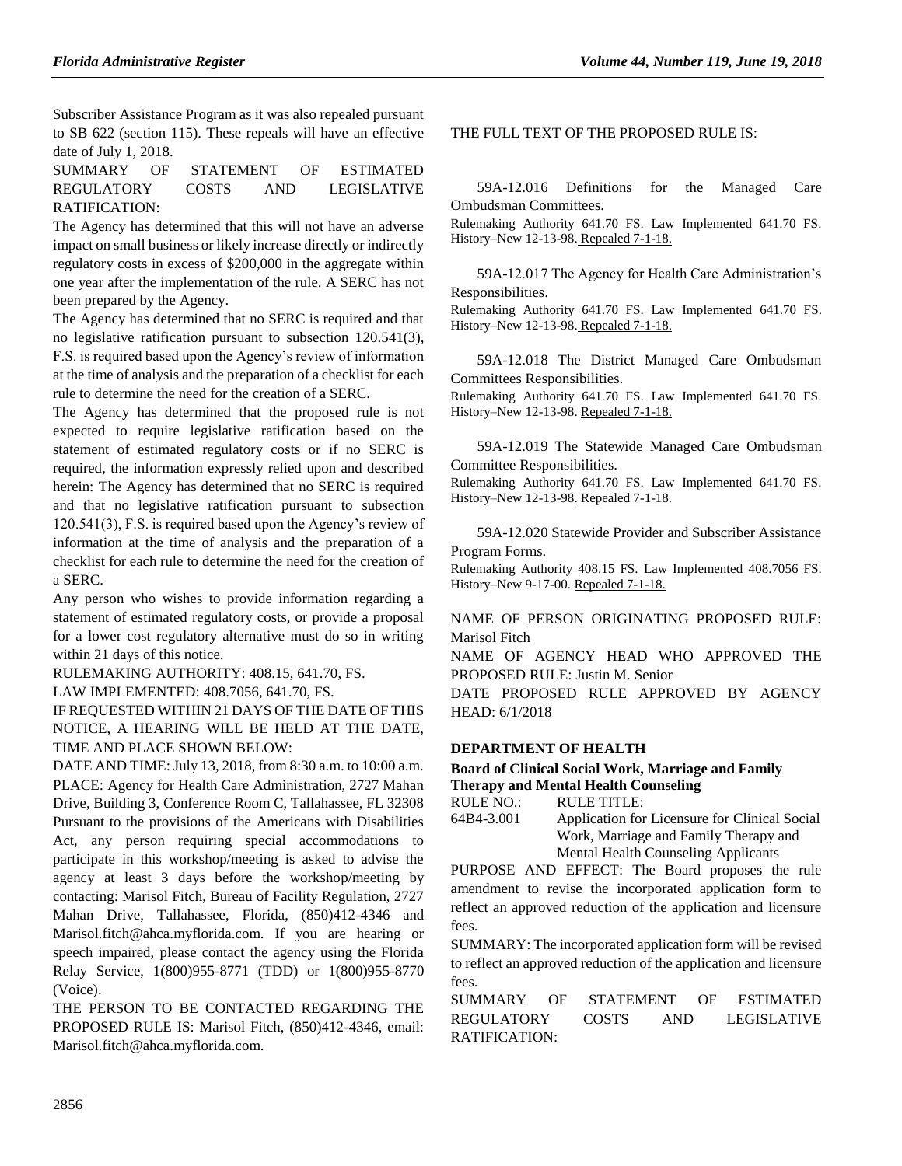Subscriber Assistance Program as it was also repealed pursuant to SB 622 (section 115). These repeals will have an effective date of July 1, 2018.

SUMMARY OF STATEMENT OF ESTIMATED REGULATORY COSTS AND LEGISLATIVE RATIFICATION:

The Agency has determined that this will not have an adverse impact on small business or likely increase directly or indirectly regulatory costs in excess of \$200,000 in the aggregate within one year after the implementation of the rule. A SERC has not been prepared by the Agency.

The Agency has determined that no SERC is required and that no legislative ratification pursuant to subsection 120.541(3), F.S. is required based upon the Agency's review of information at the time of analysis and the preparation of a checklist for each rule to determine the need for the creation of a SERC.

The Agency has determined that the proposed rule is not expected to require legislative ratification based on the statement of estimated regulatory costs or if no SERC is required, the information expressly relied upon and described herein: The Agency has determined that no SERC is required and that no legislative ratification pursuant to subsection 120.541(3), F.S. is required based upon the Agency's review of information at the time of analysis and the preparation of a checklist for each rule to determine the need for the creation of a SERC.

Any person who wishes to provide information regarding a statement of estimated regulatory costs, or provide a proposal for a lower cost regulatory alternative must do so in writing within 21 days of this notice.

RULEMAKING AUTHORITY: [408.15, 641.70,](https://www.flrules.org/gateway/statute.asp?id=408.15%20and%20641.70) FS.

LAW IMPLEMENTED: [408.7056, 641.70,](https://www.flrules.org/gateway/statute.asp?id=408.7056%20and%20641.70) FS.

IF REQUESTED WITHIN 21 DAYS OF THE DATE OF THIS NOTICE, A HEARING WILL BE HELD AT THE DATE, TIME AND PLACE SHOWN BELOW:

DATE AND TIME: July 13, 2018, from 8:30 a.m. to 10:00 a.m. PLACE: Agency for Health Care Administration, 2727 Mahan Drive, Building 3, Conference Room C, Tallahassee, FL 32308 Pursuant to the provisions of the Americans with Disabilities Act, any person requiring special accommodations to participate in this workshop/meeting is asked to advise the agency at least 3 days before the workshop/meeting by contacting: Marisol Fitch, Bureau of Facility Regulation, 2727 Mahan Drive, Tallahassee, Florida, (850)412-4346 and Marisol.fitch@ahca.myflorida.com. If you are hearing or speech impaired, please contact the agency using the Florida Relay Service, 1(800)955-8771 (TDD) or 1(800)955-8770 (Voice).

THE PERSON TO BE CONTACTED REGARDING THE PROPOSED RULE IS: Marisol Fitch, (850)412-4346, email: Marisol.fitch@ahca.myflorida.com.

THE FULL TEXT OF THE PROPOSED RULE IS:

59A-12.016 Definitions for the Managed Care Ombudsman Committees.

Rulemaking Authority 641.70 FS. Law Implemented 641.70 FS. History–New 12-13-98. Repealed 7-1-18.

59A-12.017 The Agency for Health Care Administration's Responsibilities.

Rulemaking Authority 641.70 FS. Law Implemented 641.70 FS. History–New 12-13-98. Repealed 7-1-18.

59A-12.018 The District Managed Care Ombudsman Committees Responsibilities.

Rulemaking Authority 641.70 FS. Law Implemented 641.70 FS. History–New 12-13-98. Repealed 7-1-18.

59A-12.019 The Statewide Managed Care Ombudsman Committee Responsibilities.

Rulemaking Authority 641.70 FS. Law Implemented 641.70 FS. History–New 12-13-98. Repealed 7-1-18.

59A-12.020 Statewide Provider and Subscriber Assistance Program Forms.

Rulemaking Authority 408.15 FS. Law Implemented 408.7056 FS. History–New 9-17-00. Repealed 7-1-18.

NAME OF PERSON ORIGINATING PROPOSED RULE: Marisol Fitch

NAME OF AGENCY HEAD WHO APPROVED THE PROPOSED RULE: Justin M. Senior

DATE PROPOSED RULE APPROVED BY AGENCY HEAD: 6/1/2018

### **[DEPARTMENT OF HEALTH](https://www.flrules.org/gateway/department.asp?id=64)**

**[Board of Clinical Social Work, Marriage and Family](https://www.flrules.org/gateway/organization.asp?id=327)  [Therapy and Mental Health Counseling](https://www.flrules.org/gateway/organization.asp?id=327)**

RULE NO.: RULE TITLE:

[64B4-3.001](https://www.flrules.org/gateway/ruleNo.asp?id=64B4-3.001) Application for Licensure for Clinical Social Work, Marriage and Family Therapy and Mental Health Counseling Applicants

PURPOSE AND EFFECT: The Board proposes the rule amendment to revise the incorporated application form to reflect an approved reduction of the application and licensure fees.

SUMMARY: The incorporated application form will be revised to reflect an approved reduction of the application and licensure fees.

SUMMARY OF STATEMENT OF ESTIMATED REGULATORY COSTS AND LEGISLATIVE RATIFICATION: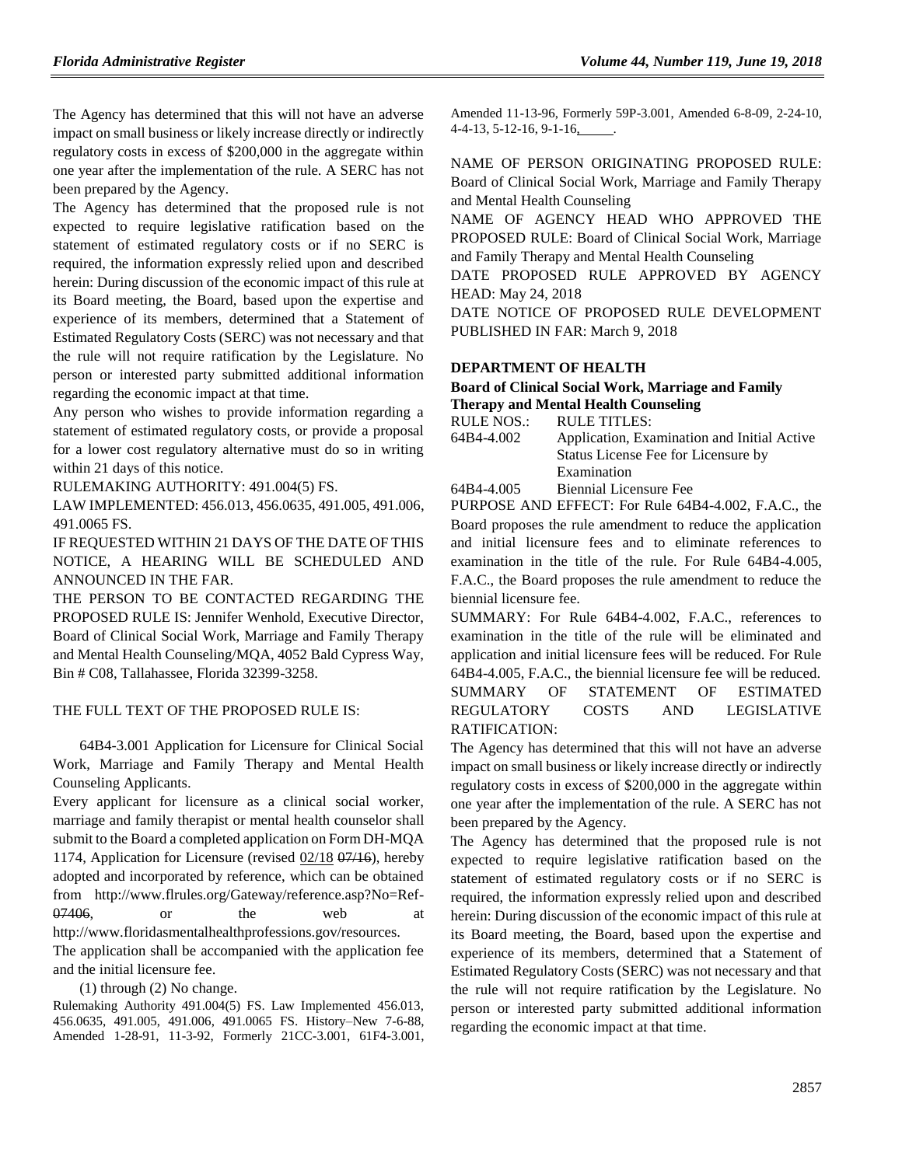The Agency has determined that this will not have an adverse impact on small business or likely increase directly or indirectly regulatory costs in excess of \$200,000 in the aggregate within one year after the implementation of the rule. A SERC has not been prepared by the Agency.

The Agency has determined that the proposed rule is not expected to require legislative ratification based on the statement of estimated regulatory costs or if no SERC is required, the information expressly relied upon and described herein: During discussion of the economic impact of this rule at its Board meeting, the Board, based upon the expertise and experience of its members, determined that a Statement of Estimated Regulatory Costs (SERC) was not necessary and that the rule will not require ratification by the Legislature. No person or interested party submitted additional information regarding the economic impact at that time.

Any person who wishes to provide information regarding a statement of estimated regulatory costs, or provide a proposal for a lower cost regulatory alternative must do so in writing within 21 days of this notice.

RULEMAKING AUTHORITY: [491.004\(5\) FS.](https://www.flrules.org/gateway/statute.asp?id=491.004(5)%20FS.)

LAW IMPLEMENTED[: 456.013,](https://www.flrules.org/gateway/statute.asp?id=456.013) [456.0635,](https://www.flrules.org/gateway/statute.asp?id=%20456.0635) [491.005,](https://www.flrules.org/gateway/statute.asp?id=%20491.005) [491.006,](https://www.flrules.org/gateway/statute.asp?id=%20491.006) [491.0065 FS.](https://www.flrules.org/gateway/statute.asp?id=%20491.0065%20FS.)

IF REQUESTED WITHIN 21 DAYS OF THE DATE OF THIS NOTICE, A HEARING WILL BE SCHEDULED AND ANNOUNCED IN THE FAR.

THE PERSON TO BE CONTACTED REGARDING THE PROPOSED RULE IS: Jennifer Wenhold, Executive Director, Board of Clinical Social Work, Marriage and Family Therapy and Mental Health Counseling/MQA, 4052 Bald Cypress Way, Bin # C08, Tallahassee, Florida 32399-3258.

### THE FULL TEXT OF THE PROPOSED RULE IS:

64B4-3.001 Application for Licensure for Clinical Social Work, Marriage and Family Therapy and Mental Health Counseling Applicants.

Every applicant for licensure as a clinical social worker, marriage and family therapist or mental health counselor shall submit to the Board a completed application on Form DH-MQA 1174, Application for Licensure (revised  $02/18$   $07/16$ ), hereby adopted and incorporated by reference, which can be obtained from http://www.flrules.org/Gateway/reference.asp?No=Ref- $07406$ , or the web at http://www.floridasmentalhealthprofessions.gov/resources.

The application shall be accompanied with the application fee and the initial licensure fee.

(1) through (2) No change.

Rulemaking Authority 491.004(5) FS. Law Implemented 456.013, 456.0635, 491.005, 491.006, 491.0065 FS. History–New 7-6-88, Amended 1-28-91, 11-3-92, Formerly 21CC-3.001, 61F4-3.001,

Amended 11-13-96, Formerly 59P-3.001, Amended 6-8-09, 2-24-10, 4-4-13, 5-12-16, 9-1-16, .

NAME OF PERSON ORIGINATING PROPOSED RULE: Board of Clinical Social Work, Marriage and Family Therapy and Mental Health Counseling

NAME OF AGENCY HEAD WHO APPROVED THE PROPOSED RULE: Board of Clinical Social Work, Marriage and Family Therapy and Mental Health Counseling

DATE PROPOSED RULE APPROVED BY AGENCY HEAD: May 24, 2018

DATE NOTICE OF PROPOSED RULE DEVELOPMENT PUBLISHED IN FAR: March 9, 2018

## **[DEPARTMENT OF HEALTH](https://www.flrules.org/gateway/department.asp?id=64)**

### **[Board of Clinical Social Work, Marriage and Family](https://www.flrules.org/gateway/organization.asp?id=327)  [Therapy and Mental Health Counseling](https://www.flrules.org/gateway/organization.asp?id=327)**

| RULE NOS.: | <b>RULE TITLES:</b>                         |  |
|------------|---------------------------------------------|--|
| 64B4-4.002 | Application, Examination and Initial Active |  |
|            | Status License Fee for Licensure by         |  |
|            | Examination                                 |  |
| 64B4-4.005 | Biennial Licensure Fee                      |  |

PURPOSE AND EFFECT: For Rule 64B4-4.002, F.A.C., the Board proposes the rule amendment to reduce the application and initial licensure fees and to eliminate references to examination in the title of the rule. For Rule 64B4-4.005, F.A.C., the Board proposes the rule amendment to reduce the biennial licensure fee.

SUMMARY: For Rule 64B4-4.002, F.A.C., references to examination in the title of the rule will be eliminated and application and initial licensure fees will be reduced. For Rule 64B4-4.005, F.A.C., the biennial licensure fee will be reduced. SUMMARY OF STATEMENT OF ESTIMATED REGULATORY COSTS AND LEGISLATIVE RATIFICATION:

The Agency has determined that this will not have an adverse impact on small business or likely increase directly or indirectly regulatory costs in excess of \$200,000 in the aggregate within one year after the implementation of the rule. A SERC has not been prepared by the Agency.

The Agency has determined that the proposed rule is not expected to require legislative ratification based on the statement of estimated regulatory costs or if no SERC is required, the information expressly relied upon and described herein: During discussion of the economic impact of this rule at its Board meeting, the Board, based upon the expertise and experience of its members, determined that a Statement of Estimated Regulatory Costs (SERC) was not necessary and that the rule will not require ratification by the Legislature. No person or interested party submitted additional information regarding the economic impact at that time.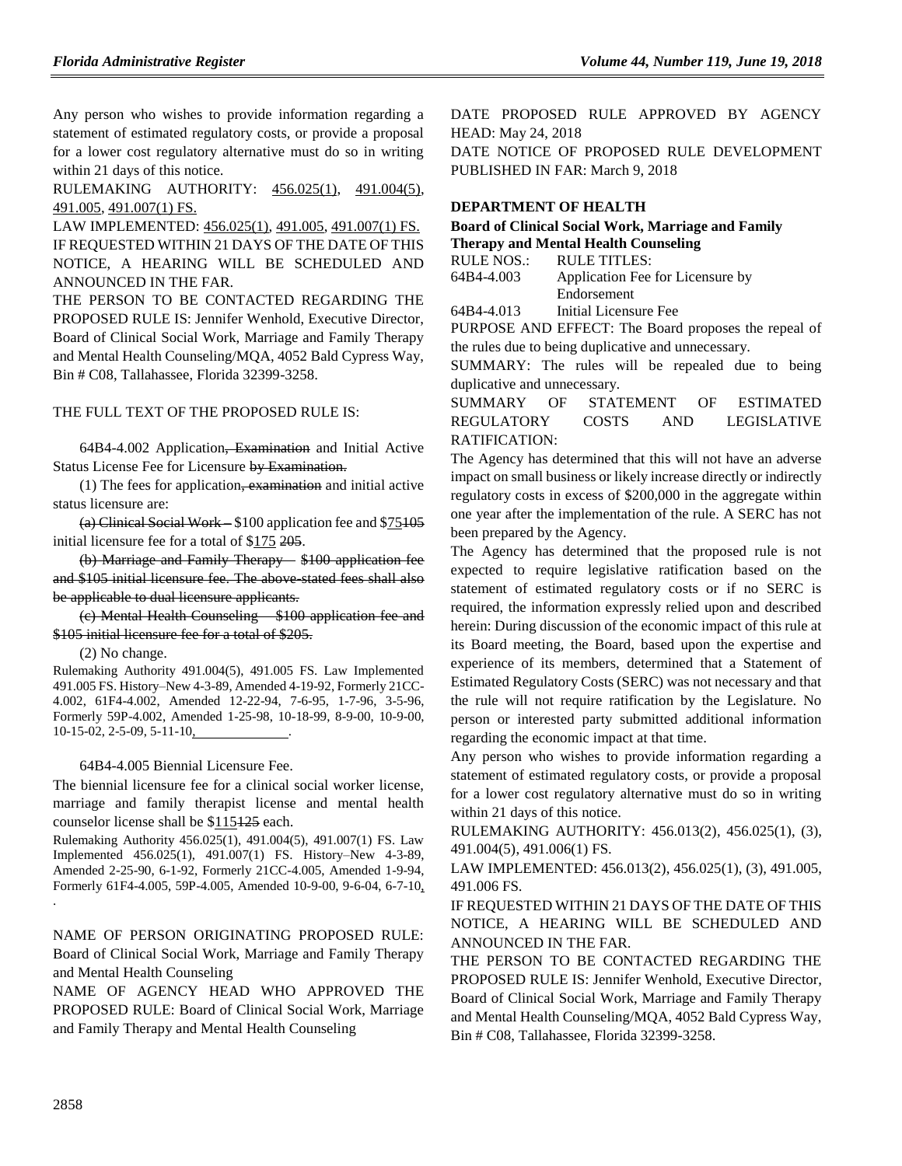Any person who wishes to provide information regarding a statement of estimated regulatory costs, or provide a proposal for a lower cost regulatory alternative must do so in writing within 21 days of this notice.

RULEMAKING AUTHORITY: [456.025\(1\),](https://www.flrules.org/gateway/statute.asp?id=456.025(1)) [491.004\(5\),](https://www.flrules.org/gateway/statute.asp?id=%20491.004(5)) [491.005,](https://www.flrules.org/gateway/statute.asp?id=%20491.005) [491.007\(1\) FS.](https://www.flrules.org/gateway/statute.asp?id=%20%20491.007(1)%20FS.)

LAW IMPLEMENTED: [456.025\(1\),](https://www.flrules.org/gateway/statute.asp?id=456.025(1)) [491.005,](https://www.flrules.org/gateway/statute.asp?id=%20491.005) [491.007\(1\) FS.](https://www.flrules.org/gateway/statute.asp?id=%20%20491.007(1)%20FS.) IF REQUESTED WITHIN 21 DAYS OF THE DATE OF THIS NOTICE, A HEARING WILL BE SCHEDULED AND ANNOUNCED IN THE FAR.

THE PERSON TO BE CONTACTED REGARDING THE PROPOSED RULE IS: Jennifer Wenhold, Executive Director, Board of Clinical Social Work, Marriage and Family Therapy and Mental Health Counseling/MQA, 4052 Bald Cypress Way, Bin # C08, Tallahassee, Florida 32399-3258.

### THE FULL TEXT OF THE PROPOSED RULE IS:

64B4-4.002 Application, Examination and Initial Active Status License Fee for Licensure by Examination.

(1) The fees for application, examination and initial active status licensure are:

(a) Clinical Social Work – \$100 application fee and \$75105 initial licensure fee for a total of \$175 205.

(b) Marriage and Family Therapy – \$100 application fee and \$105 initial licensure fee. The above-stated fees shall also be applicable to dual licensure applicants.

(c) Mental Health Counseling – \$100 application fee and \$105 initial licensure fee for a total of \$205.

(2) No change.

Rulemaking Authority 491.004(5), 491.005 FS. Law Implemented 491.005 FS. History–New 4-3-89, Amended 4-19-92, Formerly 21CC-4.002, 61F4-4.002, Amended 12-22-94, 7-6-95, 1-7-96, 3-5-96, Formerly 59P-4.002, Amended 1-25-98, 10-18-99, 8-9-00, 10-9-00, 10-15-02, 2-5-09, 5-11-10, .

### 64B4-4.005 Biennial Licensure Fee.

The biennial licensure fee for a clinical social worker license, marriage and family therapist license and mental health counselor license shall be \$115125 each.

Rulemaking Authority 456.025(1), 491.004(5), 491.007(1) FS. Law Implemented 456.025(1), 491.007(1) FS. History–New 4-3-89, Amended 2-25-90, 6-1-92, Formerly 21CC-4.005, Amended 1-9-94, Formerly 61F4-4.005, 59P-4.005, Amended 10-9-00, 9-6-04, 6-7-10, .

NAME OF PERSON ORIGINATING PROPOSED RULE: Board of Clinical Social Work, Marriage and Family Therapy and Mental Health Counseling

NAME OF AGENCY HEAD WHO APPROVED THE PROPOSED RULE: Board of Clinical Social Work, Marriage and Family Therapy and Mental Health Counseling

DATE PROPOSED RULE APPROVED BY AGENCY HEAD: May 24, 2018 DATE NOTICE OF PROPOSED RULE DEVELOPMENT PUBLISHED IN FAR: March 9, 2018

### **[DEPARTMENT OF HEALTH](https://www.flrules.org/gateway/department.asp?id=64)**

**[Board of Clinical Social Work, Marriage and Family](https://www.flrules.org/gateway/organization.asp?id=327)  [Therapy and Mental Health Counseling](https://www.flrules.org/gateway/organization.asp?id=327)** RULE NOS.: RULE TITLES:

[64B4-4.003](https://www.flrules.org/gateway/ruleNo.asp?id=64B4-4.003) Application Fee for Licensure by Endorsement

[64B4-4.013](https://www.flrules.org/gateway/ruleNo.asp?id=64B4-4.013) Initial Licensure Fee

PURPOSE AND EFFECT: The Board proposes the repeal of the rules due to being duplicative and unnecessary.

SUMMARY: The rules will be repealed due to being duplicative and unnecessary.

SUMMARY OF STATEMENT OF ESTIMATED REGULATORY COSTS AND LEGISLATIVE RATIFICATION:

The Agency has determined that this will not have an adverse impact on small business or likely increase directly or indirectly regulatory costs in excess of \$200,000 in the aggregate within one year after the implementation of the rule. A SERC has not been prepared by the Agency.

The Agency has determined that the proposed rule is not expected to require legislative ratification based on the statement of estimated regulatory costs or if no SERC is required, the information expressly relied upon and described herein: During discussion of the economic impact of this rule at its Board meeting, the Board, based upon the expertise and experience of its members, determined that a Statement of Estimated Regulatory Costs (SERC) was not necessary and that the rule will not require ratification by the Legislature. No person or interested party submitted additional information regarding the economic impact at that time.

Any person who wishes to provide information regarding a statement of estimated regulatory costs, or provide a proposal for a lower cost regulatory alternative must do so in writing within 21 days of this notice.

RULEMAKING AUTHORITY: [456.013\(2\),](https://www.flrules.org/gateway/statute.asp?id=456.013(2)) [456.025\(1\),](https://www.flrules.org/gateway/statute.asp?id=%20456.025(1)) (3), [491.004\(5\),](https://www.flrules.org/gateway/statute.asp?id=%20491.004(5)) [491.006\(1\) FS.](https://www.flrules.org/gateway/statute.asp?id=%20491.006(1)%20FS.)

LAW IMPLEMENTED: [456.013\(2\),](https://www.flrules.org/gateway/statute.asp?id=456.013(2)) [456.025\(1\),](https://www.flrules.org/gateway/statute.asp?id=%20456.025(1)) (3), [491.005,](https://www.flrules.org/gateway/statute.asp?id=%20491.005) [491.006 FS.](https://www.flrules.org/gateway/statute.asp?id=%20491.006%20FS.)

IF REQUESTED WITHIN 21 DAYS OF THE DATE OF THIS NOTICE, A HEARING WILL BE SCHEDULED AND ANNOUNCED IN THE FAR.

THE PERSON TO BE CONTACTED REGARDING THE PROPOSED RULE IS: Jennifer Wenhold, Executive Director, Board of Clinical Social Work, Marriage and Family Therapy and Mental Health Counseling/MQA, 4052 Bald Cypress Way, Bin # C08, Tallahassee, Florida 32399-3258.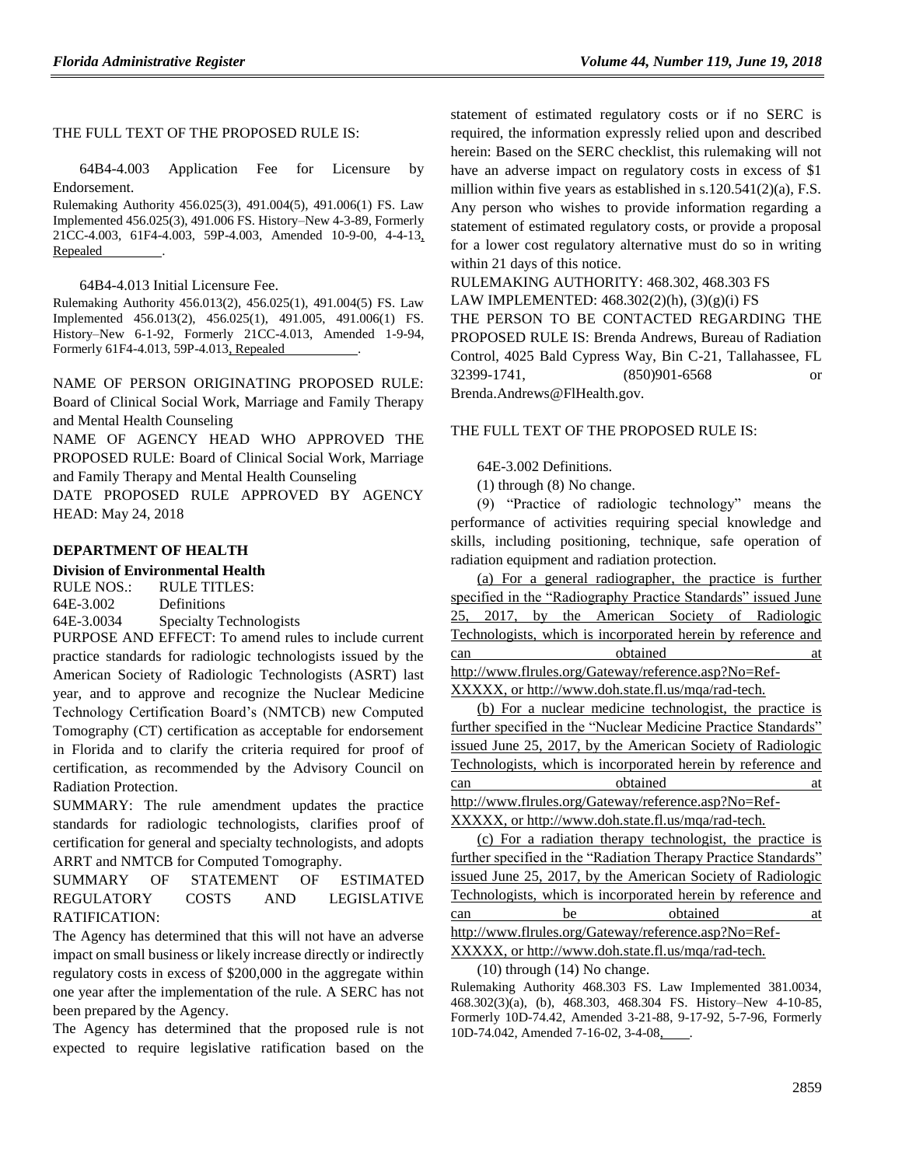### THE FULL TEXT OF THE PROPOSED RULE IS:

64B4-4.003 Application Fee for Licensure by Endorsement.

Rulemaking Authority 456.025(3), 491.004(5), 491.006(1) FS. Law Implemented 456.025(3), 491.006 FS. History–New 4-3-89, Formerly 21CC-4.003, 61F4-4.003, 59P-4.003, Amended 10-9-00, 4-4-13, Repealed

64B4-4.013 Initial Licensure Fee.

Rulemaking Authority 456.013(2), 456.025(1), 491.004(5) FS. Law Implemented 456.013(2), 456.025(1), 491.005, 491.006(1) FS. History–New 6-1-92, Formerly 21CC-4.013, Amended 1-9-94, Formerly 61F4-4.013, 59P-4.013, Repealed .

NAME OF PERSON ORIGINATING PROPOSED RULE: Board of Clinical Social Work, Marriage and Family Therapy and Mental Health Counseling

NAME OF AGENCY HEAD WHO APPROVED THE PROPOSED RULE: Board of Clinical Social Work, Marriage and Family Therapy and Mental Health Counseling

DATE PROPOSED RULE APPROVED BY AGENCY HEAD: May 24, 2018

### **[DEPARTMENT OF HEALTH](https://www.flrules.org/gateway/department.asp?id=64)**

### **[Division of Environmental Health](https://www.flrules.org/gateway/organization.asp?id=335)**

RULE NOS.: RULE TITLES: [64E-3.002](https://www.flrules.org/gateway/ruleNo.asp?id=64E-3.002) Definitions [64E-3.0034](https://www.flrules.org/gateway/ruleNo.asp?id=64E-3.0034) Specialty Technologists

PURPOSE AND EFFECT: To amend rules to include current practice standards for radiologic technologists issued by the American Society of Radiologic Technologists (ASRT) last year, and to approve and recognize the Nuclear Medicine Technology Certification Board's (NMTCB) new Computed Tomography (CT) certification as acceptable for endorsement in Florida and to clarify the criteria required for proof of certification, as recommended by the Advisory Council on Radiation Protection.

SUMMARY: The rule amendment updates the practice standards for radiologic technologists, clarifies proof of certification for general and specialty technologists, and adopts ARRT and NMTCB for Computed Tomography.

SUMMARY OF STATEMENT OF ESTIMATED REGULATORY COSTS AND LEGISLATIVE RATIFICATION:

The Agency has determined that this will not have an adverse impact on small business or likely increase directly or indirectly regulatory costs in excess of \$200,000 in the aggregate within one year after the implementation of the rule. A SERC has not been prepared by the Agency.

The Agency has determined that the proposed rule is not expected to require legislative ratification based on the statement of estimated regulatory costs or if no SERC is required, the information expressly relied upon and described herein: Based on the SERC checklist, this rulemaking will not have an adverse impact on regulatory costs in excess of \$1 million within five years as established in s.120.541(2)(a), F.S. Any person who wishes to provide information regarding a statement of estimated regulatory costs, or provide a proposal for a lower cost regulatory alternative must do so in writing within 21 days of this notice.

RULEMAKING AUTHORITY: [468.302, 468.303 FS](https://www.flrules.org/gateway/cfr.asp?id=468.302,%20468.303%20FS)

LAW IMPLEMENTED: [468.302\(2\)\(h\), \(3\)\(g\)\(i\) FS](https://www.flrules.org/gateway/cfr.asp?id=468.302(2)(h),%20(3)(g)(i)%20FS)

THE PERSON TO BE CONTACTED REGARDING THE PROPOSED RULE IS: Brenda Andrews, Bureau of Radiation Control, 4025 Bald Cypress Way, Bin C-21, Tallahassee, FL 32399-1741, (850)901-6568 or Brenda.Andrews@FlHealth.gov.

THE FULL TEXT OF THE PROPOSED RULE IS:

64E-3.002 Definitions.

(1) through (8) No change.

(9) "Practice of radiologic technology" means the performance of activities requiring special knowledge and skills, including positioning, technique, safe operation of radiation equipment and radiation protection.

(a) For a general radiographer, the practice is further specified in the "Radiography Practice Standards" issued June 25, 2017, by the American Society of Radiologic Technologists, which is incorporated herein by reference and can obtained at

http://www.flrules.org/Gateway/reference.asp?No=Ref-XXXXX, or http://www.doh.state.fl.us/mqa/rad-tech.

(b) For a nuclear medicine technologist, the practice is further specified in the "Nuclear Medicine Practice Standards" issued June 25, 2017, by the American Society of Radiologic Technologists, which is incorporated herein by reference and can obtained at http://www.flrules.org/Gateway/reference.asp?No=Ref-XXXXX, or http://www.doh.state.fl.us/mqa/rad-tech.

(c) For a radiation therapy technologist, the practice is further specified in the "Radiation Therapy Practice Standards" issued June 25, 2017, by the American Society of Radiologic Technologists, which is incorporated herein by reference and can be be obtained at http://www.flrules.org/Gateway/reference.asp?No=Ref-

XXXXX, or http://www.doh.state.fl.us/mqa/rad-tech.

(10) through (14) No change.

Rulemaking Authority 468.303 FS. Law Implemented 381.0034, 468.302(3)(a), (b), 468.303, 468.304 FS. History–New 4-10-85, Formerly 10D-74.42, Amended 3-21-88, 9-17-92, 5-7-96, Formerly 10D-74.042, Amended 7-16-02, 3-4-08,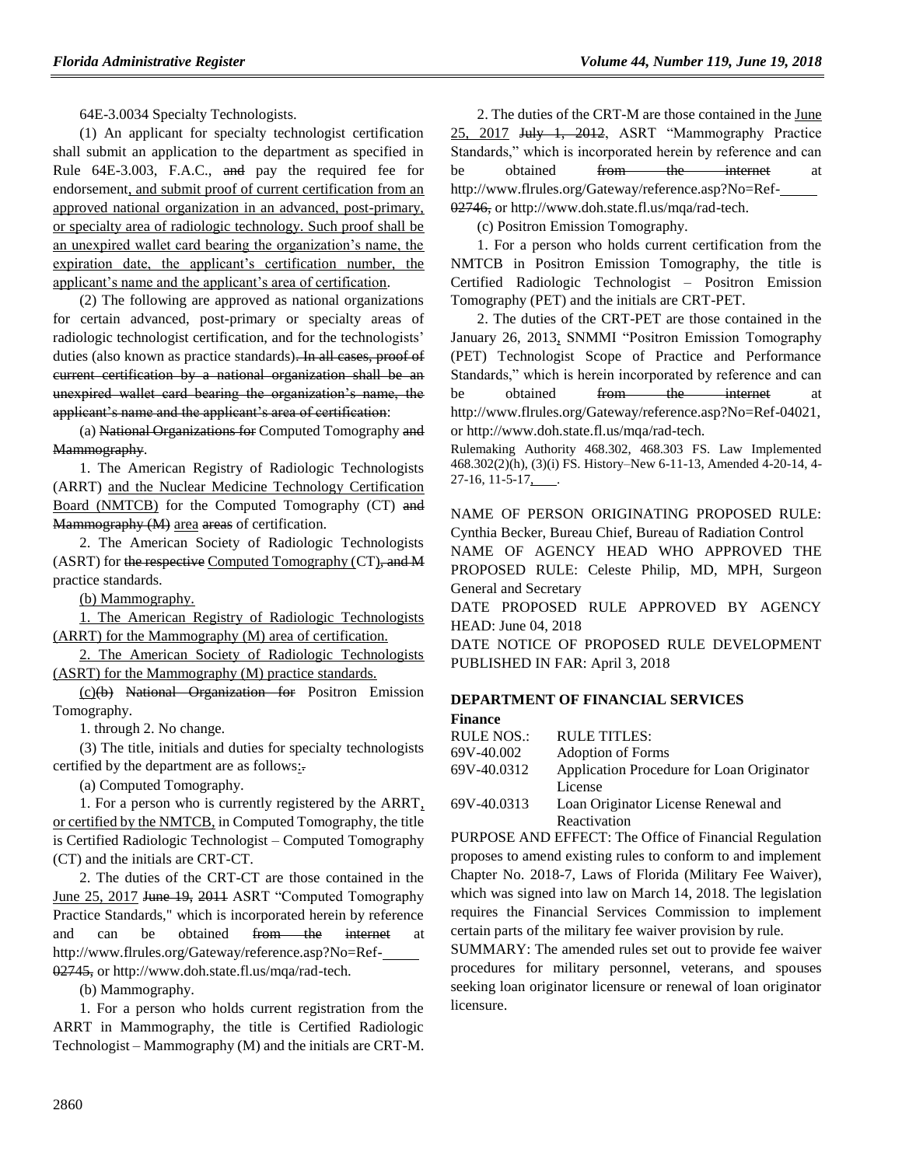64E-3.0034 Specialty Technologists.

(1) An applicant for specialty technologist certification shall submit an application to the department as specified in Rule 64E-3.003, F.A.C., and pay the required fee for endorsement, and submit proof of current certification from an approved national organization in an advanced, post-primary, or specialty area of radiologic technology. Such proof shall be an unexpired wallet card bearing the organization's name, the expiration date, the applicant's certification number, the applicant's name and the applicant's area of certification.

(2) The following are approved as national organizations for certain advanced, post-primary or specialty areas of radiologic technologist certification, and for the technologists' duties (also known as practice standards). In all cases, proof of current certification by a national organization shall be an unexpired wallet card bearing the organization's name, the applicant's name and the applicant's area of certification:

(a) National Organizations for Computed Tomography and Mammography.

1. The American Registry of Radiologic Technologists (ARRT) and the Nuclear Medicine Technology Certification Board (NMTCB) for the Computed Tomography (CT) and Mammography (M) area areas of certification.

2. The American Society of Radiologic Technologists (ASRT) for the respective Computed Tomography (CT), and M practice standards.

(b) Mammography.

1. The American Registry of Radiologic Technologists (ARRT) for the Mammography (M) area of certification.

2. The American Society of Radiologic Technologists (ASRT) for the Mammography (M) practice standards.

(c)(b) National Organization for Positron Emission Tomography.

1. through 2. No change.

(3) The title, initials and duties for specialty technologists certified by the department are as follows:.

(a) Computed Tomography.

1. For a person who is currently registered by the ARRT, or certified by the NMTCB, in Computed Tomography, the title is Certified Radiologic Technologist – Computed Tomography (CT) and the initials are CRT-CT.

2. The duties of the CRT-CT are those contained in the June 25, 2017 June 19, 2011 ASRT "Computed Tomography Practice Standards," which is incorporated herein by reference and can be obtained from the internet at http://www.flrules.org/Gateway/reference.asp?No=Ref-02745, or http://www.doh.state.fl.us/mqa/rad-tech.

(b) Mammography.

1. For a person who holds current registration from the ARRT in Mammography, the title is Certified Radiologic Technologist – Mammography (M) and the initials are CRT-M.

2. The duties of the CRT-M are those contained in the June 25, 2017 July 1, 2012, ASRT "Mammography Practice Standards," which is incorporated herein by reference and can be obtained <del>from the internet</del> at http://www.flrules.org/Gateway/reference.asp?No=Ref-02746, or http://www.doh.state.fl.us/mqa/rad-tech.

(c) Positron Emission Tomography.

1. For a person who holds current certification from the NMTCB in Positron Emission Tomography, the title is Certified Radiologic Technologist – Positron Emission Tomography (PET) and the initials are CRT-PET.

2. The duties of the CRT-PET are those contained in the January 26, 2013, SNMMI "Positron Emission Tomography (PET) Technologist Scope of Practice and Performance Standards," which is herein incorporated by reference and can be obtained <del>from the internet</del> at http://www.flrules.org/Gateway/reference.asp?No=Ref-04021, or http://www.doh.state.fl.us/mqa/rad-tech.

Rulemaking Authority 468.302, 468.303 FS. Law Implemented 468.302(2)(h), (3)(i) FS. History–New 6-11-13, Amended 4-20-14, 4- 27-16, 11-5-17,

NAME OF PERSON ORIGINATING PROPOSED RULE: Cynthia Becker, Bureau Chief, Bureau of Radiation Control

NAME OF AGENCY HEAD WHO APPROVED THE PROPOSED RULE: Celeste Philip, MD, MPH, Surgeon General and Secretary

DATE PROPOSED RULE APPROVED BY AGENCY HEAD: June 04, 2018

DATE NOTICE OF PROPOSED RULE DEVELOPMENT PUBLISHED IN FAR: April 3, 2018

## **[DEPARTMENT OF FINANCIAL SERVICES](https://www.flrules.org/gateway/department.asp?id=69)**

### **[Finance](https://www.flrules.org/gateway/organization.asp?id=524)**

| RULE NOS.:  | <b>RULE TITLES:</b>                       |
|-------------|-------------------------------------------|
| 69V-40.002  | <b>Adoption of Forms</b>                  |
| 69V-40.0312 | Application Procedure for Loan Originator |
|             | License                                   |
| 69V-40.0313 | Loan Originator License Renewal and       |
|             | Reactivation                              |

PURPOSE AND EFFECT: The Office of Financial Regulation proposes to amend existing rules to conform to and implement Chapter No. 2018-7, Laws of Florida (Military Fee Waiver), which was signed into law on March 14, 2018. The legislation requires the Financial Services Commission to implement certain parts of the military fee waiver provision by rule.

SUMMARY: The amended rules set out to provide fee waiver procedures for military personnel, veterans, and spouses seeking loan originator licensure or renewal of loan originator licensure.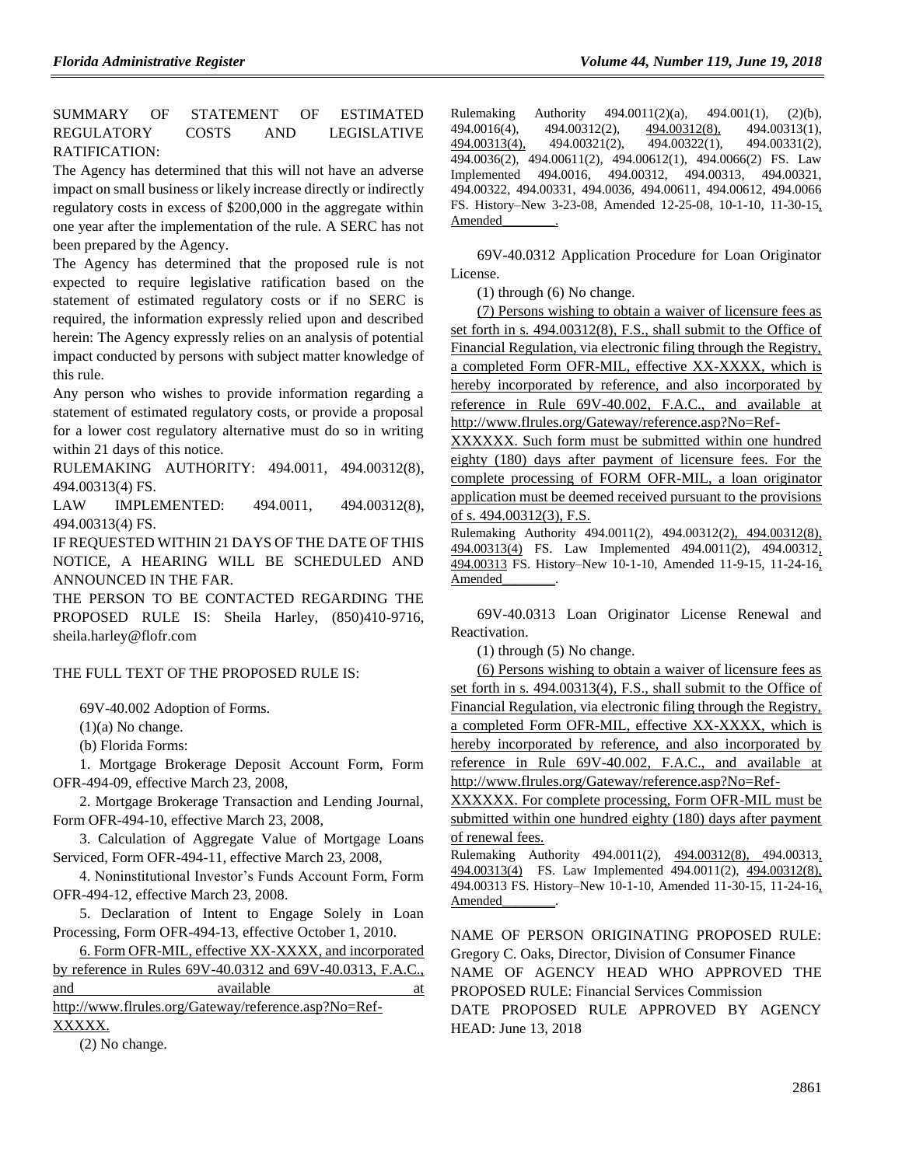SUMMARY OF STATEMENT OF ESTIMATED REGULATORY COSTS AND LEGISLATIVE RATIFICATION:

The Agency has determined that this will not have an adverse impact on small business or likely increase directly or indirectly regulatory costs in excess of \$200,000 in the aggregate within one year after the implementation of the rule. A SERC has not been prepared by the Agency.

The Agency has determined that the proposed rule is not expected to require legislative ratification based on the statement of estimated regulatory costs or if no SERC is required, the information expressly relied upon and described herein: The Agency expressly relies on an analysis of potential impact conducted by persons with subject matter knowledge of this rule.

Any person who wishes to provide information regarding a statement of estimated regulatory costs, or provide a proposal for a lower cost regulatory alternative must do so in writing within 21 days of this notice.

RULEMAKING AUTHORITY: [494.0011,](https://www.flrules.org/gateway/statute.asp?id=494.0011) [494.00312\(8\),](https://www.flrules.org/gateway/statute.asp?id=%20494.00312(8)) [494.00313\(4\) FS.](https://www.flrules.org/gateway/statute.asp?id=%20494.00313(4)%20FS.)

LAW IMPLEMENTED: [494.0011,](https://www.flrules.org/gateway/statute.asp?id=494.0011) [494.00312\(8\),](https://www.flrules.org/gateway/statute.asp?id=%20494.00312(8)) [494.00313\(4\) FS.](https://www.flrules.org/gateway/statute.asp?id=%20494.00313(4)%20FS.)

IF REQUESTED WITHIN 21 DAYS OF THE DATE OF THIS NOTICE, A HEARING WILL BE SCHEDULED AND ANNOUNCED IN THE FAR.

THE PERSON TO BE CONTACTED REGARDING THE PROPOSED RULE IS: Sheila Harley, (850)410-9716, sheila.harley@flofr.com

### THE FULL TEXT OF THE PROPOSED RULE IS:

69V-40.002 Adoption of Forms.

 $(1)(a)$  No change.

(b) Florida Forms:

1. Mortgage Brokerage Deposit Account Form, Form OFR-494-09, effective March 23, 2008,

2. Mortgage Brokerage Transaction and Lending Journal, Form OFR-494-10, effective March 23, 2008,

3. Calculation of Aggregate Value of Mortgage Loans Serviced, Form OFR-494-11, effective March 23, 2008,

4. Noninstitutional Investor's Funds Account Form, Form OFR-494-12, effective March 23, 2008.

5. Declaration of Intent to Engage Solely in Loan Processing, Form OFR-494-13, effective October 1, 2010.

6. Form OFR-MIL, effective XX-XXXX, and incorporated by reference in Rules 69V-40.0312 and 69V-40.0313, F.A.C., and available available at

http://www.flrules.org/Gateway/reference.asp?No=Ref-XXXXX.

(2) No change.

Rulemaking Authority 494.0011(2)(a), 494.001(1), (2)(b),  $494.0016(4)$ ,  $494.00312(2)$ ,  $494.00312(8)$ ,  $494.00313(1)$ ,<br> $494.00313(4)$ ,  $494.00321(2)$ ,  $494.00322(1)$ ,  $494.00331(2)$ , 494.00322(1), 494.0036(2), 494.00611(2), 494.00612(1), 494.0066(2) FS. Law Implemented 494.0016, 494.00312, 494.00313, 494.00321, 494.00322, 494.00331, 494.0036, 494.00611, 494.00612, 494.0066 FS. History–New 3-23-08, Amended 12-25-08, 10-1-10, 11-30-15, Amended

69V-40.0312 Application Procedure for Loan Originator License.

(1) through (6) No change.

(7) Persons wishing to obtain a waiver of licensure fees as set forth in s. 494.00312(8), F.S., shall submit to the Office of Financial Regulation, via electronic filing through the Registry, a completed Form OFR-MIL, effective XX-XXXX, which is hereby incorporated by reference, and also incorporated by reference in Rule 69V-40.002, F.A.C., and available at http://www.flrules.org/Gateway/reference.asp?No=Ref-

XXXXXX. Such form must be submitted within one hundred eighty (180) days after payment of licensure fees. For the complete processing of FORM OFR-MIL, a loan originator application must be deemed received pursuant to the provisions of s. 494.00312(3), F.S.

Rulemaking Authority 494.0011(2), 494.00312(2), 494.00312(8), 494.00313(4) FS. Law Implemented 494.0011(2), 494.00312, 494.00313 FS. History–New 10-1-10, Amended 11-9-15, 11-24-16, Amended

69V-40.0313 Loan Originator License Renewal and Reactivation.

(1) through (5) No change.

(6) Persons wishing to obtain a waiver of licensure fees as set forth in s. 494.00313(4), F.S., shall submit to the Office of Financial Regulation, via electronic filing through the Registry, a completed Form OFR-MIL, effective XX-XXXX, which is hereby incorporated by reference, and also incorporated by reference in Rule 69V-40.002, F.A.C., and available at http://www.flrules.org/Gateway/reference.asp?No=Ref-

XXXXXX. For complete processing, Form OFR-MIL must be submitted within one hundred eighty (180) days after payment of renewal fees.

Rulemaking Authority 494.0011(2), 494.00312(8), 494.00313, 494.00313(4) FS. Law Implemented 494.0011(2), 494.00312(8), 494.00313 FS. History–New 10-1-10, Amended 11-30-15, 11-24-16, Amended\_\_\_\_\_\_\_\_.

NAME OF PERSON ORIGINATING PROPOSED RULE: Gregory C. Oaks, Director, Division of Consumer Finance NAME OF AGENCY HEAD WHO APPROVED THE PROPOSED RULE: Financial Services Commission DATE PROPOSED RULE APPROVED BY AGENCY HEAD: June 13, 2018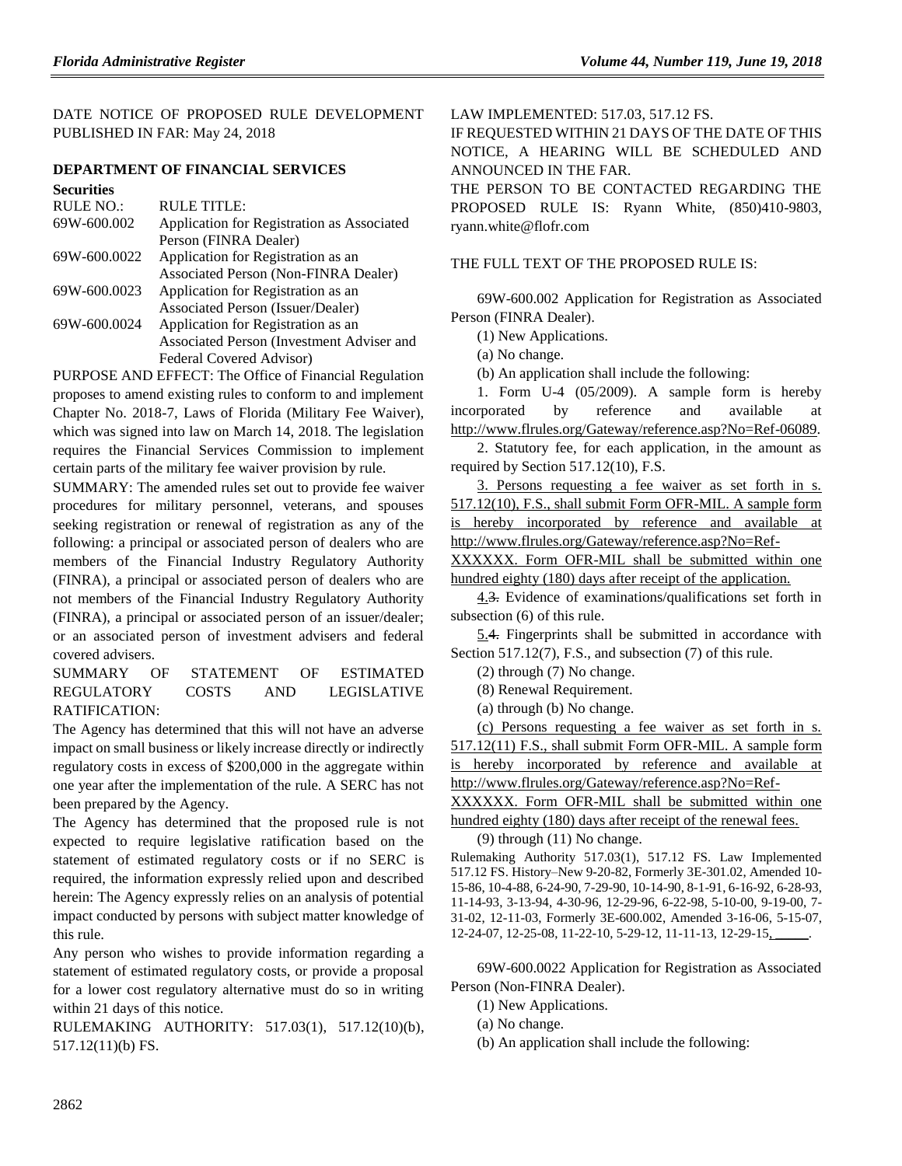DATE NOTICE OF PROPOSED RULE DEVELOPMENT PUBLISHED IN FAR: May 24, 2018

## **[DEPARTMENT OF FINANCIAL SERVICES](https://www.flrules.org/gateway/department.asp?id=69)**

| <b>Securities</b> |                                            |  |
|-------------------|--------------------------------------------|--|
| RULE NO.:         | RULE TITLE:                                |  |
| 69W-600.002       | Application for Registration as Associated |  |
|                   | Person (FINRA Dealer)                      |  |
| 69W-600.0022      | Application for Registration as an         |  |
|                   | Associated Person (Non-FINRA Dealer)       |  |
| 69W-600.0023      | Application for Registration as an         |  |
|                   | Associated Person (Issuer/Dealer)          |  |
| 69W-600.0024      | Application for Registration as an         |  |
|                   | Associated Person (Investment Adviser and  |  |
|                   | Federal Covered Advisor)                   |  |

PURPOSE AND EFFECT: The Office of Financial Regulation proposes to amend existing rules to conform to and implement Chapter No. 2018-7, Laws of Florida (Military Fee Waiver), which was signed into law on March 14, 2018. The legislation requires the Financial Services Commission to implement certain parts of the military fee waiver provision by rule.

SUMMARY: The amended rules set out to provide fee waiver procedures for military personnel, veterans, and spouses seeking registration or renewal of registration as any of the following: a principal or associated person of dealers who are members of the Financial Industry Regulatory Authority (FINRA), a principal or associated person of dealers who are not members of the Financial Industry Regulatory Authority (FINRA), a principal or associated person of an issuer/dealer; or an associated person of investment advisers and federal covered advisers.

SUMMARY OF STATEMENT OF ESTIMATED REGULATORY COSTS AND LEGISLATIVE RATIFICATION:

The Agency has determined that this will not have an adverse impact on small business or likely increase directly or indirectly regulatory costs in excess of \$200,000 in the aggregate within one year after the implementation of the rule. A SERC has not been prepared by the Agency.

The Agency has determined that the proposed rule is not expected to require legislative ratification based on the statement of estimated regulatory costs or if no SERC is required, the information expressly relied upon and described herein: The Agency expressly relies on an analysis of potential impact conducted by persons with subject matter knowledge of this rule.

Any person who wishes to provide information regarding a statement of estimated regulatory costs, or provide a proposal for a lower cost regulatory alternative must do so in writing within 21 days of this notice.

RULEMAKING AUTHORITY: [517.03\(1\),](https://www.flrules.org/gateway/statute.asp?id=517.03(1)) [517.12\(10\)\(b\),](https://www.flrules.org/gateway/statute.asp?id=%20517.12(10)(b)) [517.12\(11\)\(b\)](https://www.flrules.org/gateway/statute.asp?id=%20517.12(11)(b)%20FS.) FS.

LAW IMPLEMENTED: [517.03,](https://www.flrules.org/gateway/statute.asp?id=517.03) [517.12 FS.](https://www.flrules.org/gateway/statute.asp?id=%20517.12%20FS.)

IF REQUESTED WITHIN 21 DAYS OF THE DATE OF THIS NOTICE, A HEARING WILL BE SCHEDULED AND ANNOUNCED IN THE FAR.

THE PERSON TO BE CONTACTED REGARDING THE PROPOSED RULE IS: Ryann White, (850)410-9803, ryann.white@flofr.com

## THE FULL TEXT OF THE PROPOSED RULE IS:

69W-600.002 Application for Registration as Associated Person (FINRA Dealer).

(1) New Applications.

(a) No change.

(b) An application shall include the following:

1. Form U-4 (05/2009). A sample form is hereby incorporated by reference and available at [http://www.flrules.org/Gateway/reference.asp?No=Ref-06089.](http://www.flrules.org/Gateway/reference.asp?No=Ref-06089)

2. Statutory fee, for each application, in the amount as required by Section 517.12(10), F.S.

3. Persons requesting a fee waiver as set forth in s. 517.12(10), F.S., shall submit Form OFR-MIL. A sample form is hereby incorporated by reference and available at http://www.flrules.org/Gateway/reference.asp?No=Ref-

XXXXXX. Form OFR-MIL shall be submitted within one hundred eighty (180) days after receipt of the application.

4.3. Evidence of examinations/qualifications set forth in subsection (6) of this rule.

5.4. Fingerprints shall be submitted in accordance with Section 517.12(7), F.S., and subsection (7) of this rule.

(2) through (7) No change.

(8) Renewal Requirement.

(a) through (b) No change.

(c) Persons requesting a fee waiver as set forth in s. 517.12(11) F.S., shall submit Form OFR-MIL. A sample form is hereby incorporated by reference and available at http://www.flrules.org/Gateway/reference.asp?No=Ref-

XXXXXX. Form OFR-MIL shall be submitted within one hundred eighty (180) days after receipt of the renewal fees.

(9) through (11) No change.

Rulemaking Authority 517.03(1), 517.12 FS. Law Implemented 517.12 FS. History–New 9-20-82, Formerly 3E-301.02, Amended 10- 15-86, 10-4-88, 6-24-90, 7-29-90, 10-14-90, 8-1-91, 6-16-92, 6-28-93, 11-14-93, 3-13-94, 4-30-96, 12-29-96, 6-22-98, 5-10-00, 9-19-00, 7- 31-02, 12-11-03, Formerly 3E-600.002, Amended 3-16-06, 5-15-07, 12-24-07, 12-25-08, 11-22-10, 5-29-12, 11-11-13, 12-29-15, \_\_\_\_\_.

69W-600.0022 Application for Registration as Associated Person (Non-FINRA Dealer).

(1) New Applications.

(a) No change.

(b) An application shall include the following: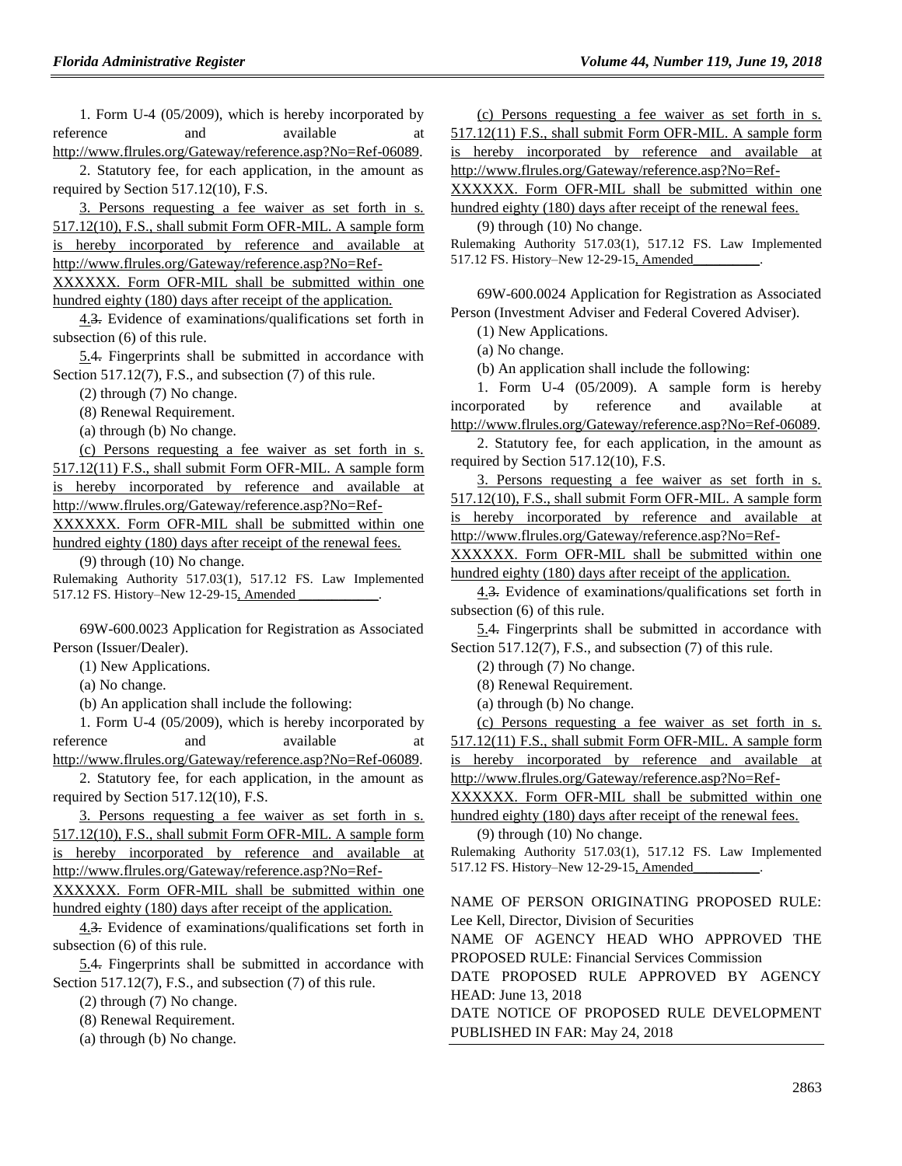1. Form U-4 (05/2009), which is hereby incorporated by reference and available at [http://www.flrules.org/Gateway/reference.asp?No=Ref-06089.](http://www.flrules.org/Gateway/reference.asp?No=Ref-06089)

2. Statutory fee, for each application, in the amount as required by Section 517.12(10), F.S.

3. Persons requesting a fee waiver as set forth in s. 517.12(10), F.S., shall submit Form OFR-MIL. A sample form is hereby incorporated by reference and available at http://www.flrules.org/Gateway/reference.asp?No=Ref-XXXXXX. Form OFR-MIL shall be submitted within one hundred eighty (180) days after receipt of the application.

4.3. Evidence of examinations/qualifications set forth in subsection (6) of this rule.

5.4. Fingerprints shall be submitted in accordance with Section 517.12(7), F.S., and subsection (7) of this rule.

(2) through (7) No change.

(8) Renewal Requirement.

(a) through (b) No change.

(c) Persons requesting a fee waiver as set forth in s. 517.12(11) F.S., shall submit Form OFR-MIL. A sample form is hereby incorporated by reference and available at http://www.flrules.org/Gateway/reference.asp?No=Ref-

XXXXXX. Form OFR-MIL shall be submitted within one hundred eighty (180) days after receipt of the renewal fees.

(9) through (10) No change.

Rulemaking Authority 517.03(1), 517.12 FS. Law Implemented 517.12 FS. History–New 12-29-15, Amended

69W-600.0023 Application for Registration as Associated Person (Issuer/Dealer).

(1) New Applications.

(a) No change.

(b) An application shall include the following:

1. Form U-4 (05/2009), which is hereby incorporated by reference and available at

[http://www.flrules.org/Gateway/reference.asp?No=Ref-06089.](http://www.flrules.org/Gateway/reference.asp?No=Ref-06089)

2. Statutory fee, for each application, in the amount as required by Section 517.12(10), F.S.

3. Persons requesting a fee waiver as set forth in s. 517.12(10), F.S., shall submit Form OFR-MIL. A sample form is hereby incorporated by reference and available at

http://www.flrules.org/Gateway/reference.asp?No=Ref-

XXXXXX. Form OFR-MIL shall be submitted within one hundred eighty (180) days after receipt of the application.

4.3. Evidence of examinations/qualifications set forth in subsection (6) of this rule.

5.4. Fingerprints shall be submitted in accordance with Section 517.12(7), F.S., and subsection (7) of this rule.

(2) through (7) No change.

(8) Renewal Requirement.

(a) through (b) No change.

(c) Persons requesting a fee waiver as set forth in s. 517.12(11) F.S., shall submit Form OFR-MIL. A sample form is hereby incorporated by reference and available at http://www.flrules.org/Gateway/reference.asp?No=Ref-

XXXXXX. Form OFR-MIL shall be submitted within one hundred eighty (180) days after receipt of the renewal fees.

(9) through (10) No change.

Rulemaking Authority 517.03(1), 517.12 FS. Law Implemented 517.12 FS. History-New 12-29-15, Amended

69W-600.0024 Application for Registration as Associated Person (Investment Adviser and Federal Covered Adviser).

(1) New Applications.

(a) No change.

(b) An application shall include the following:

1. Form U-4 (05/2009). A sample form is hereby incorporated by reference and available at [http://www.flrules.org/Gateway/reference.asp?No=Ref-06089.](http://www.flrules.org/Gateway/reference.asp?No=Ref-06089)

2. Statutory fee, for each application, in the amount as required by Section 517.12(10), F.S.

3. Persons requesting a fee waiver as set forth in s. 517.12(10), F.S., shall submit Form OFR-MIL. A sample form is hereby incorporated by reference and available at http://www.flrules.org/Gateway/reference.asp?No=Ref-

XXXXXX. Form OFR-MIL shall be submitted within one hundred eighty (180) days after receipt of the application.

4.3. Evidence of examinations/qualifications set forth in subsection (6) of this rule.

5.4. Fingerprints shall be submitted in accordance with Section 517.12(7), F.S., and subsection (7) of this rule.

(2) through (7) No change.

(8) Renewal Requirement.

(a) through (b) No change.

(c) Persons requesting a fee waiver as set forth in s.

517.12(11) F.S., shall submit Form OFR-MIL. A sample form is hereby incorporated by reference and available at

http://www.flrules.org/Gateway/reference.asp?No=Ref-

XXXXXX. Form OFR-MIL shall be submitted within one hundred eighty (180) days after receipt of the renewal fees.

(9) through (10) No change.

Rulemaking Authority 517.03(1), 517.12 FS. Law Implemented 517.12 FS. History-New 12-29-15, Amended

NAME OF PERSON ORIGINATING PROPOSED RULE: Lee Kell, Director, Division of Securities

NAME OF AGENCY HEAD WHO APPROVED THE PROPOSED RULE: Financial Services Commission

DATE PROPOSED RULE APPROVED BY AGENCY HEAD: June 13, 2018

DATE NOTICE OF PROPOSED RULE DEVELOPMENT PUBLISHED IN FAR: May 24, 2018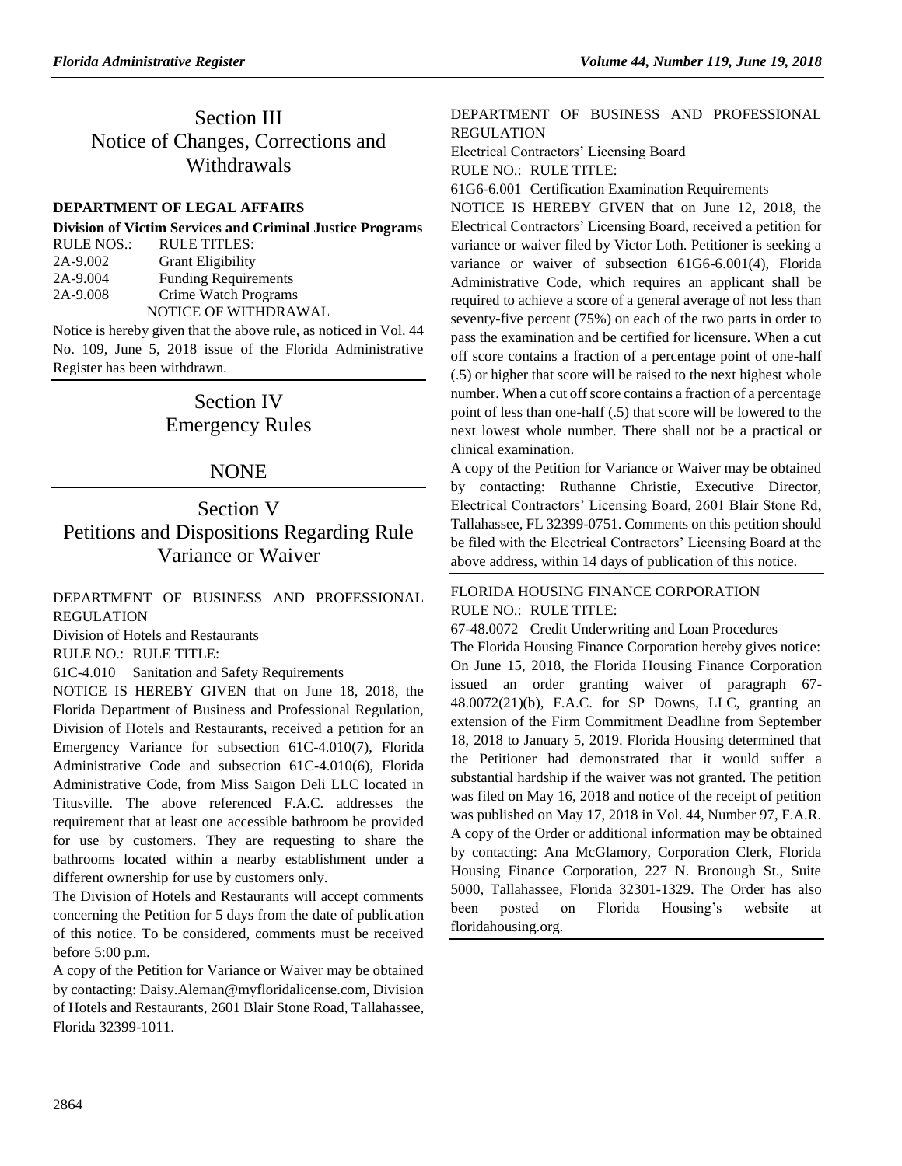# Section III Notice of Changes, Corrections and Withdrawals

### **[DEPARTMENT OF LEGAL AFFAIRS](https://www.flrules.org/gateway/department.asp?id=2)**

| <b>Division of Victim Services and Criminal Justice Programs</b> |                                                                                                                                   |  |  |
|------------------------------------------------------------------|-----------------------------------------------------------------------------------------------------------------------------------|--|--|
| RULE NOS.:                                                       | <b>RULE TITLES:</b>                                                                                                               |  |  |
| 2A-9.002                                                         | <b>Grant Eligibility</b>                                                                                                          |  |  |
| 2A-9.004                                                         | <b>Funding Requirements</b>                                                                                                       |  |  |
| 2A-9.008                                                         | Crime Watch Programs                                                                                                              |  |  |
|                                                                  | <b>NOTICE OF WITHDRAWAL</b>                                                                                                       |  |  |
|                                                                  | $\mathbf{M}$ , and a set of the set of the set of the set of the set of $\mathbf{M}$ , $\mathbf{M}$ , $\mathbf{M}$ , $\mathbf{M}$ |  |  |

Notice is hereby given that the above rule, as noticed in Vol. 44 No. 109, June 5, 2018 issue of the Florida Administrative Register has been withdrawn.

# Section IV Emergency Rules

## NONE

# Section V Petitions and Dispositions Regarding Rule Variance or Waiver

[DEPARTMENT OF BUSINESS AND PROFESSIONAL](https://www.flrules.org/gateway/department.asp?id=61) [REGULATION](https://www.flrules.org/gateway/department.asp?id=61)

[Division of Hotels and Restaurants](https://www.flrules.org/gateway/organization.asp?id=249)

RULE NO.: RULE TITLE:

[61C-4.010](https://www.flrules.org/gateway/ruleNo.asp?id=61C-4.010) Sanitation and Safety Requirements

NOTICE IS HEREBY GIVEN that on June 18, 2018, the Florida Department of Business and Professional Regulation, Division of Hotels and Restaurants, received a petition for an Emergency Variance for subsection 61C-4.010(7), Florida Administrative Code and subsection 61C-4.010(6), Florida Administrative Code, from Miss Saigon Deli LLC located in Titusville. The above referenced F.A.C. addresses the requirement that at least one accessible bathroom be provided for use by customers. They are requesting to share the bathrooms located within a nearby establishment under a different ownership for use by customers only.

The Division of Hotels and Restaurants will accept comments concerning the Petition for 5 days from the date of publication of this notice. To be considered, comments must be received before 5:00 p.m.

A copy of the Petition for Variance or Waiver may be obtained by contacting: Daisy.Aleman@myfloridalicense.com, Division of Hotels and Restaurants, 2601 Blair Stone Road, Tallahassee, Florida 32399-1011.

## [DEPARTMENT OF BUSINESS AND PROFESSIONAL](https://www.flrules.org/gateway/department.asp?id=61)  [REGULATION](https://www.flrules.org/gateway/department.asp?id=61)

[Electrical Contractors' Licensing Board](https://www.flrules.org/gateway/organization.asp?id=276) RULE NO.: RULE TITLE:

[61G6-6.001](https://www.flrules.org/gateway/ruleNo.asp?id=61G6-6.001) Certification Examination Requirements

NOTICE IS HEREBY GIVEN that on June 12, 2018, the Electrical Contractors' Licensing Board, received a petition for variance or waiver filed by Victor Loth. Petitioner is seeking a variance or waiver of subsection 61G6-6.001(4), Florida Administrative Code, which requires an applicant shall be required to achieve a score of a general average of not less than seventy-five percent (75%) on each of the two parts in order to pass the examination and be certified for licensure. When a cut off score contains a fraction of a percentage point of one-half (.5) or higher that score will be raised to the next highest whole number. When a cut off score contains a fraction of a percentage point of less than one-half (.5) that score will be lowered to the next lowest whole number. There shall not be a practical or clinical examination.

A copy of the Petition for Variance or Waiver may be obtained by contacting: Ruthanne Christie, Executive Director, Electrical Contractors' Licensing Board, 2601 Blair Stone Rd, Tallahassee, FL 32399-0751. Comments on this petition should be filed with the Electrical Contractors' Licensing Board at the above address, within 14 days of publication of this notice.

## [FLORIDA HOUSING FINANCE CORPORATION](https://www.flrules.org/gateway/department.asp?id=67) RULE NO.: RULE TITLE:

[67-48.0072](https://www.flrules.org/gateway/ruleNo.asp?id=67-48.0072) Credit Underwriting and Loan Procedures

The Florida Housing Finance Corporation hereby gives notice: On June 15, 2018, the Florida Housing Finance Corporation issued an order granting waiver of paragraph 67- 48.0072(21)(b), F.A.C. for SP Downs, LLC, granting an extension of the Firm Commitment Deadline from September 18, 2018 to January 5, 2019. Florida Housing determined that the Petitioner had demonstrated that it would suffer a substantial hardship if the waiver was not granted. The petition was filed on May 16, 2018 and notice of the receipt of petition was published on May 17, 2018 in Vol. 44, Number 97, F.A.R. A copy of the Order or additional information may be obtained by contacting: Ana McGlamory, Corporation Clerk, Florida Housing Finance Corporation, 227 N. Bronough St., Suite 5000, Tallahassee, Florida 32301-1329. The Order has also been posted on Florida Housing's website at floridahousing.org.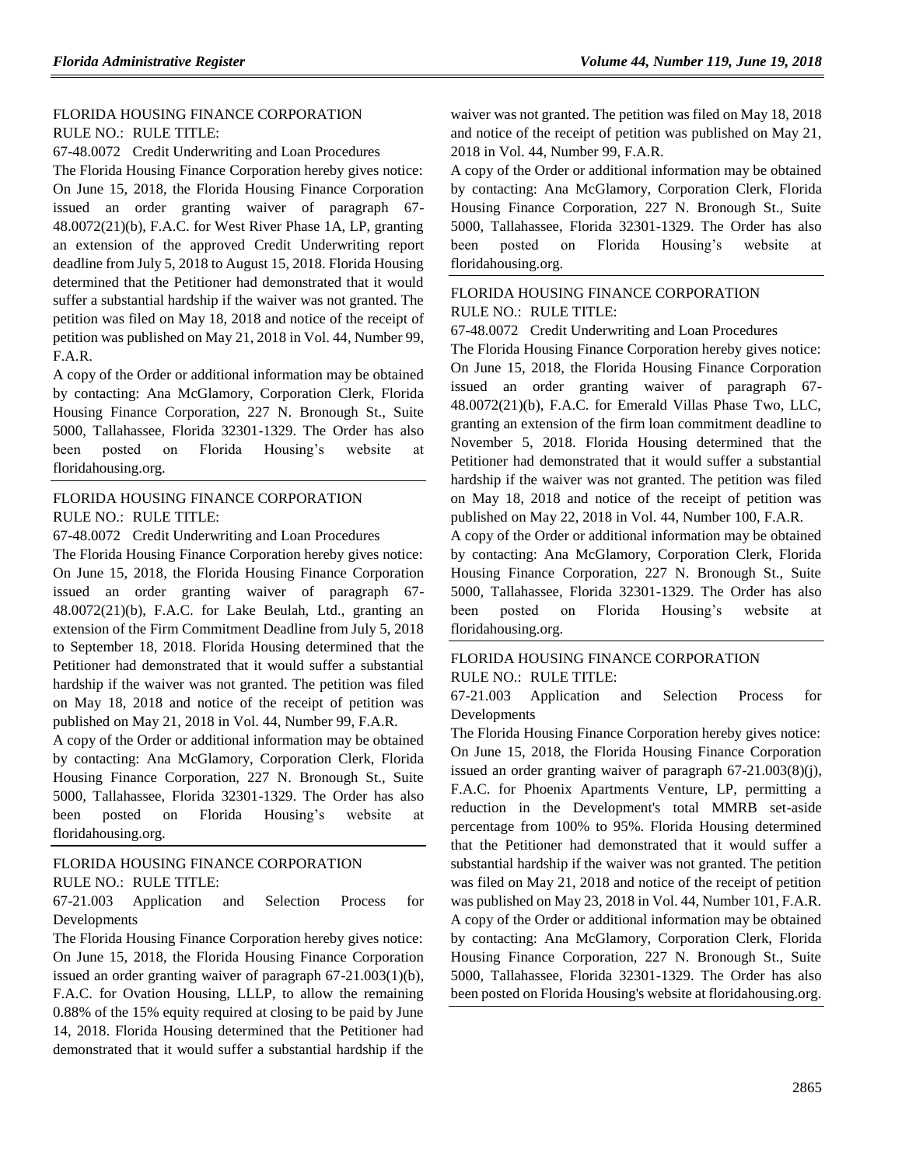### [FLORIDA HOUSING FINANCE CORPORATION](https://www.flrules.org/gateway/department.asp?id=67) RULE NO.: RULE TITLE:

[67-48.0072](https://www.flrules.org/gateway/ruleNo.asp?id=67-48.0072) Credit Underwriting and Loan Procedures

The Florida Housing Finance Corporation hereby gives notice: On June 15, 2018, the Florida Housing Finance Corporation issued an order granting waiver of paragraph 67- 48.0072(21)(b), F.A.C. for West River Phase 1A, LP, granting an extension of the approved Credit Underwriting report deadline from July 5, 2018 to August 15, 2018. Florida Housing determined that the Petitioner had demonstrated that it would suffer a substantial hardship if the waiver was not granted. The petition was filed on May 18, 2018 and notice of the receipt of petition was published on May 21, 2018 in Vol. 44, Number 99, F.A.R.

A copy of the Order or additional information may be obtained by contacting: Ana McGlamory, Corporation Clerk, Florida Housing Finance Corporation, 227 N. Bronough St., Suite 5000, Tallahassee, Florida 32301-1329. The Order has also been posted on Florida Housing's website at floridahousing.org.

## FLORIDA HOUSING [FINANCE CORPORATION](https://www.flrules.org/gateway/department.asp?id=67) RULE NO.: RULE TITLE:

[67-48.0072](https://www.flrules.org/gateway/ruleNo.asp?id=67-48.0072) Credit Underwriting and Loan Procedures

The Florida Housing Finance Corporation hereby gives notice: On June 15, 2018, the Florida Housing Finance Corporation issued an order granting waiver of paragraph 67- 48.0072(21)(b), F.A.C. for Lake Beulah, Ltd., granting an extension of the Firm Commitment Deadline from July 5, 2018 to September 18, 2018. Florida Housing determined that the Petitioner had demonstrated that it would suffer a substantial hardship if the waiver was not granted. The petition was filed on May 18, 2018 and notice of the receipt of petition was published on May 21, 2018 in Vol. 44, Number 99, F.A.R.

A copy of the Order or additional information may be obtained by contacting: Ana McGlamory, Corporation Clerk, Florida Housing Finance Corporation, 227 N. Bronough St., Suite 5000, Tallahassee, Florida 32301-1329. The Order has also been posted on Florida Housing's website at floridahousing.org.

## [FLORIDA HOUSING FINANCE CORPORATION](https://www.flrules.org/gateway/department.asp?id=67) RULE NO.: RULE TITLE:

[67-21.003](https://www.flrules.org/gateway/ruleNo.asp?id=67-21.003) Application and Selection Process for Developments

The Florida Housing Finance Corporation hereby gives notice: On June 15, 2018, the Florida Housing Finance Corporation issued an order granting waiver of paragraph 67-21.003(1)(b), F.A.C. for Ovation Housing, LLLP, to allow the remaining 0.88% of the 15% equity required at closing to be paid by June 14, 2018. Florida Housing determined that the Petitioner had demonstrated that it would suffer a substantial hardship if the waiver was not granted. The petition was filed on May 18, 2018 and notice of the receipt of petition was published on May 21, 2018 in Vol. 44, Number 99, F.A.R.

A copy of the Order or additional information may be obtained by contacting: Ana McGlamory, Corporation Clerk, Florida Housing Finance Corporation, 227 N. Bronough St., Suite 5000, Tallahassee, Florida 32301-1329. The Order has also been posted on Florida Housing's website at floridahousing.org.

## [FLORIDA HOUSING FINANCE CORPORATION](https://www.flrules.org/gateway/department.asp?id=67) RULE NO.: RULE TITLE:

[67-48.0072](https://www.flrules.org/gateway/ruleNo.asp?id=67-48.0072) Credit Underwriting and Loan Procedures

The Florida Housing Finance Corporation hereby gives notice: On June 15, 2018, the Florida Housing Finance Corporation issued an order granting waiver of paragraph 67- 48.0072(21)(b), F.A.C. for Emerald Villas Phase Two, LLC, granting an extension of the firm loan commitment deadline to November 5, 2018. Florida Housing determined that the Petitioner had demonstrated that it would suffer a substantial hardship if the waiver was not granted. The petition was filed on May 18, 2018 and notice of the receipt of petition was published on May 22, 2018 in Vol. 44, Number 100, F.A.R.

A copy of the Order or additional information may be obtained by contacting: Ana McGlamory, Corporation Clerk, Florida Housing Finance Corporation, 227 N. Bronough St., Suite 5000, Tallahassee, Florida 32301-1329. The Order has also been posted on Florida Housing's website at floridahousing.org.

### [FLORIDA HOUSING FINANCE CORPORATION](https://www.flrules.org/gateway/department.asp?id=67) RULE NO.: RULE TITLE:

[67-21.003](https://www.flrules.org/gateway/ruleNo.asp?id=67-21.003) Application and Selection Process for Developments

The Florida Housing Finance Corporation hereby gives notice: On June 15, 2018, the Florida Housing Finance Corporation issued an order granting waiver of paragraph 67-21.003(8)(j), F.A.C. for Phoenix Apartments Venture, LP, permitting a reduction in the Development's total MMRB set-aside percentage from 100% to 95%. Florida Housing determined that the Petitioner had demonstrated that it would suffer a substantial hardship if the waiver was not granted. The petition was filed on May 21, 2018 and notice of the receipt of petition was published on May 23, 2018 in Vol. 44, Number 101, F.A.R. A copy of the Order or additional information may be obtained by contacting: Ana McGlamory, Corporation Clerk, Florida Housing Finance Corporation, 227 N. Bronough St., Suite 5000, Tallahassee, Florida 32301-1329. The Order has also been posted on Florida Housing's website at floridahousing.org.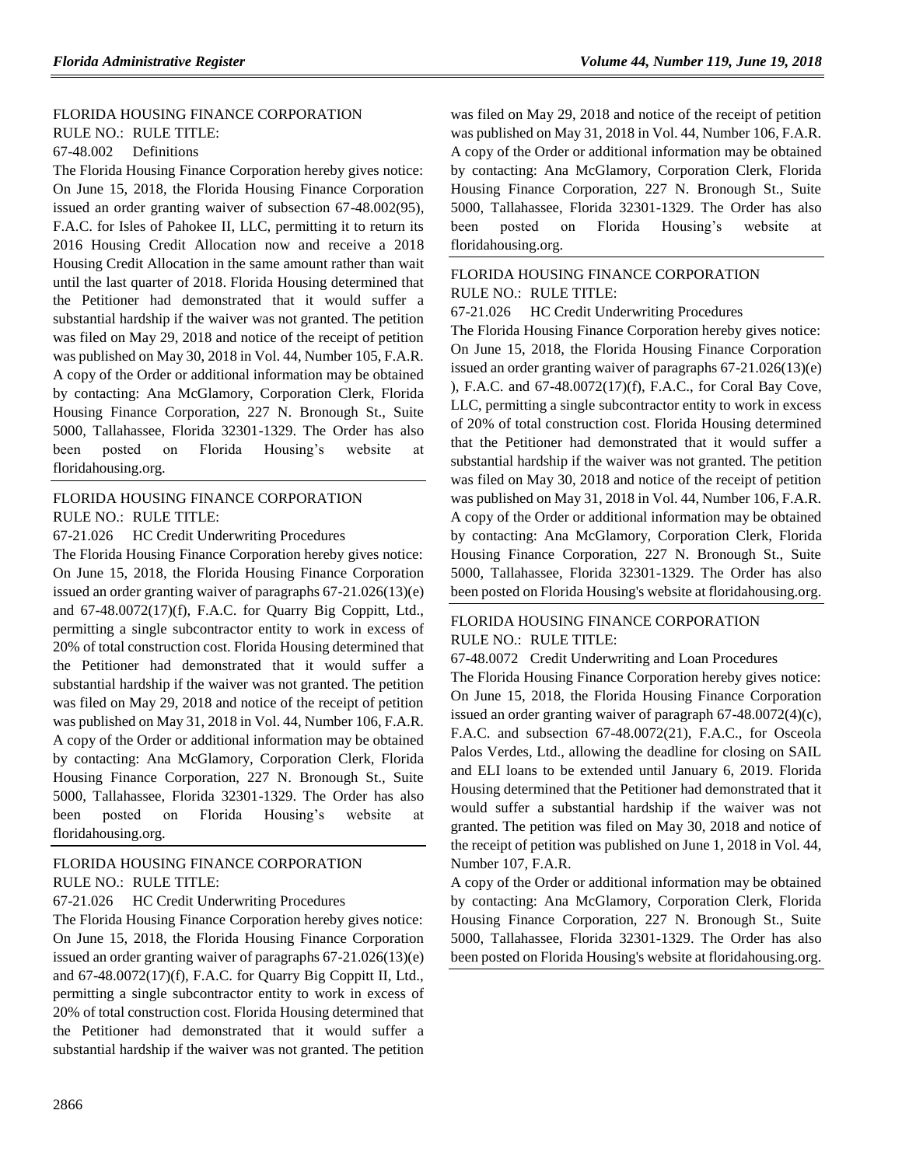## [FLORIDA HOUSING FINANCE CORPORATION](https://www.flrules.org/gateway/department.asp?id=67)

RULE NO.: RULE TITLE:

### [67-48.002](https://www.flrules.org/gateway/ruleNo.asp?id=67-48.002) Definitions

The Florida Housing Finance Corporation hereby gives notice: On June 15, 2018, the Florida Housing Finance Corporation issued an order granting waiver of subsection 67-48.002(95), F.A.C. for Isles of Pahokee II, LLC, permitting it to return its 2016 Housing Credit Allocation now and receive a 2018 Housing Credit Allocation in the same amount rather than wait until the last quarter of 2018. Florida Housing determined that the Petitioner had demonstrated that it would suffer a substantial hardship if the waiver was not granted. The petition was filed on May 29, 2018 and notice of the receipt of petition was published on May 30, 2018 in Vol. 44, Number 105, F.A.R. A copy of the Order or additional information may be obtained by contacting: Ana McGlamory, Corporation Clerk, Florida Housing Finance Corporation, 227 N. Bronough St., Suite 5000, Tallahassee, Florida 32301-1329. The Order has also been posted on Florida Housing's website at floridahousing.org.

## [FLORIDA HOUSING FINANCE CORPORATION](https://www.flrules.org/gateway/department.asp?id=67) RULE NO.: RULE TITLE:

[67-21.026](https://www.flrules.org/gateway/ruleNo.asp?id=67-21.026) HC Credit Underwriting Procedures

The Florida Housing Finance Corporation hereby gives notice: On June 15, 2018, the Florida Housing Finance Corporation issued an order granting waiver of paragraphs 67-21.026(13)(e) and 67-48.0072(17)(f), F.A.C. for Quarry Big Coppitt, Ltd., permitting a single subcontractor entity to work in excess of 20% of total construction cost. Florida Housing determined that the Petitioner had demonstrated that it would suffer a substantial hardship if the waiver was not granted. The petition was filed on May 29, 2018 and notice of the receipt of petition was published on May 31, 2018 in Vol. 44, Number 106, F.A.R. A copy of the Order or additional information may be obtained by contacting: Ana McGlamory, Corporation Clerk, Florida Housing Finance Corporation, 227 N. Bronough St., Suite 5000, Tallahassee, Florida 32301-1329. The Order has also been posted on Florida Housing's website at floridahousing.org.

## [FLORIDA HOUSING FINANCE CORPORATION](https://www.flrules.org/gateway/department.asp?id=67) RULE NO.: RULE TITLE:

[67-21.026](https://www.flrules.org/gateway/ruleNo.asp?id=67-21.026) HC Credit Underwriting Procedures

The Florida Housing Finance Corporation hereby gives notice: On June 15, 2018, the Florida Housing Finance Corporation issued an order granting waiver of paragraphs 67-21.026(13)(e) and 67-48.0072(17)(f), F.A.C. for Quarry Big Coppitt II, Ltd., permitting a single subcontractor entity to work in excess of 20% of total construction cost. Florida Housing determined that the Petitioner had demonstrated that it would suffer a substantial hardship if the waiver was not granted. The petition

was filed on May 29, 2018 and notice of the receipt of petition was published on May 31, 2018 in Vol. 44, Number 106, F.A.R. A copy of the Order or additional information may be obtained by contacting: Ana McGlamory, Corporation Clerk, Florida Housing Finance Corporation, 227 N. Bronough St., Suite 5000, Tallahassee, Florida 32301-1329. The Order has also been posted on Florida Housing's website at floridahousing.org.

## [FLORIDA HOUSING FINANCE CORPORATION](https://www.flrules.org/gateway/department.asp?id=67) RULE NO.: RULE TITLE:

[67-21.026](https://www.flrules.org/gateway/ruleNo.asp?id=67-21.026) HC Credit Underwriting Procedures

The Florida Housing Finance Corporation hereby gives notice: On June 15, 2018, the Florida Housing Finance Corporation issued an order granting waiver of paragraphs 67-21.026(13)(e) ), F.A.C. and 67-48.0072(17)(f), F.A.C., for Coral Bay Cove, LLC, permitting a single subcontractor entity to work in excess of 20% of total construction cost. Florida Housing determined that the Petitioner had demonstrated that it would suffer a substantial hardship if the waiver was not granted. The petition was filed on May 30, 2018 and notice of the receipt of petition was published on May 31, 2018 in Vol. 44, Number 106, F.A.R. A copy of the Order or additional information may be obtained by contacting: Ana McGlamory, Corporation Clerk, Florida Housing Finance Corporation, 227 N. Bronough St., Suite 5000, Tallahassee, Florida 32301-1329. The Order has also been posted on Florida Housing's website at floridahousing.org.

## [FLORIDA HOUSING FINANCE CORPORATION](https://www.flrules.org/gateway/department.asp?id=67) RULE NO.: RULE TITLE:

[67-48.0072](https://www.flrules.org/gateway/ruleNo.asp?id=67-48.0072) Credit Underwriting and Loan Procedures

The Florida Housing Finance Corporation hereby gives notice: On June 15, 2018, the Florida Housing Finance Corporation issued an order granting waiver of paragraph 67-48.0072(4)(c), F.A.C. and subsection 67-48.0072(21), F.A.C., for Osceola Palos Verdes, Ltd., allowing the deadline for closing on SAIL and ELI loans to be extended until January 6, 2019. Florida Housing determined that the Petitioner had demonstrated that it would suffer a substantial hardship if the waiver was not granted. The petition was filed on May 30, 2018 and notice of the receipt of petition was published on June 1, 2018 in Vol. 44, Number 107, F.A.R.

A copy of the Order or additional information may be obtained by contacting: Ana McGlamory, Corporation Clerk, Florida Housing Finance Corporation, 227 N. Bronough St., Suite 5000, Tallahassee, Florida 32301-1329. The Order has also been posted on Florida Housing's website at floridahousing.org.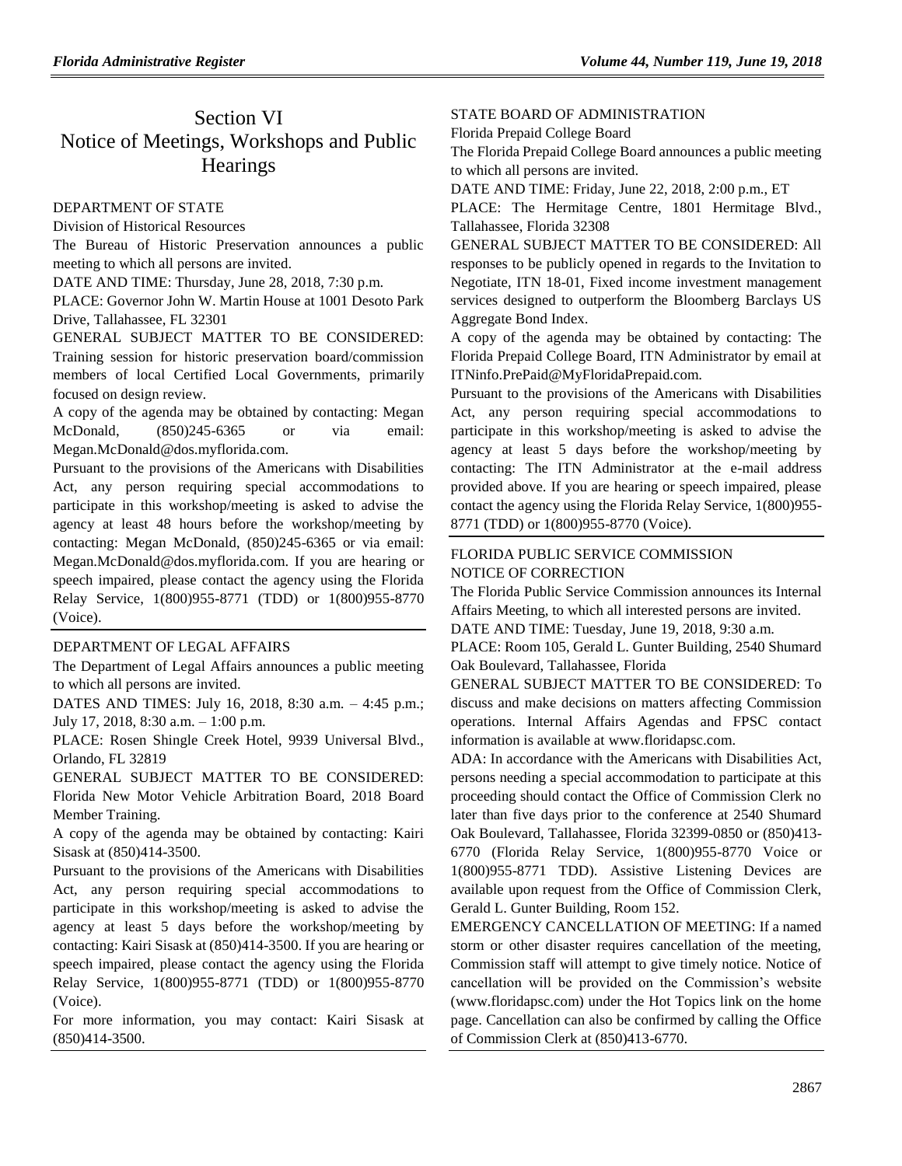# Section VI Notice of Meetings, Workshops and Public **Hearings**

### [DEPARTMENT OF STATE](https://www.flrules.org/gateway/department.asp?id=1)

[Division of Historical Resources](https://www.flrules.org/gateway/organization.asp?id=1)

The Bureau of Historic Preservation announces a public meeting to which all persons are invited.

DATE AND TIME: Thursday, June 28, 2018, 7:30 p.m.

PLACE: Governor John W. Martin House at 1001 Desoto Park Drive, Tallahassee, FL 32301

GENERAL SUBJECT MATTER TO BE CONSIDERED: Training session for historic preservation board/commission members of local Certified Local Governments, primarily focused on design review.

A copy of the agenda may be obtained by contacting: Megan McDonald, (850)245-6365 or via email: Megan.McDonald@dos.myflorida.com.

Pursuant to the provisions of the Americans with Disabilities Act, any person requiring special accommodations to participate in this workshop/meeting is asked to advise the agency at least 48 hours before the workshop/meeting by contacting: Megan McDonald, (850)245-6365 or via email: Megan.McDonald@dos.myflorida.com. If you are hearing or speech impaired, please contact the agency using the Florida Relay Service, 1(800)955-8771 (TDD) or 1(800)955-8770 (Voice).

### [DEPARTMENT OF LEGAL AFFAIRS](https://www.flrules.org/gateway/department.asp?id=2)

The Department of Legal Affairs announces a public meeting to which all persons are invited.

DATES AND TIMES: July 16, 2018, 8:30 a.m. – 4:45 p.m.; July 17, 2018, 8:30 a.m. – 1:00 p.m.

PLACE: Rosen Shingle Creek Hotel, 9939 Universal Blvd., Orlando, FL 32819

GENERAL SUBJECT MATTER TO BE CONSIDERED: Florida New Motor Vehicle Arbitration Board, 2018 Board Member Training.

A copy of the agenda may be obtained by contacting: Kairi Sisask at (850)414-3500.

Pursuant to the provisions of the Americans with Disabilities Act, any person requiring special accommodations to participate in this workshop/meeting is asked to advise the agency at least 5 days before the workshop/meeting by contacting: Kairi Sisask at (850)414-3500. If you are hearing or speech impaired, please contact the agency using the Florida Relay Service, 1(800)955-8771 (TDD) or 1(800)955-8770 (Voice).

For more information, you may contact: Kairi Sisask at (850)414-3500.

### [STATE BOARD OF ADMINISTRATION](https://www.flrules.org/gateway/department.asp?id=19)

[Florida Prepaid College Board](https://www.flrules.org/gateway/organization.asp?id=47)

The Florida Prepaid College Board announces a public meeting to which all persons are invited.

DATE AND TIME: Friday, June 22, 2018, 2:00 p.m., ET

PLACE: The Hermitage Centre, 1801 Hermitage Blvd., Tallahassee, Florida 32308

GENERAL SUBJECT MATTER TO BE CONSIDERED: All responses to be publicly opened in regards to the Invitation to Negotiate, ITN 18-01, Fixed income investment management services designed to outperform the Bloomberg Barclays US Aggregate Bond Index.

A copy of the agenda may be obtained by contacting: The Florida Prepaid College Board, ITN Administrator by email at ITNinfo.PrePaid@MyFloridaPrepaid.com.

Pursuant to the provisions of the Americans with Disabilities Act, any person requiring special accommodations to participate in this workshop/meeting is asked to advise the agency at least 5 days before the workshop/meeting by contacting: The ITN Administrator at the e-mail address provided above. If you are hearing or speech impaired, please contact the agency using the Florida Relay Service, 1(800)955- 8771 (TDD) or 1(800)955-8770 (Voice).

## FLORIDA PUBLIC SERVICE COMMISSION NOTICE OF CORRECTION

The Florida Public Service Commission announces its Internal Affairs Meeting, to which all interested persons are invited.

DATE AND TIME: Tuesday, June 19, 2018, 9:30 a.m.

PLACE: Room 105, Gerald L. Gunter Building, 2540 Shumard Oak Boulevard, Tallahassee, Florida

GENERAL SUBJECT MATTER TO BE CONSIDERED: To discuss and make decisions on matters affecting Commission operations. Internal Affairs Agendas and FPSC contact information is available at [www.floridapsc.com.](http://www.floridapsc.com/)

ADA: In accordance with the Americans with Disabilities Act, persons needing a special accommodation to participate at this proceeding should contact the Office of Commission Clerk no later than five days prior to the conference at 2540 Shumard Oak Boulevard, Tallahassee, Florida 32399-0850 or (850)413- 6770 (Florida Relay Service, 1(800)955-8770 Voice or 1(800)955-8771 TDD). Assistive Listening Devices are available upon request from the Office of Commission Clerk, Gerald L. Gunter Building, Room 152.

EMERGENCY CANCELLATION OF MEETING: If a named storm or other disaster requires cancellation of the meeting, Commission staff will attempt to give timely notice. Notice of cancellation will be provided on the Commission's website [\(www.](http://www/)floridapsc.com) under the Hot Topics link on the home page. Cancellation can also be confirmed by calling the Office of Commission Clerk at (850)413-6770.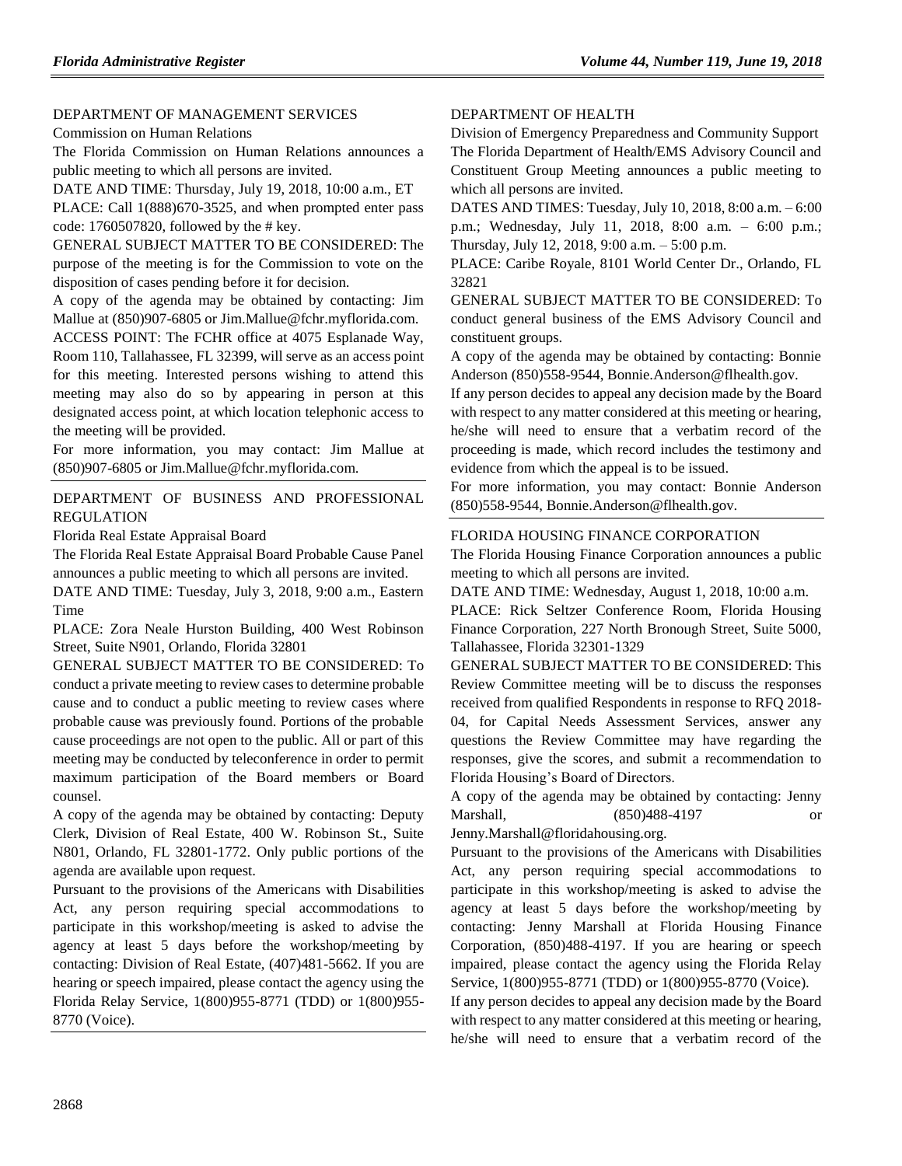## [DEPARTMENT OF MANAGEMENT SERVICES](https://www.flrules.org/gateway/department.asp?id=60)

[Commission on Human Relations](https://www.flrules.org/gateway/organization.asp?id=245)

The Florida Commission on Human Relations announces a public meeting to which all persons are invited.

DATE AND TIME: Thursday, July 19, 2018, 10:00 a.m., ET PLACE: Call 1(888)670-3525, and when prompted enter pass code: 1760507820, followed by the # key.

GENERAL SUBJECT MATTER TO BE CONSIDERED: The purpose of the meeting is for the Commission to vote on the disposition of cases pending before it for decision.

A copy of the agenda may be obtained by contacting: Jim Mallue at (850)907-6805 or Jim.Mallue@fchr.myflorida.com.

ACCESS POINT: The FCHR office at 4075 Esplanade Way, Room 110, Tallahassee, FL 32399, will serve as an access point for this meeting. Interested persons wishing to attend this meeting may also do so by appearing in person at this designated access point, at which location telephonic access to the meeting will be provided.

For more information, you may contact: Jim Mallue at (850)907-6805 or Jim.Mallue@fchr.myflorida.com.

[DEPARTMENT OF BUSINESS AND PROFESSIONAL](https://www.flrules.org/gateway/department.asp?id=61)  [REGULATION](https://www.flrules.org/gateway/department.asp?id=61)

[Florida Real Estate Appraisal Board](https://www.flrules.org/gateway/organization.asp?id=282)

The Florida Real Estate Appraisal Board Probable Cause Panel announces a public meeting to which all persons are invited.

DATE AND TIME: Tuesday, July 3, 2018, 9:00 a.m., Eastern Time

PLACE: Zora Neale Hurston Building, 400 West Robinson Street, Suite N901, Orlando, Florida 32801

GENERAL SUBJECT MATTER TO BE CONSIDERED: To conduct a private meeting to review cases to determine probable cause and to conduct a public meeting to review cases where probable cause was previously found. Portions of the probable cause proceedings are not open to the public. All or part of this meeting may be conducted by teleconference in order to permit maximum participation of the Board members or Board counsel.

A copy of the agenda may be obtained by contacting: Deputy Clerk, Division of Real Estate, 400 W. Robinson St., Suite N801, Orlando, FL 32801-1772. Only public portions of the agenda are available upon request.

Pursuant to the provisions of the Americans with Disabilities Act, any person requiring special accommodations to participate in this workshop/meeting is asked to advise the agency at least 5 days before the workshop/meeting by contacting: Division of Real Estate, (407)481-5662. If you are hearing or speech impaired, please contact the agency using the Florida Relay Service, 1(800)955-8771 (TDD) or 1(800)955- 8770 (Voice).

### [DEPARTMENT OF HEALTH](https://www.flrules.org/gateway/department.asp?id=64)

[Division of Emergency Preparedness and Community Support](https://www.flrules.org/gateway/organization.asp?id=832) The Florida Department of Health/EMS Advisory Council and Constituent Group Meeting announces a public meeting to which all persons are invited.

DATES AND TIMES: Tuesday, July 10, 2018, 8:00 a.m. – 6:00 p.m.; Wednesday, July 11, 2018, 8:00 a.m. – 6:00 p.m.; Thursday, July 12, 2018, 9:00 a.m. – 5:00 p.m.

PLACE: Caribe Royale, 8101 World Center Dr., Orlando, FL 32821

GENERAL SUBJECT MATTER TO BE CONSIDERED: To conduct general business of the EMS Advisory Council and constituent groups.

A copy of the agenda may be obtained by contacting: Bonnie Anderson (850)558-9544, Bonnie.Anderson@flhealth.gov.

If any person decides to appeal any decision made by the Board with respect to any matter considered at this meeting or hearing, he/she will need to ensure that a verbatim record of the proceeding is made, which record includes the testimony and evidence from which the appeal is to be issued.

For more information, you may contact: Bonnie Anderson (850)558-9544, Bonnie.Anderson@flhealth.gov.

### [FLORIDA HOUSING FINANCE CORPORATION](https://www.flrules.org/gateway/department.asp?id=67)

The Florida Housing Finance Corporation announces a public meeting to which all persons are invited.

DATE AND TIME: Wednesday, August 1, 2018, 10:00 a.m.

PLACE: Rick Seltzer Conference Room, Florida Housing Finance Corporation, 227 North Bronough Street, Suite 5000, Tallahassee, Florida 32301-1329

GENERAL SUBJECT MATTER TO BE CONSIDERED: This Review Committee meeting will be to discuss the responses received from qualified Respondents in response to RFQ 2018- 04, for Capital Needs Assessment Services, answer any questions the Review Committee may have regarding the responses, give the scores, and submit a recommendation to Florida Housing's Board of Directors.

A copy of the agenda may be obtained by contacting: Jenny Marshall, (850)488-4197 or Jenny.Marshall@floridahousing.org.

Pursuant to the provisions of the Americans with Disabilities

Act, any person requiring special accommodations to participate in this workshop/meeting is asked to advise the agency at least 5 days before the workshop/meeting by contacting: Jenny Marshall at Florida Housing Finance Corporation, (850)488-4197. If you are hearing or speech impaired, please contact the agency using the Florida Relay Service, 1(800)955-8771 (TDD) or 1(800)955-8770 (Voice).

If any person decides to appeal any decision made by the Board with respect to any matter considered at this meeting or hearing, he/she will need to ensure that a verbatim record of the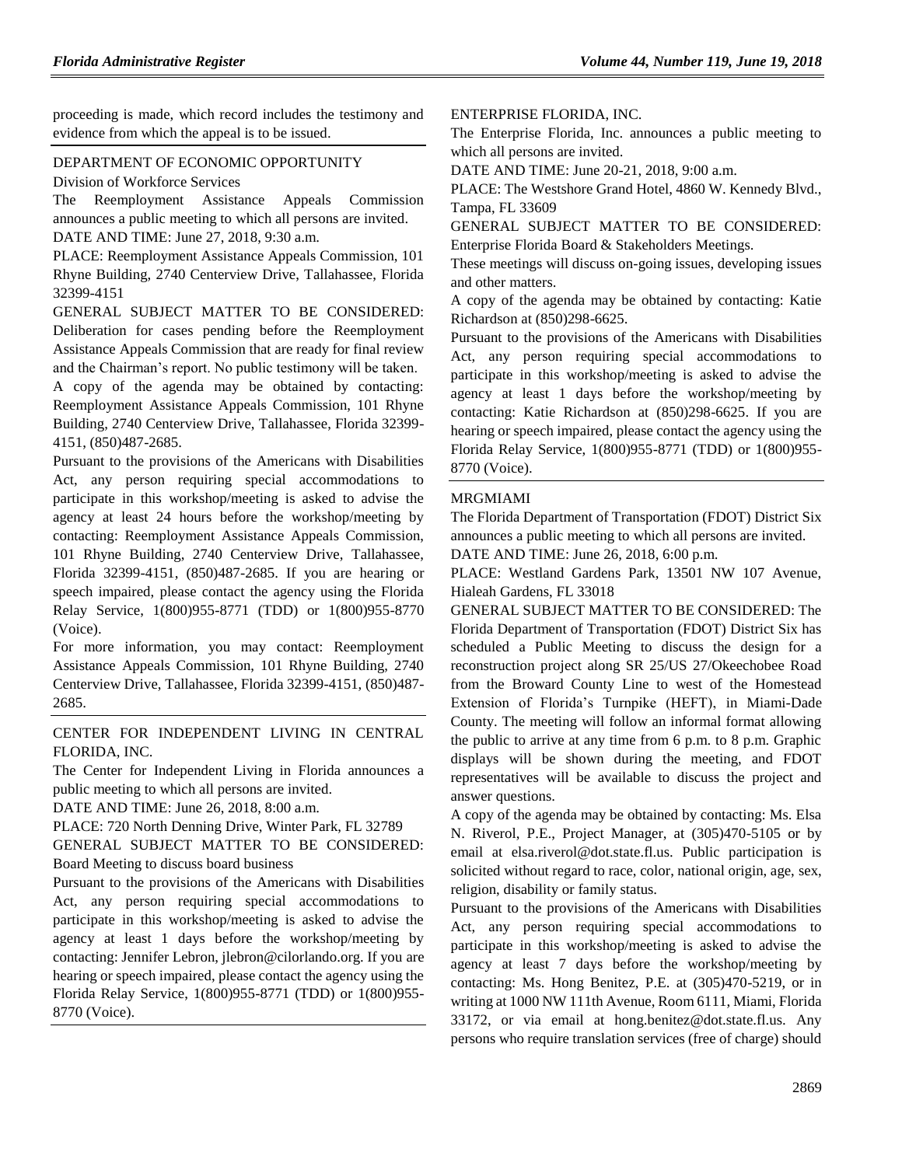proceeding is made, which record includes the testimony and evidence from which the appeal is to be issued.

## [DEPARTMENT OF ECONOMIC OPPORTUNITY](https://www.flrules.org/gateway/department.asp?id=73)

[Division of Workforce Services](https://www.flrules.org/gateway/organization.asp?id=1065)

The Reemployment Assistance Appeals Commission announces a public meeting to which all persons are invited. DATE AND TIME: June 27, 2018, 9:30 a.m.

PLACE: Reemployment Assistance Appeals Commission, 101 Rhyne Building, 2740 Centerview Drive, Tallahassee, Florida 32399-4151

GENERAL SUBJECT MATTER TO BE CONSIDERED: Deliberation for cases pending before the Reemployment Assistance Appeals Commission that are ready for final review and the Chairman's report. No public testimony will be taken.

A copy of the agenda may be obtained by contacting: Reemployment Assistance Appeals Commission, 101 Rhyne Building, 2740 Centerview Drive, Tallahassee, Florida 32399- 4151, (850)487-2685.

Pursuant to the provisions of the Americans with Disabilities Act, any person requiring special accommodations to participate in this workshop/meeting is asked to advise the agency at least 24 hours before the workshop/meeting by contacting: Reemployment Assistance Appeals Commission, 101 Rhyne Building, 2740 Centerview Drive, Tallahassee, Florida 32399-4151, (850)487-2685. If you are hearing or speech impaired, please contact the agency using the Florida Relay Service, 1(800)955-8771 (TDD) or 1(800)955-8770 (Voice).

For more information, you may contact: Reemployment Assistance Appeals Commission, 101 Rhyne Building, 2740 Centerview Drive, Tallahassee, Florida 32399-4151, (850)487- 2685.

[CENTER FOR INDEPENDENT LIVING IN CENTRAL](https://www.flrules.org/gateway/organization.asp?id=760)  [FLORIDA, INC.](https://www.flrules.org/gateway/organization.asp?id=760)

The Center for Independent Living in Florida announces a public meeting to which all persons are invited.

DATE AND TIME: June 26, 2018, 8:00 a.m.

PLACE: 720 North Denning Drive, Winter Park, FL 32789

GENERAL SUBJECT MATTER TO BE CONSIDERED: Board Meeting to discuss board business

Pursuant to the provisions of the Americans with Disabilities Act, any person requiring special accommodations to participate in this workshop/meeting is asked to advise the agency at least 1 days before the workshop/meeting by contacting: Jennifer Lebron, jlebron@cilorlando.org. If you are hearing or speech impaired, please contact the agency using the Florida Relay Service, 1(800)955-8771 (TDD) or 1(800)955- 8770 (Voice).

### [ENTERPRISE FLORIDA, INC.](https://www.flrules.org/gateway/organization.asp?id=680)

The Enterprise Florida, Inc. announces a public meeting to which all persons are invited.

DATE AND TIME: June 20-21, 2018, 9:00 a.m.

PLACE: The Westshore Grand Hotel, 4860 W. Kennedy Blvd., Tampa, FL 33609

GENERAL SUBJECT MATTER TO BE CONSIDERED: Enterprise Florida Board & Stakeholders Meetings.

These meetings will discuss on-going issues, developing issues and other matters.

A copy of the agenda may be obtained by contacting: Katie Richardson at (850)298-6625.

Pursuant to the provisions of the Americans with Disabilities Act, any person requiring special accommodations to participate in this workshop/meeting is asked to advise the agency at least 1 days before the workshop/meeting by contacting: Katie Richardson at (850)298-6625. If you are hearing or speech impaired, please contact the agency using the Florida Relay Service, 1(800)955-8771 (TDD) or 1(800)955- 8770 (Voice).

## [MRGMIAMI](https://www.flrules.org/gateway/organization.asp?id=981)

The Florida Department of Transportation (FDOT) District Six announces a public meeting to which all persons are invited. DATE AND TIME: June 26, 2018, 6:00 p.m.

PLACE: Westland Gardens Park, 13501 NW 107 Avenue,

Hialeah Gardens, FL 33018

GENERAL SUBJECT MATTER TO BE CONSIDERED: The Florida Department of Transportation (FDOT) District Six has scheduled a Public Meeting to discuss the design for a reconstruction project along SR 25/US 27/Okeechobee Road from the Broward County Line to west of the Homestead Extension of Florida's Turnpike (HEFT), in Miami-Dade County. The meeting will follow an informal format allowing the public to arrive at any time from 6 p.m. to 8 p.m. Graphic displays will be shown during the meeting, and FDOT representatives will be available to discuss the project and answer questions.

A copy of the agenda may be obtained by contacting: Ms. Elsa N. Riverol, P.E., Project Manager, at (305)470-5105 or by email at elsa.riverol@dot.state.fl.us. Public participation is solicited without regard to race, color, national origin, age, sex, religion, disability or family status.

Pursuant to the provisions of the Americans with Disabilities Act, any person requiring special accommodations to participate in this workshop/meeting is asked to advise the agency at least 7 days before the workshop/meeting by contacting: Ms. Hong Benitez, P.E. at (305)470-5219, or in writing at 1000 NW 111th Avenue, Room 6111, Miami, Florida 33172, or via email at hong.benitez@dot.state.fl.us. Any persons who require translation services (free of charge) should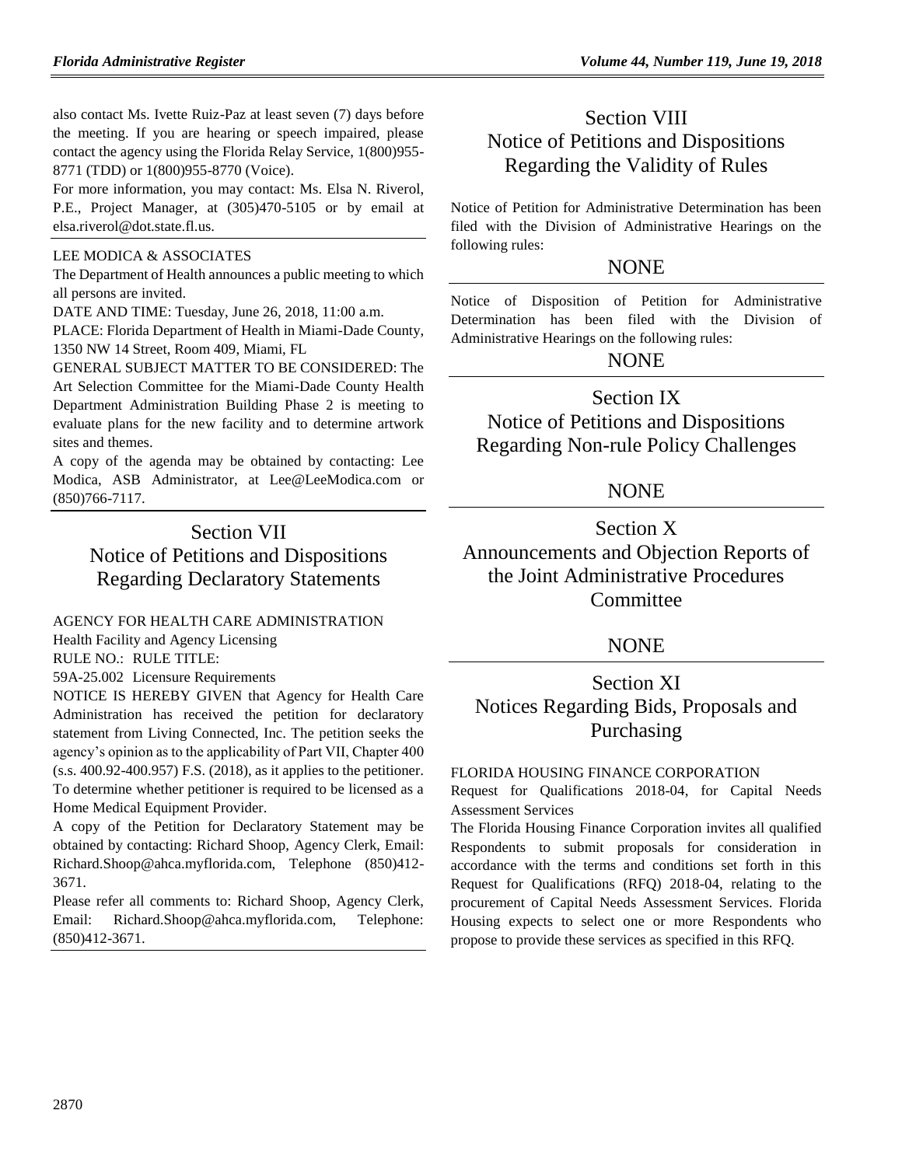also contact Ms. Ivette Ruiz-Paz at least seven (7) days before the meeting. If you are hearing or speech impaired, please contact the agency using the Florida Relay Service, 1(800)955- 8771 (TDD) or 1(800)955-8770 (Voice).

For more information, you may contact: Ms. Elsa N. Riverol, P.E., Project Manager, at (305)470-5105 or by email at elsa.riverol@dot.state.fl.us.

### [LEE MODICA & ASSOCIATES](https://www.flrules.org/gateway/organization.asp?id=1215)

The Department of Health announces a public meeting to which all persons are invited.

DATE AND TIME: Tuesday, June 26, 2018, 11:00 a.m.

PLACE: Florida Department of Health in Miami-Dade County, 1350 NW 14 Street, Room 409, Miami, FL

GENERAL SUBJECT MATTER TO BE CONSIDERED: The Art Selection Committee for the Miami-Dade County Health Department Administration Building Phase 2 is meeting to evaluate plans for the new facility and to determine artwork sites and themes.

A copy of the agenda may be obtained by contacting: Lee Modica, ASB Administrator, at Lee@LeeModica.com or (850)766-7117.

# Section VII Notice of Petitions and Dispositions Regarding Declaratory Statements

## [AGENCY FOR HEALTH CARE ADMINISTRATION](https://www.flrules.org/gateway/department.asp?id=59)

[Health Facility and Agency Licensing](https://www.flrules.org/gateway/organization.asp?id=186)

RULE NO.: RULE TITLE:

[59A-25.002](https://www.flrules.org/gateway/ruleNo.asp?id=59A-25.002) Licensure Requirements

NOTICE IS HEREBY GIVEN that Agency for Health Care Administration has received the petition for declaratory statement from Living Connected, Inc. The petition seeks the agency's opinion as to the applicability of Part VII, Chapter 400 (s.s. 400.92-400.957) F.S. (2018), as it applies to the petitioner. To determine whether petitioner is required to be licensed as a Home Medical Equipment Provider.

A copy of the Petition for Declaratory Statement may be obtained by contacting: Richard Shoop, Agency Clerk, Email: Richard.Shoop@ahca.myflorida.com, Telephone (850)412- 3671.

Please refer all comments to: Richard Shoop, Agency Clerk, Email: Richard.Shoop@ahca.myflorida.com, Telephone: (850)412-3671.

# Section VIII Notice of Petitions and Dispositions Regarding the Validity of Rules

Notice of Petition for Administrative Determination has been filed with the Division of Administrative Hearings on the following rules:

## **NONE**

Notice of Disposition of Petition for Administrative Determination has been filed with the Division of Administrative Hearings on the following rules:

## NONE

# Section IX

Notice of Petitions and Dispositions Regarding Non-rule Policy Challenges

## NONE

Section X Announcements and Objection Reports of the Joint Administrative Procedures **Committee** 

## NONE

# Section XI Notices Regarding Bids, Proposals and Purchasing

## [FLORIDA HOUSING FINANCE CORPORATION](https://www.flrules.org/gateway/department.asp?id=67)

Request for Qualifications 2018-04, for Capital Needs Assessment Services

The Florida Housing Finance Corporation invites all qualified Respondents to submit proposals for consideration in accordance with the terms and conditions set forth in this Request for Qualifications (RFQ) 2018-04, relating to the procurement of Capital Needs Assessment Services. Florida Housing expects to select one or more Respondents who propose to provide these services as specified in this RFQ.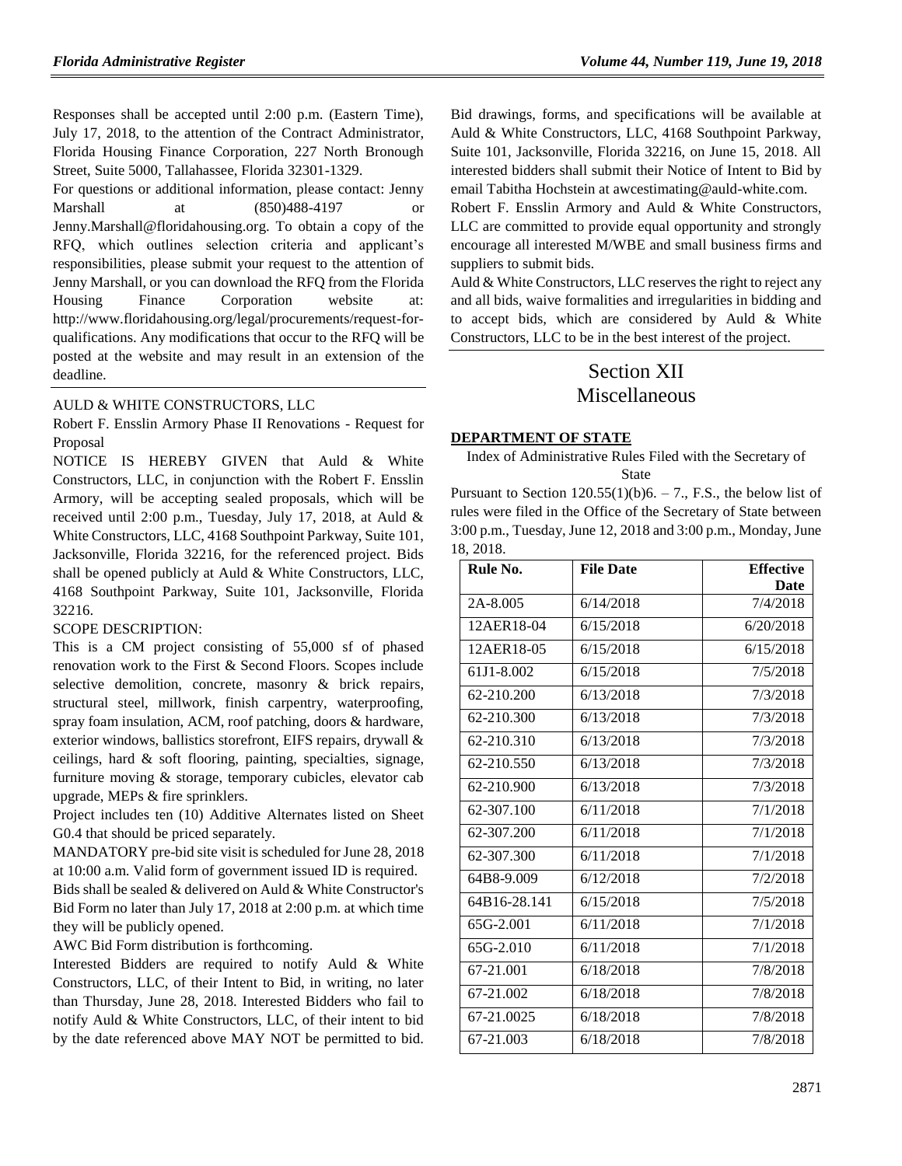Responses shall be accepted until 2:00 p.m. (Eastern Time), July 17, 2018, to the attention of the Contract Administrator, Florida Housing Finance Corporation, 227 North Bronough Street, Suite 5000, Tallahassee, Florida 32301-1329.

For questions or additional information, please contact: Jenny Marshall at (850)488-4197 or Jenny.Marshall@floridahousing.org. To obtain a copy of the RFQ, which outlines selection criteria and applicant's responsibilities, please submit your request to the attention of Jenny Marshall, or you can download the RFQ from the Florida Housing Finance Corporation website at: [http://www.floridahousing.org/legal/procurements/request-for](http://www.floridahousing.org/legal/procurements/request-for-qualifications)[qualifications.](http://www.floridahousing.org/legal/procurements/request-for-qualifications) Any modifications that occur to the RFQ will be posted at the website and may result in an extension of the deadline.

### AULD & WHITE CONSTRUCTORS, LLC

Robert F. Ensslin Armory Phase II Renovations - Request for Proposal

NOTICE IS HEREBY GIVEN that Auld & White Constructors, LLC, in conjunction with the Robert F. Ensslin Armory, will be accepting sealed proposals, which will be received until 2:00 p.m., Tuesday, July 17, 2018, at Auld & White Constructors, LLC, 4168 Southpoint Parkway, Suite 101, Jacksonville, Florida 32216, for the referenced project. Bids shall be opened publicly at Auld & White Constructors, LLC, 4168 Southpoint Parkway, Suite 101, Jacksonville, Florida 32216.

### SCOPE DESCRIPTION:

This is a CM project consisting of 55,000 sf of phased renovation work to the First & Second Floors. Scopes include selective demolition, concrete, masonry & brick repairs, structural steel, millwork, finish carpentry, waterproofing, spray foam insulation, ACM, roof patching, doors & hardware, exterior windows, ballistics storefront, EIFS repairs, drywall & ceilings, hard & soft flooring, painting, specialties, signage, furniture moving & storage, temporary cubicles, elevator cab upgrade, MEPs & fire sprinklers.

Project includes ten (10) Additive Alternates listed on Sheet G0.4 that should be priced separately.

MANDATORY pre-bid site visit is scheduled for June 28, 2018 at 10:00 a.m. Valid form of government issued ID is required. Bids shall be sealed & delivered on Auld & White Constructor's Bid Form no later than July 17, 2018 at 2:00 p.m. at which time they will be publicly opened.

AWC Bid Form distribution is forthcoming.

Interested Bidders are required to notify Auld & White Constructors, LLC, of their Intent to Bid, in writing, no later than Thursday, June 28, 2018. Interested Bidders who fail to notify Auld & White Constructors, LLC, of their intent to bid by the date referenced above MAY NOT be permitted to bid.

Bid drawings, forms, and specifications will be available at Auld & White Constructors, LLC, 4168 Southpoint Parkway, Suite 101, Jacksonville, Florida 32216, on June 15, 2018. All interested bidders shall submit their Notice of Intent to Bid by email Tabitha Hochstein at awcestimating@auld-white.com.

Robert F. Ensslin Armory and Auld & White Constructors, LLC are committed to provide equal opportunity and strongly encourage all interested M/WBE and small business firms and suppliers to submit bids.

Auld & White Constructors, LLC reserves the right to reject any and all bids, waive formalities and irregularities in bidding and to accept bids, which are considered by Auld & White Constructors, LLC to be in the best interest of the project.

# Section XII Miscellaneous

### **[DEPARTMENT OF STATE](https://www.flrules.org/gateway/department.asp?id=1)**

Index of Administrative Rules Filed with the Secretary of State

Pursuant to Section  $120.55(1)(b)6. - 7$ ., F.S., the below list of rules were filed in the Office of the Secretary of State between 3:00 p.m., Tuesday, June 12, 2018 and 3:00 p.m., Monday, June 18, 2018.

| Rule No.     | <b>File Date</b> | <b>Effective</b> |
|--------------|------------------|------------------|
|              |                  | Date             |
| 2A-8.005     | 6/14/2018        | 7/4/2018         |
| 12AER18-04   | 6/15/2018        | 6/20/2018        |
| 12AER18-05   | 6/15/2018        | 6/15/2018        |
| 61J1-8.002   | 6/15/2018        | 7/5/2018         |
| 62-210.200   | 6/13/2018        | 7/3/2018         |
| 62-210.300   | 6/13/2018        | 7/3/2018         |
| 62-210.310   | 6/13/2018        | 7/3/2018         |
| 62-210.550   | 6/13/2018        | 7/3/2018         |
| 62-210.900   | 6/13/2018        | 7/3/2018         |
| 62-307.100   | 6/11/2018        | 7/1/2018         |
| 62-307.200   | 6/11/2018        | 7/1/2018         |
| 62-307.300   | 6/11/2018        | 7/1/2018         |
| 64B8-9.009   | 6/12/2018        | 7/2/2018         |
| 64B16-28.141 | 6/15/2018        | 7/5/2018         |
| 65G-2.001    | 6/11/2018        | 7/1/2018         |
| 65G-2.010    | 6/11/2018        | 7/1/2018         |
| 67-21.001    | 6/18/2018        | 7/8/2018         |
| 67-21.002    | 6/18/2018        | 7/8/2018         |
| 67-21.0025   | 6/18/2018        | 7/8/2018         |
| 67-21.003    | 6/18/2018        | 7/8/2018         |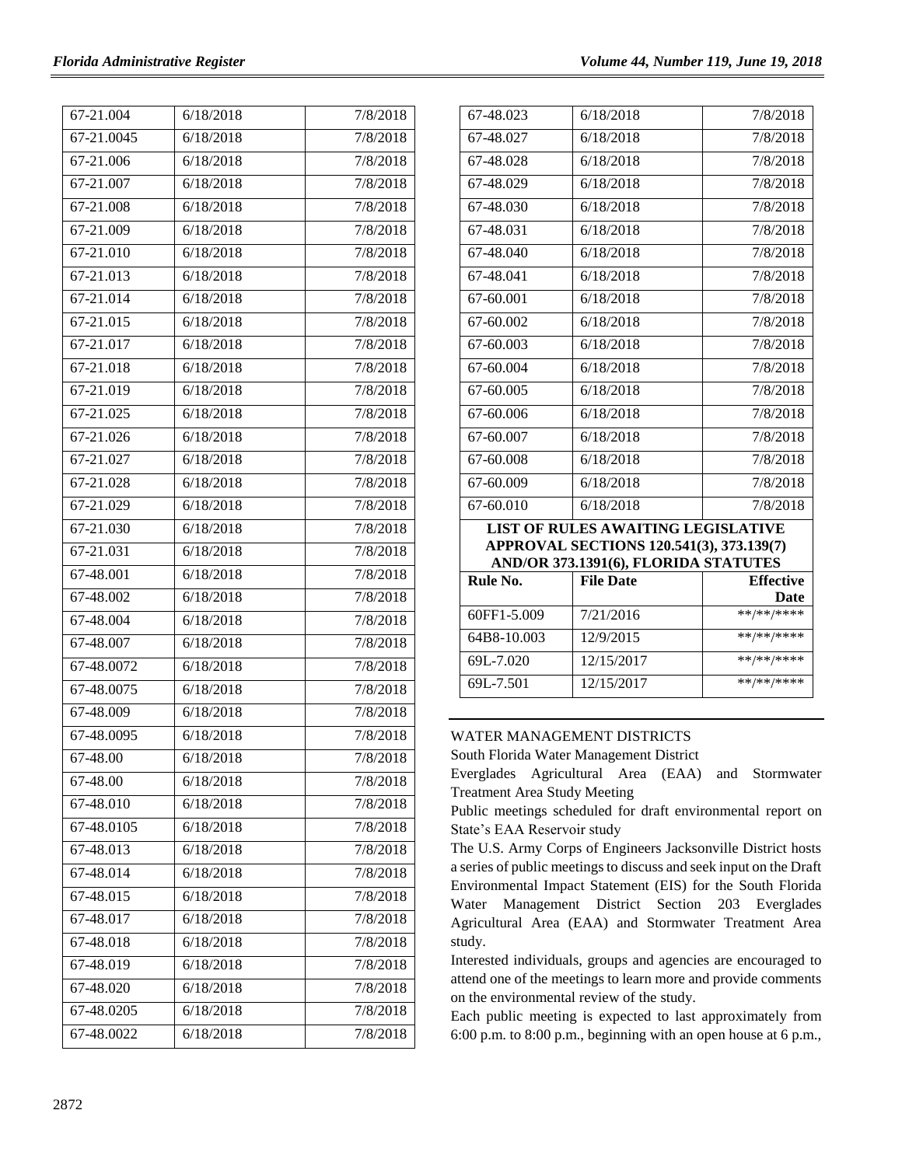| 67-21.004  | 6/18/2018 | 7/8/2018 |
|------------|-----------|----------|
| 67-21.0045 | 6/18/2018 | 7/8/2018 |
| 67-21.006  | 6/18/2018 | 7/8/2018 |
| 67-21.007  | 6/18/2018 | 7/8/2018 |
| 67-21.008  | 6/18/2018 | 7/8/2018 |
| 67-21.009  | 6/18/2018 | 7/8/2018 |
| 67-21.010  | 6/18/2018 | 7/8/2018 |
| 67-21.013  | 6/18/2018 | 7/8/2018 |
| 67-21.014  | 6/18/2018 | 7/8/2018 |
| 67-21.015  | 6/18/2018 | 7/8/2018 |
| 67-21.017  | 6/18/2018 | 7/8/2018 |
| 67-21.018  | 6/18/2018 | 7/8/2018 |
| 67-21.019  | 6/18/2018 | 7/8/2018 |
| 67-21.025  | 6/18/2018 | 7/8/2018 |
| 67-21.026  | 6/18/2018 | 7/8/2018 |
| 67-21.027  | 6/18/2018 | 7/8/2018 |
| 67-21.028  | 6/18/2018 | 7/8/2018 |
| 67-21.029  | 6/18/2018 | 7/8/2018 |
| 67-21.030  | 6/18/2018 | 7/8/2018 |
| 67-21.031  | 6/18/2018 | 7/8/2018 |
| 67-48.001  | 6/18/2018 | 7/8/2018 |
| 67-48.002  | 6/18/2018 | 7/8/2018 |
| 67-48.004  | 6/18/2018 | 7/8/2018 |
| 67-48.007  | 6/18/2018 | 7/8/2018 |
| 67-48.0072 | 6/18/2018 | 7/8/2018 |
| 67-48.0075 | 6/18/2018 | 7/8/2018 |
| 67-48.009  | 6/18/2018 | 7/8/2018 |
| 67-48.0095 | 6/18/2018 | 7/8/2018 |
| 67-48.00   | 6/18/2018 | 7/8/2018 |
| 67-48.00   | 6/18/2018 | 7/8/2018 |
| 67-48.010  | 6/18/2018 | 7/8/2018 |
| 67-48.0105 | 6/18/2018 | 7/8/2018 |
| 67-48.013  | 6/18/2018 | 7/8/2018 |
| 67-48.014  | 6/18/2018 | 7/8/2018 |
| 67-48.015  | 6/18/2018 | 7/8/2018 |
| 67-48.017  | 6/18/2018 | 7/8/2018 |
| 67-48.018  | 6/18/2018 | 7/8/2018 |
| 67-48.019  | 6/18/2018 | 7/8/2018 |
| 67-48.020  | 6/18/2018 | 7/8/2018 |
| 67-48.0205 | 6/18/2018 | 7/8/2018 |
| 67-48.0022 | 6/18/2018 | 7/8/2018 |

| 67-48.023                            | 6/18/2018                                 | 7/8/2018         |  |  |
|--------------------------------------|-------------------------------------------|------------------|--|--|
| 67-48.027                            | 6/18/2018                                 | 7/8/2018         |  |  |
| 67-48.028                            | 6/18/2018                                 | 7/8/2018         |  |  |
| 67-48.029                            | 6/18/2018                                 | 7/8/2018         |  |  |
| 67-48.030                            | 6/18/2018                                 | 7/8/2018         |  |  |
| 67-48.031                            | 6/18/2018                                 | 7/8/2018         |  |  |
| 67-48.040                            | 6/18/2018                                 | 7/8/2018         |  |  |
| 67-48.041                            | 6/18/2018                                 | 7/8/2018         |  |  |
| 67-60.001                            | 6/18/2018                                 | 7/8/2018         |  |  |
| 67-60.002                            | 6/18/2018                                 | 7/8/2018         |  |  |
| 67-60.003                            | 6/18/2018                                 | 7/8/2018         |  |  |
| 67-60.004                            | 6/18/2018                                 | 7/8/2018         |  |  |
| 67-60.005                            | 6/18/2018                                 | 7/8/2018         |  |  |
| 67-60.006                            | 6/18/2018                                 | 7/8/2018         |  |  |
| 67-60.007                            | 6/18/2018                                 | 7/8/2018         |  |  |
| 67-60.008                            | 6/18/2018                                 | 7/8/2018         |  |  |
| 67-60.009                            | 6/18/2018                                 | 7/8/2018         |  |  |
| 67-60.010                            | 6/18/2018                                 | 7/8/2018         |  |  |
|                                      | <b>LIST OF RULES AWAITING LEGISLATIVE</b> |                  |  |  |
|                                      | APPROVAL SECTIONS 120.541(3), 373.139(7)  |                  |  |  |
| AND/OR 373.1391(6), FLORIDA STATUTES |                                           |                  |  |  |
| Rule No.                             | <b>File Date</b>                          | <b>Effective</b> |  |  |
|                                      |                                           | Date             |  |  |
| 60FF1-5.009                          | 7/21/2016                                 | **/**/****       |  |  |
| 64B8-10.003                          | 12/9/2015                                 | **/**/****       |  |  |
| 69L-7.020                            | 12/15/2017                                | **/**/****       |  |  |
| 69L-7.501                            | 12/15/2017                                | **/**/****       |  |  |

### [WATER MANAGEMENT DISTRICTS](https://www.flrules.org/gateway/department.asp?id=40)

[South Florida Water Management District](https://www.flrules.org/gateway/organization.asp?id=124)

Everglades Agricultural Area (EAA) and Stormwater Treatment Area Study Meeting

Public meetings scheduled for draft environmental report on State's EAA Reservoir study

The U.S. Army Corps of Engineers Jacksonville District hosts a series of public meetings to discuss and seek input on the Draft Environmental Impact Statement (EIS) for the South Florida Water Management District Section 203 Everglades Agricultural Area (EAA) and Stormwater Treatment Area study.

Interested individuals, groups and agencies are encouraged to attend one of the meetings to learn more and provide comments on the environmental review of the study.

Each public meeting is expected to last approximately from 6:00 p.m. to 8:00 p.m., beginning with an open house at 6 p.m.,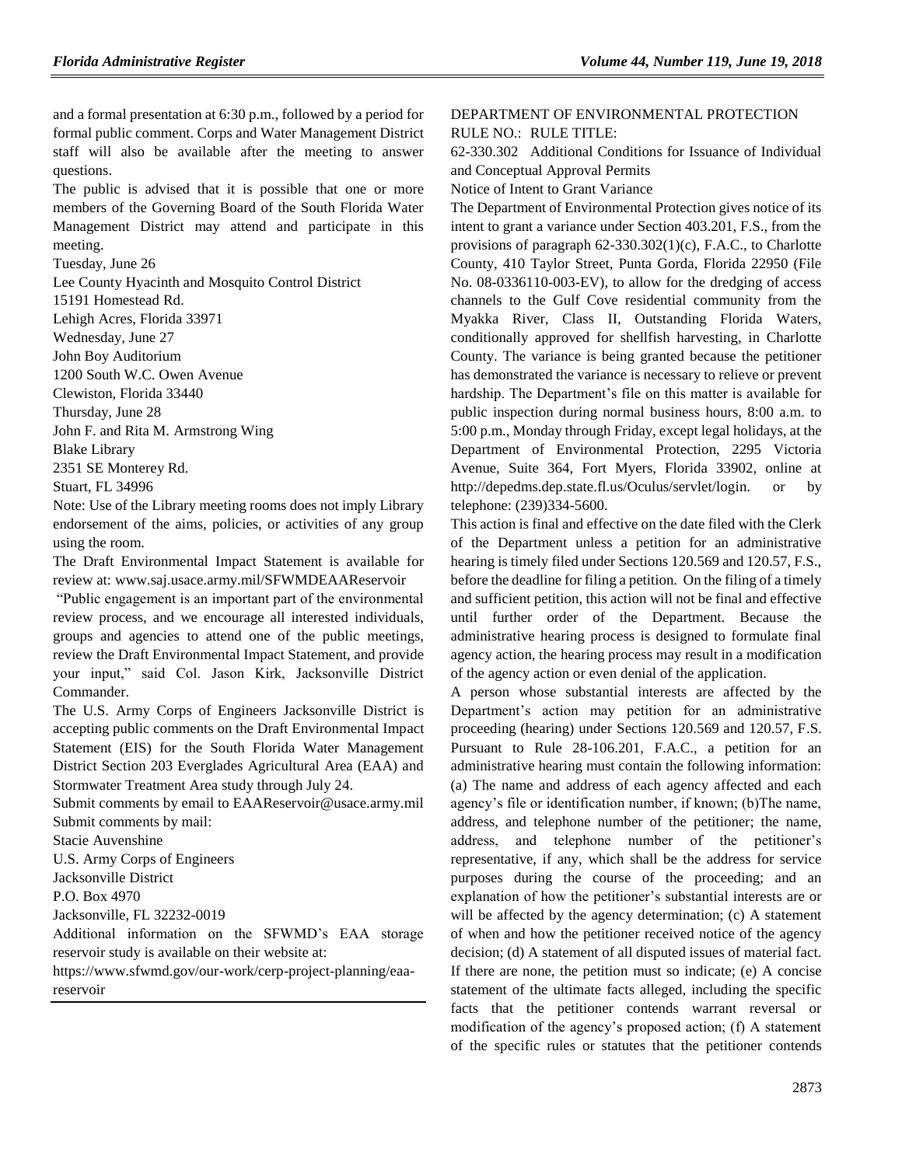and a formal presentation at 6:30 p.m., followed by a period for formal public comment. Corps and Water Management District staff will also be available after the meeting to answer questions.

The public is advised that it is possible that one or more members of the Governing Board of the South Florida Water Management District may attend and participate in this meeting.

Tuesday, June 26

Lee County Hyacinth and Mosquito Control District 15191 Homestead Rd. Lehigh Acres, Florida 33971 Wednesday, June 27 John Boy Auditorium 1200 South W.C. Owen Avenue Clewiston, Florida 33440 Thursday, June 28 John F. and Rita M. Armstrong Wing Blake Library 2351 SE Monterey Rd. Stuart, FL 34996

Note: Use of the Library meeting rooms does not imply Library endorsement of the aims, policies, or activities of any group using the room.

The Draft Environmental Impact Statement is available for review at: [www.saj.usace.army.mil/SFWMDEAAReservoir](http://www.saj.usace.army.mil/SFWMDEAAReservoir)

"Public engagement is an important part of the environmental review process, and we encourage all interested individuals, groups and agencies to attend one of the public meetings, review the Draft Environmental Impact Statement, and provide your input," said Col. Jason Kirk, Jacksonville District Commander.

The U.S. Army Corps of Engineers Jacksonville District is accepting public comments on the Draft Environmental Impact Statement (EIS) for the South Florida Water Management District Section 203 Everglades Agricultural Area (EAA) and Stormwater Treatment Area study through July 24.

Submit comments by email to EAAReservoir@usace.army.mil Submit comments by mail:

Stacie Auvenshine

U.S. Army Corps of Engineers

Jacksonville District

P.O. Box 4970

Jacksonville, FL 32232-0019

Additional information on the SFWMD's EAA storage reservoir study is available on their website at:

[https://www.sfwmd.gov/our-work/cerp-project-planning/eaa](https://www.sfwmd.gov/our-work/cerp-project-planning/eaa-reservoir)[reservoir](https://www.sfwmd.gov/our-work/cerp-project-planning/eaa-reservoir)

### [DEPARTMENT OF ENVIRONMENTAL PROTECTION](https://www.flrules.org/gateway/department.asp?id=62) RULE NO.: RULE TITLE:

[62-330.302](https://www.flrules.org/gateway/ruleNo.asp?id=62-330.302) Additional Conditions for Issuance of Individual and Conceptual Approval Permits

Notice of Intent to Grant Variance

The Department of Environmental Protection gives notice of its intent to grant a variance under Section 403.201, F.S., from the provisions of paragraph 62-330.302(1)(c), F.A.C., to Charlotte County, 410 Taylor Street, Punta Gorda, Florida 22950 (File No. 08-0336110-003-EV), to allow for the dredging of access channels to the Gulf Cove residential community from the Myakka River, Class II, Outstanding Florida Waters, conditionally approved for shellfish harvesting, in Charlotte County. The variance is being granted because the petitioner has demonstrated the variance is necessary to relieve or prevent hardship. The Department's file on this matter is available for public inspection during normal business hours, 8:00 a.m. to 5:00 p.m., Monday through Friday, except legal holidays, at the Department of Environmental Protection, 2295 Victoria Avenue, Suite 364, Fort Myers, Florida 33902, online at [http://depedms.dep.state.fl.us/Oculus/servlet/login.](http://depedms.dep.state.fl.us/Oculus/servlet/login) or by telephone: (239)334-5600.

This action is final and effective on the date filed with the Clerk of the Department unless a petition for an administrative hearing is timely filed under Sections 120.569 and 120.57, F.S., before the deadline for filing a petition. On the filing of a timely and sufficient petition, this action will not be final and effective until further order of the Department. Because the administrative hearing process is designed to formulate final agency action, the hearing process may result in a modification of the agency action or even denial of the application.

A person whose substantial interests are affected by the Department's action may petition for an administrative proceeding (hearing) under Sections 120.569 and 120.57, F.S. Pursuant to Rule 28-106.201, F.A.C., a petition for an administrative hearing must contain the following information: (a) The name and address of each agency affected and each agency's file or identification number, if known; (b)The name, address, and telephone number of the petitioner; the name, address, and telephone number of the petitioner's representative, if any, which shall be the address for service purposes during the course of the proceeding; and an explanation of how the petitioner's substantial interests are or will be affected by the agency determination; (c) A statement of when and how the petitioner received notice of the agency decision; (d) A statement of all disputed issues of material fact. If there are none, the petition must so indicate; (e) A concise statement of the ultimate facts alleged, including the specific facts that the petitioner contends warrant reversal or modification of the agency's proposed action; (f) A statement of the specific rules or statutes that the petitioner contends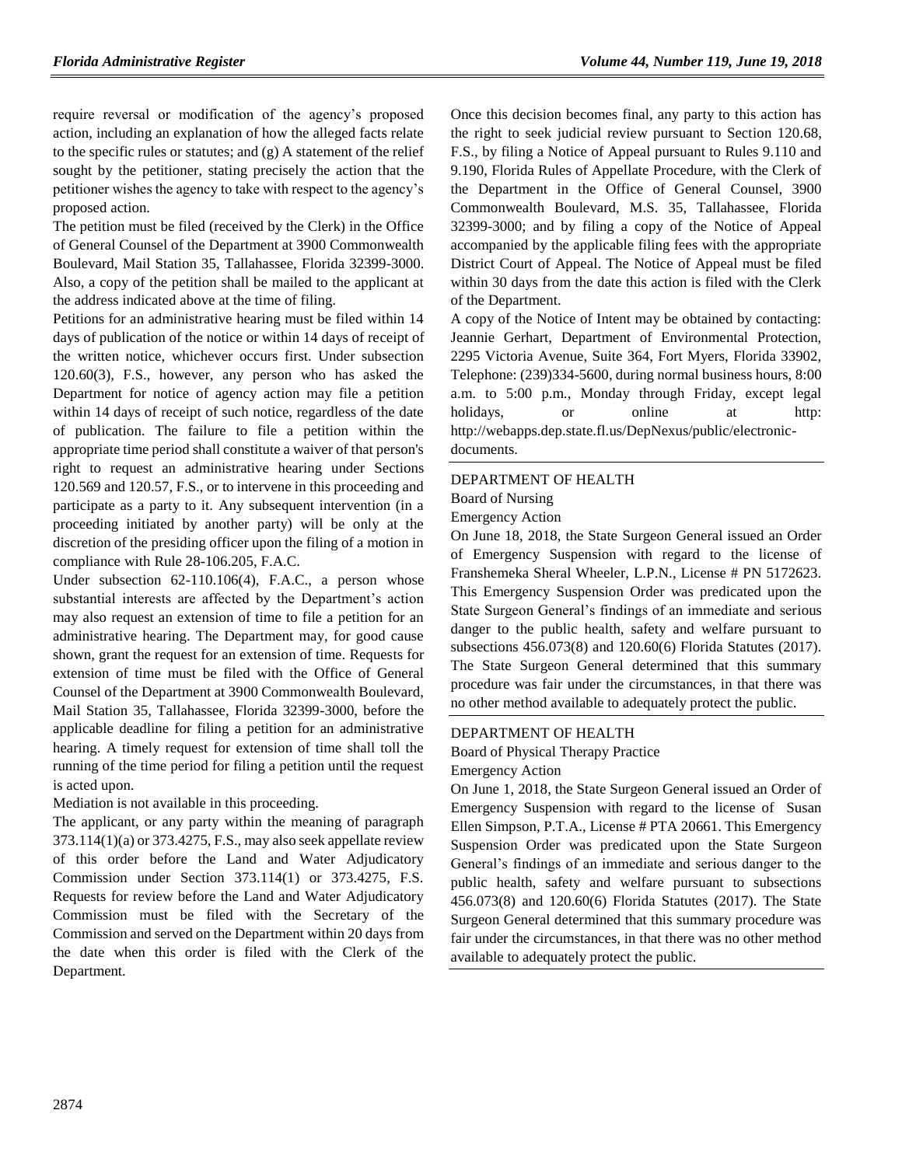require reversal or modification of the agency's proposed action, including an explanation of how the alleged facts relate to the specific rules or statutes; and (g) A statement of the relief sought by the petitioner, stating precisely the action that the petitioner wishes the agency to take with respect to the agency's proposed action.

The petition must be filed (received by the Clerk) in the Office of General Counsel of the Department at 3900 Commonwealth Boulevard, Mail Station 35, Tallahassee, Florida 32399-3000. Also, a copy of the petition shall be mailed to the applicant at the address indicated above at the time of filing.

Petitions for an administrative hearing must be filed within 14 days of publication of the notice or within 14 days of receipt of the written notice, whichever occurs first. Under subsection 120.60(3), F.S., however, any person who has asked the Department for notice of agency action may file a petition within 14 days of receipt of such notice, regardless of the date of publication. The failure to file a petition within the appropriate time period shall constitute a waiver of that person's right to request an administrative hearing under [Sections](http://web2.westlaw.com/find/default.wl?ordoc=I0C7293C0912311DB8F8F8100D79B57CF&rp=%2ffind%2fdefault.wl&DB=1000006&DocName=FLSTS120%2E569&FindType=L&AP=&rs=WLW9.08&ifm=NotSet&fn=_top&sv=Split&mt=Florida&utid=4&vr=2.0&pbc=38B33E51)  [120.569](http://web2.westlaw.com/find/default.wl?ordoc=I0C7293C0912311DB8F8F8100D79B57CF&rp=%2ffind%2fdefault.wl&DB=1000006&DocName=FLSTS120%2E569&FindType=L&AP=&rs=WLW9.08&ifm=NotSet&fn=_top&sv=Split&mt=Florida&utid=4&vr=2.0&pbc=38B33E51) and 120.57, F.S., or to intervene in this proceeding and participate as a party to it. Any subsequent intervention (in a proceeding initiated by another party) will be only at the discretion of the presiding officer upon the filing of a motion in compliance with Rule 28-106.205, F.A.C.

Under subsection 62-110.106(4), F.A.C., a person whose substantial interests are affected by the Department's action may also request an extension of time to file a petition for an administrative hearing. The Department may, for good cause shown, grant the request for an extension of time. Requests for extension of time must be filed with the Office of General Counsel of the Department at 3900 Commonwealth Boulevard, Mail Station 35, Tallahassee, Florida 32399-3000, before the applicable deadline for filing a petition for an administrative hearing. A timely request for extension of time shall toll the running of the time period for filing a petition until the request is acted upon.

Mediation is not available in this proceeding.

The applicant, or any party within the meaning of paragraph 373.114(1)(a) or 373.4275, F.S., may also seek appellate review of this order before the Land and Water Adjudicatory Commission under Section 373.114(1) or 373.4275, F.S. Requests for review before the Land and Water Adjudicatory Commission must be filed with the Secretary of the Commission and served on the Department within 20 days from the date when this order is filed with the Clerk of the Department.

Once this decision becomes final, any party to this action has the right to seek judicial review pursuant to Section 120.68, F.S., by filing a Notice of Appeal pursuant to Rules 9.110 and 9.190, Florida Rules of Appellate Procedure, with the Clerk of the Department in the Office of General Counsel, 3900 Commonwealth Boulevard, M.S. 35, Tallahassee, Florida 32399-3000; and by filing a copy of the Notice of Appeal accompanied by the applicable filing fees with the appropriate District Court of Appeal. The Notice of Appeal must be filed within 30 days from the date this action is filed with the Clerk of the Department.

A copy of the Notice of Intent may be obtained by contacting: Jeannie Gerhart, Department of Environmental Protection, 2295 Victoria Avenue, Suite 364, Fort Myers, Florida 33902, Telephone: (239)334-5600, during normal business hours, 8:00 a.m. to 5:00 p.m., Monday through Friday, except legal holidays, or online at http: [http://webapps.dep.state.fl.us/DepNexus/public/electronic](http://webapps.dep.state.fl.us/DepNexus/public/electronic-documents)[documents.](http://webapps.dep.state.fl.us/DepNexus/public/electronic-documents)

### [DEPARTMENT OF HEALTH](https://www.flrules.org/gateway/department.asp?id=64)

[Board of Nursing](https://www.flrules.org/gateway/organization.asp?id=332)

Emergency Action

On June 18, 2018, the State Surgeon General issued an Order of Emergency Suspension with regard to the license of Franshemeka Sheral Wheeler, L.P.N., License # PN 5172623. This Emergency Suspension Order was predicated upon the State Surgeon General's findings of an immediate and serious danger to the public health, safety and welfare pursuant to subsections 456.073(8) and 120.60(6) Florida Statutes (2017). The State Surgeon General determined that this summary procedure was fair under the circumstances, in that there was no other method available to adequately protect the public.

### [DEPARTMENT OF HEALTH](https://www.flrules.org/gateway/department.asp?id=64)

[Board of Physical Therapy Practice](https://www.flrules.org/gateway/organization.asp?id=308) Emergency Action

On June 1, 2018, the State Surgeon General issued an Order of Emergency Suspension with regard to the license of Susan Ellen Simpson, P.T.A., License # PTA 20661. This Emergency Suspension Order was predicated upon the State Surgeon General's findings of an immediate and serious danger to the public health, safety and welfare pursuant to subsections 456.073(8) and 120.60(6) Florida Statutes (2017). The State Surgeon General determined that this summary procedure was fair under the circumstances, in that there was no other method available to adequately protect the public.